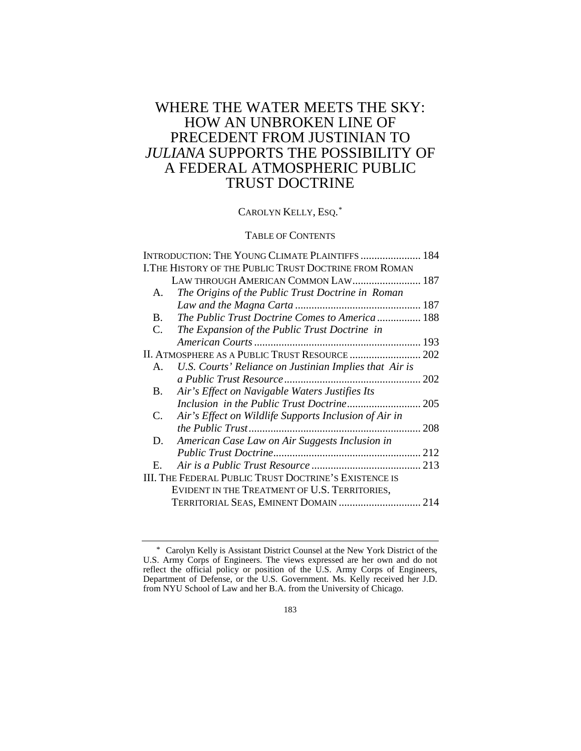# WHERE THE WATER MEETS THE SKY: HOW AN UNBROKEN LINE OF PRECEDENT FROM JUSTINIAN TO *JULIANA* SUPPORTS THE POSSIBILITY OF A FEDERAL ATMOSPHERIC PUBLIC TRUST DOCTRINE

CAROLYN KELLY, ESQ.<sup>[\\*](#page-0-0)</sup>

# TABLE OF CONTENTS

|                                                | INTRODUCTION: THE YOUNG CLIMATE PLAINTIFFS  184        |  |
|------------------------------------------------|--------------------------------------------------------|--|
|                                                | I. THE HISTORY OF THE PUBLIC TRUST DOCTRINE FROM ROMAN |  |
|                                                | LAW THROUGH AMERICAN COMMON LAW 187                    |  |
| А.                                             | The Origins of the Public Trust Doctrine in Roman      |  |
|                                                |                                                        |  |
| B.                                             | The Public Trust Doctrine Comes to America  188        |  |
| C.                                             | The Expansion of the Public Trust Doctrine in          |  |
|                                                |                                                        |  |
| II. ATMOSPHERE AS A PUBLIC TRUST RESOURCE  202 |                                                        |  |
| А.                                             | U.S. Courts' Reliance on Justinian Implies that Air is |  |
|                                                |                                                        |  |
| B.                                             | Air's Effect on Navigable Waters Justifies Its         |  |
|                                                |                                                        |  |
| C.                                             | Air's Effect on Wildlife Supports Inclusion of Air in  |  |
|                                                |                                                        |  |
| D.                                             | American Case Law on Air Suggests Inclusion in         |  |
|                                                |                                                        |  |
| Е.                                             |                                                        |  |
|                                                | III. THE FEDERAL PUBLIC TRUST DOCTRINE'S EXISTENCE IS  |  |
|                                                | EVIDENT IN THE TREATMENT OF U.S. TERRITORIES,          |  |
|                                                | TERRITORIAL SEAS, EMINENT DOMAIN  214                  |  |
|                                                |                                                        |  |

<span id="page-0-0"></span><sup>\*</sup> Carolyn Kelly is Assistant District Counsel at the New York District of the U.S. Army Corps of Engineers. The views expressed are her own and do not reflect the official policy or position of the U.S. Army Corps of Engineers, Department of Defense, or the U.S. Government. Ms. Kelly received her J.D. from NYU School of Law and her B.A. from the University of Chicago.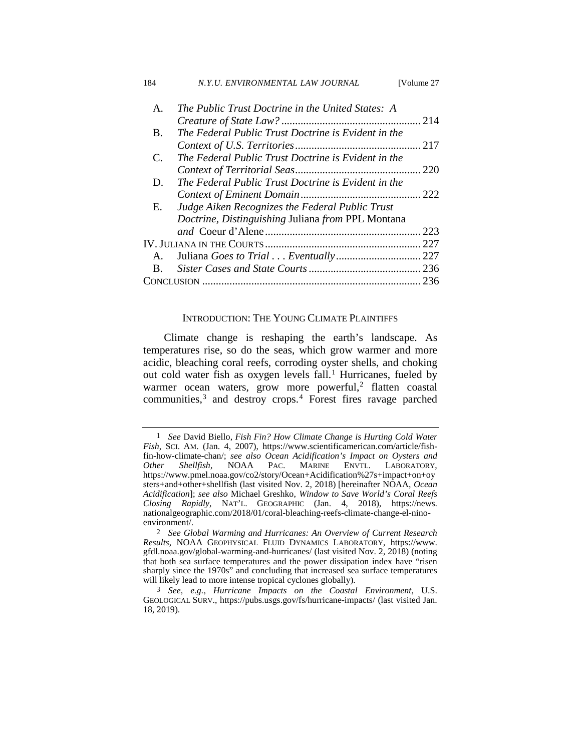| 184            | N.Y.U. ENVIRONMENTAL LAW JOURNAL                    | [Volume 27 |
|----------------|-----------------------------------------------------|------------|
| $\mathsf{A}$ . | The Public Trust Doctrine in the United States: A   |            |
|                |                                                     |            |
| B.             | The Federal Public Trust Doctrine is Evident in the |            |
|                |                                                     |            |
| C.             | The Federal Public Trust Doctrine is Evident in the |            |
|                |                                                     | 220        |
| D.             | The Federal Public Trust Doctrine is Evident in the |            |
|                |                                                     |            |
| Е.             | Judge Aiken Recognizes the Federal Public Trust     |            |
|                | Doctrine, Distinguishing Juliana from PPL Montana   |            |
|                |                                                     | 223        |
|                |                                                     | . 227      |
| $A_{-}$        |                                                     |            |
| B.             |                                                     |            |
|                |                                                     | 236        |

### <span id="page-1-4"></span>INTRODUCTION: THE YOUNG CLIMATE PLAINTIFFS

Climate change is reshaping the earth's landscape. As temperatures rise, so do the seas, which grow warmer and more acidic, bleaching coral reefs, corroding oyster shells, and choking out cold water fish as oxygen levels fall.<sup>[1](#page-1-0)</sup> Hurricanes, fueled by warmer ocean waters, grow more powerful,<sup>[2](#page-1-1)</sup> flatten coastal communities,<sup>[3](#page-1-2)</sup> and destroy crops.<sup>[4](#page-1-3)</sup> Forest fires ravage parched

<span id="page-1-3"></span><span id="page-1-0"></span><sup>1</sup> *See* David Biello, *Fish Fin? How Climate Change is Hurting Cold Water Fish*, SCI. AM. (Jan. 4, 2007), https://www.scientificamerican.com/article/fishfin-how-climate-chan/; *see also Ocean Acidification's Impact on Oysters and*  LABORATORY, https://www.pmel.noaa.gov/co2/story/Ocean+Acidification%27s+impact+on+oy sters+and+other+shellfish (last visited Nov. 2, 2018) [hereinafter NOAA, *Ocean Acidification*]; *see also* Michael Greshko, *Window to Save World's Coral Reefs Closing Rapidly*, NAT'L. GEOGRAPHIC (Jan. 4, 2018), https://news. nationalgeographic.com/2018/01/coral-bleaching-reefs-climate-change-el-ninoenvironment/.

<span id="page-1-1"></span><sup>2</sup> *See Global Warming and Hurricanes: An Overview of Current Research Results*, NOAA GEOPHYSICAL FLUID DYNAMICS LABORATORY, https://www. gfdl.noaa.gov/global-warming-and-hurricanes/ (last visited Nov. 2, 2018) (noting that both sea surface temperatures and the power dissipation index have "risen sharply since the 1970s" and concluding that increased sea surface temperatures will likely lead to more intense tropical cyclones globally).

<span id="page-1-2"></span><sup>3</sup> *See, e.g., Hurricane Impacts on the Coastal Environment*, U.S. GEOLOGICAL SURV., https://pubs.usgs.gov/fs/hurricane-impacts/ (last visited Jan. 18, 2019).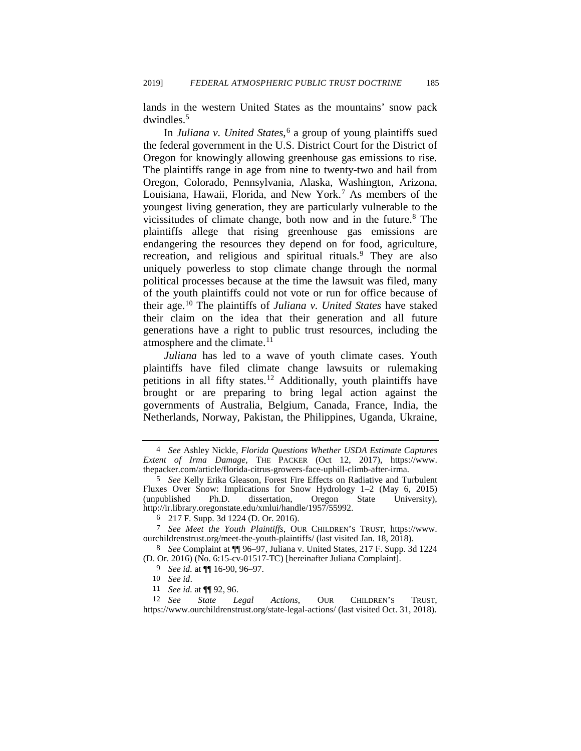lands in the western United States as the mountains' snow pack dwindles.[5](#page-2-0)

<span id="page-2-8"></span>In *Juliana v. United States*, [6](#page-2-1) a group of young plaintiffs sued the federal government in the U.S. District Court for the District of Oregon for knowingly allowing greenhouse gas emissions to rise*.* The plaintiffs range in age from nine to twenty-two and hail from Oregon, Colorado, Pennsylvania, Alaska, Washington, Arizona, Louisiana, Hawaii, Florida, and New York.[7](#page-2-2) As members of the youngest living generation, they are particularly vulnerable to the vicissitudes of climate change, both now and in the future. $8$  The plaintiffs allege that rising greenhouse gas emissions are endangering the resources they depend on for food, agriculture, recreation, and religious and spiritual rituals.<sup>[9](#page-2-4)</sup> They are also uniquely powerless to stop climate change through the normal political processes because at the time the lawsuit was filed, many of the youth plaintiffs could not vote or run for office because of their age[.10](#page-2-5) The plaintiffs of *Juliana v. United States* have staked their claim on the idea that their generation and all future generations have a right to public trust resources, including the atmosphere and the climate.<sup>[11](#page-2-6)</sup>

*Juliana* has led to a wave of youth climate cases. Youth plaintiffs have filed climate change lawsuits or rulemaking petitions in all fifty states.<sup>[12](#page-2-7)</sup> Additionally, youth plaintiffs have brought or are preparing to bring legal action against the governments of Australia, Belgium, Canada, France, India, the Netherlands, Norway, Pakistan, the Philippines, Uganda, Ukraine,

<sup>4</sup> *See* Ashley Nickle, *Florida Questions Whether USDA Estimate Captures Extent of Irma Damage*, THE PACKER (Oct 12, 2017), https://www. thepacker.com/article/florida-citrus-growers-face-uphill-climb-after-irma.

<span id="page-2-0"></span><sup>5</sup> *See* Kelly Erika Gleason, Forest Fire Effects on Radiative and Turbulent Fluxes Over Snow: Implications for Snow Hydrology 1-2 (May 6, 2015) (unpublished Ph.D. dissertation, Oregon State University), (unpublished Ph.D. dissertation, Oregon State University), http://ir.library.oregonstate.edu/xmlui/handle/1957/55992.

<sup>6 217</sup> F. Supp. 3d 1224 (D. Or. 2016).

<span id="page-2-2"></span><span id="page-2-1"></span><sup>7</sup> *See Meet the Youth Plaintiffs*, OUR CHILDREN'S TRUST, https://www. ourchildrenstrust.org/meet-the-youth-plaintiffs/ (last visited Jan. 18, 2018).

<span id="page-2-3"></span><sup>8</sup> *See* Complaint at ¶¶ 96–97, Juliana v. United States, 217 F. Supp. 3d 1224 (D. Or. 2016) (No. 6:15-cv-01517-TC) [hereinafter Juliana Complaint].

<sup>9</sup> *See id.* at ¶¶ 16-90, 96–97.

<span id="page-2-7"></span><span id="page-2-6"></span><span id="page-2-5"></span><span id="page-2-4"></span><sup>11</sup> *See id.* at ¶¶ 92, 96.<br>12 *See State Le* State Legal Actions, OUR CHILDREN'S TRUST, https://www.ourchildrenstrust.org/state-legal-actions/ (last visited Oct. 31, 2018).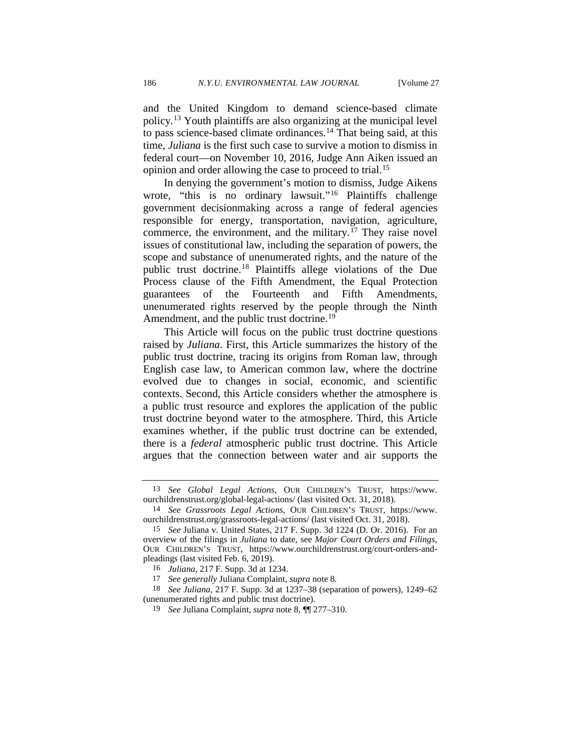and the United Kingdom to demand science-based climate policy.[13](#page-3-0) Youth plaintiffs are also organizing at the municipal level to pass science-based climate ordinances.[14](#page-3-1) That being said, at this time, *Juliana* is the first such case to survive a motion to dismiss in federal court—on November 10, 2016, Judge Ann Aiken issued an opinion and order allowing the case to proceed to trial.<sup>[15](#page-3-2)</sup>

In denying the government's motion to dismiss, Judge Aikens wrote, "this is no ordinary lawsuit."<sup>[16](#page-3-3)</sup> Plaintiffs challenge government decisionmaking across a range of federal agencies responsible for energy, transportation, navigation, agriculture, commerce, the environment, and the military.<sup>[17](#page-3-4)</sup> They raise novel issues of constitutional law, including the separation of powers, the scope and substance of unenumerated rights, and the nature of the public trust doctrine.[18](#page-3-5) Plaintiffs allege violations of the Due Process clause of the Fifth Amendment, the Equal Protection guarantees of the Fourteenth and Fifth Amendments, unenumerated rights reserved by the people through the Ninth Amendment, and the public trust doctrine.<sup>[19](#page-3-6)</sup>

This Article will focus on the public trust doctrine questions raised by *Juliana*. First, this Article summarizes the history of the public trust doctrine, tracing its origins from Roman law, through English case law, to American common law, where the doctrine evolved due to changes in social, economic, and scientific contexts. Second, this Article considers whether the atmosphere is a public trust resource and explores the application of the public trust doctrine beyond water to the atmosphere. Third, this Article examines whether, if the public trust doctrine can be extended, there is a *federal* atmospheric public trust doctrine. This Article argues that the connection between water and air supports the

<span id="page-3-0"></span><sup>13</sup> *See Global Legal Actions*, OUR CHILDREN'S TRUST, https://www. ourchildrenstrust.org/global-legal-actions/ (last visited Oct. 31, 2018).

<span id="page-3-1"></span><sup>14</sup> *See Grassroots Legal Actions*, OUR CHILDREN'S TRUST, https://www. ourchildrenstrust.org/grassroots-legal-actions/ (last visited Oct. 31, 2018).

<span id="page-3-2"></span><sup>15</sup> *See* Juliana v. United States, 217 F. Supp. 3d 1224 (D. Or. 2016). For an overview of the filings in *Juliana* to date, see *Major Court Orders and Filings*, OUR CHILDREN'S TRUST, https://www.ourchildrenstrust.org/court-orders-andpleadings (last visited Feb. 6, 2019).

<sup>16</sup> *Juliana*, 217 F. Supp. 3d at 1234.

<sup>17</sup> *See generally* Juliana Complaint, *supra* note [8](#page-2-8)*.*

<span id="page-3-6"></span><span id="page-3-5"></span><span id="page-3-4"></span><span id="page-3-3"></span><sup>18</sup> *See Juliana*, 217 F. Supp. 3d at 1237–38 (separation of powers), 1249–62 (unenumerated rights and public trust doctrine).

<sup>19</sup> *See* Juliana Complaint*, supra* note [8,](#page-2-8) ¶¶ 277–310.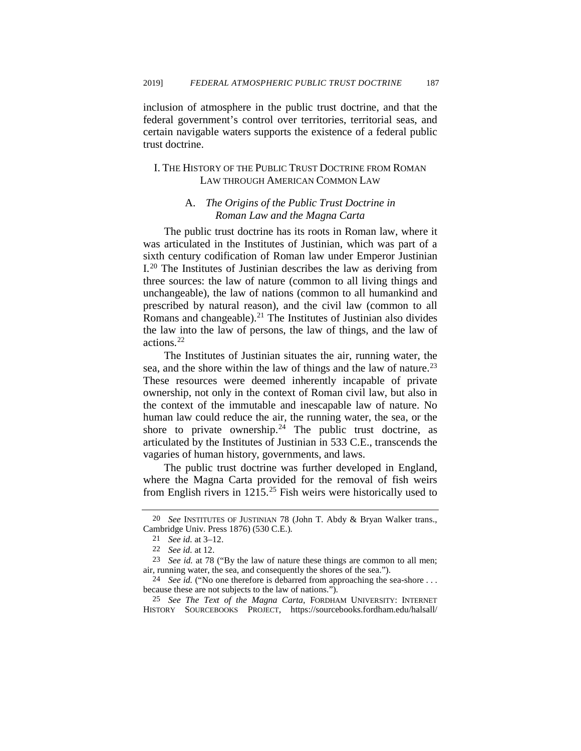inclusion of atmosphere in the public trust doctrine, and that the federal government's control over territories, territorial seas, and certain navigable waters supports the existence of a federal public trust doctrine.

# I. THE HISTORY OF THE PUBLIC TRUST DOCTRINE FROM ROMAN LAW THROUGH AMERICAN COMMON LAW

### A. *The Origins of the Public Trust Doctrine in Roman Law and the Magna Carta*

<span id="page-4-7"></span>The public trust doctrine has its roots in Roman law, where it was articulated in the Institutes of Justinian, which was part of a sixth century codification of Roman law under Emperor Justinian I.[20](#page-4-0) The Institutes of Justinian describes the law as deriving from three sources: the law of nature (common to all living things and unchangeable), the law of nations (common to all humankind and prescribed by natural reason), and the civil law (common to all Romans and changeable). $21$  The Institutes of Justinian also divides the law into the law of persons, the law of things, and the law of actions.[22](#page-4-2)

The Institutes of Justinian situates the air, running water, the sea, and the shore within the law of things and the law of nature.<sup>[23](#page-4-3)</sup> These resources were deemed inherently incapable of private ownership, not only in the context of Roman civil law, but also in the context of the immutable and inescapable law of nature. No human law could reduce the air, the running water, the sea, or the shore to private ownership.<sup>[24](#page-4-4)</sup> The public trust doctrine, as articulated by the Institutes of Justinian in 533 C.E., transcends the vagaries of human history, governments, and laws.

The public trust doctrine was further developed in England, where the Magna Carta provided for the removal of fish weirs from English rivers in  $1215^{25}$  $1215^{25}$  $1215^{25}$  Fish weirs were historically used to

<span id="page-4-1"></span><span id="page-4-0"></span><sup>20</sup> *See* INSTITUTES OF JUSTINIAN 78 (John T. Abdy & Bryan Walker trans., Cambridge Univ. Press 1876) (530 C.E.)*.*

<span id="page-4-6"></span><sup>21</sup> *See id.* at 3–12.

<sup>22</sup> *See id.* at 12.

<span id="page-4-3"></span><span id="page-4-2"></span><sup>23</sup> *See id.* at 78 ("By the law of nature these things are common to all men; air, running water, the sea, and consequently the shores of the sea.").

<span id="page-4-4"></span><sup>24</sup> *See id.* ("No one therefore is debarred from approaching the sea-shore . . . because these are not subjects to the law of nations.").

<span id="page-4-5"></span><sup>25</sup> *See The Text of the Magna Carta*, FORDHAM UNIVERSITY: INTERNET HISTORY SOURCEBOOKS PROJECT, https://sourcebooks.fordham.edu/halsall/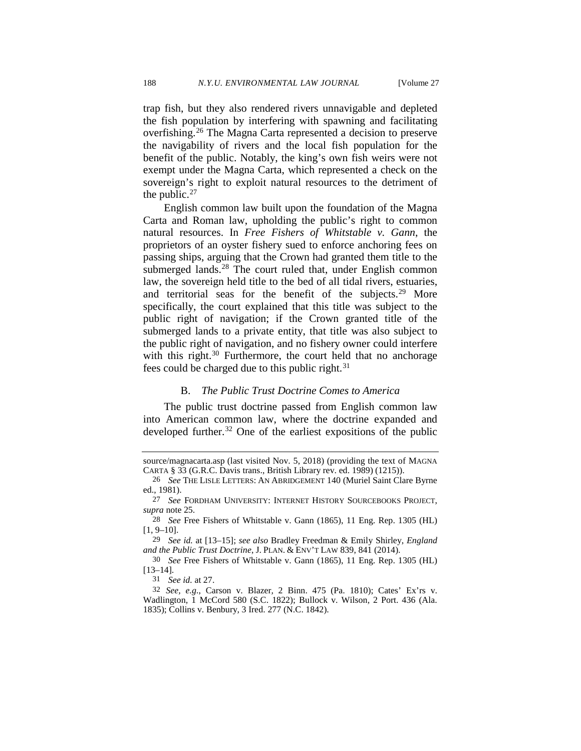<span id="page-5-8"></span>trap fish, but they also rendered rivers unnavigable and depleted the fish population by interfering with spawning and facilitating overfishing.[26](#page-5-0) The Magna Carta represented a decision to preserve the navigability of rivers and the local fish population for the benefit of the public. Notably, the king's own fish weirs were not exempt under the Magna Carta, which represented a check on the sovereign's right to exploit natural resources to the detriment of the public.<sup>[27](#page-5-1)</sup>

English common law built upon the foundation of the Magna Carta and Roman law, upholding the public's right to common natural resources. In *Free Fishers of Whitstable v. Gann*, the proprietors of an oyster fishery sued to enforce anchoring fees on passing ships, arguing that the Crown had granted them title to the submerged lands. $^{28}$  $^{28}$  $^{28}$  The court ruled that, under English common law, the sovereign held title to the bed of all tidal rivers, estuaries, and territorial seas for the benefit of the subjects.<sup>[29](#page-5-3)</sup> More specifically, the court explained that this title was subject to the public right of navigation; if the Crown granted title of the submerged lands to a private entity, that title was also subject to the public right of navigation, and no fishery owner could interfere with this right. $30$  Furthermore, the court held that no anchorage fees could be charged due to this public right.<sup>[31](#page-5-5)</sup>

#### <span id="page-5-7"></span>B. *The Public Trust Doctrine Comes to America*

The public trust doctrine passed from English common law into American common law, where the doctrine expanded and developed further.<sup>[32](#page-5-6)</sup> One of the earliest expositions of the public

source/magnacarta.asp (last visited Nov. 5, 2018) (providing the text of MAGNA CARTA § 33 (G.R.C. Davis trans., British Library rev. ed. 1989) (1215)).

<span id="page-5-0"></span><sup>26</sup> *See* THE LISLE LETTERS: AN ABRIDGEMENT 140 (Muriel Saint Clare Byrne ed., 1981).

<span id="page-5-1"></span><sup>27</sup> *See* FORDHAM UNIVERSITY: INTERNET HISTORY SOURCEBOOKS PROJECT, *supra* note [25.](#page-4-6) 28 *See* Free Fishers of Whitstable v. Gann (1865), 11 Eng. Rep. 1305 (HL)

<span id="page-5-2"></span> $[1, 9-10]$ .

<span id="page-5-3"></span><sup>29</sup> *See id.* at [13–15]; *see also* Bradley Freedman & Emily Shirley, *England and the Public Trust Doctrine*, J. PLAN. & ENV'T LAW 839, 841 (2014).

<span id="page-5-4"></span><sup>30</sup> *See* Free Fishers of Whitstable v. Gann (1865), 11 Eng. Rep. 1305 (HL) [13–14].

<sup>31</sup> *See id.* at 27.

<span id="page-5-6"></span><span id="page-5-5"></span><sup>32</sup> *See, e.g.*, Carson v. Blazer*,* 2 Binn. 475 (Pa. 1810); Cates' Ex'rs v. Wadlington*,* 1 McCord 580 (S.C. 1822); Bullock v. Wilson*,* 2 Port. 436 (Ala. 1835); Collins v. Benbury*,* 3 Ired. 277 (N.C. 1842).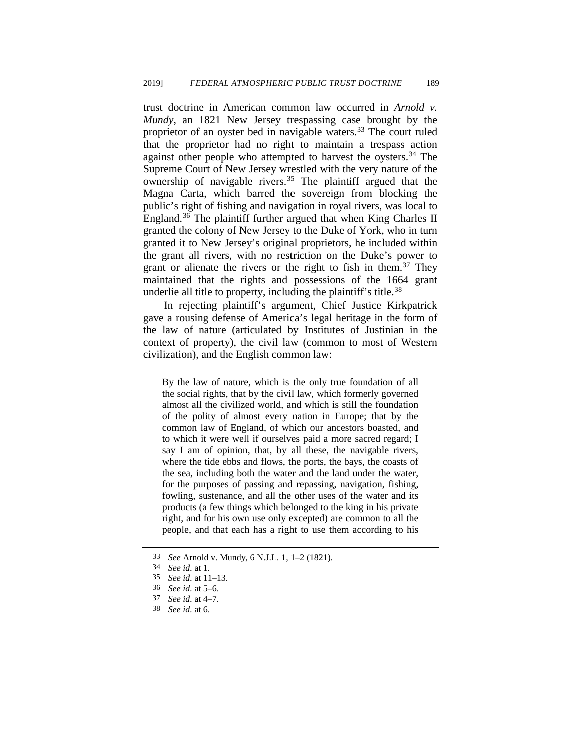trust doctrine in American common law occurred in *Arnold v. Mundy*, an 1821 New Jersey trespassing case brought by the proprietor of an oyster bed in navigable waters.<sup>[33](#page-6-0)</sup> The court ruled that the proprietor had no right to maintain a trespass action against other people who attempted to harvest the oysters.<sup>[34](#page-6-1)</sup> The Supreme Court of New Jersey wrestled with the very nature of the ownership of navigable rivers.<sup>[35](#page-6-2)</sup> The plaintiff argued that the Magna Carta, which barred the sovereign from blocking the public's right of fishing and navigation in royal rivers, was local to England.[36](#page-6-3) The plaintiff further argued that when King Charles II granted the colony of New Jersey to the Duke of York, who in turn granted it to New Jersey's original proprietors, he included within the grant all rivers, with no restriction on the Duke's power to grant or alienate the rivers or the right to fish in them.<sup>[37](#page-6-4)</sup> They maintained that the rights and possessions of the 1664 grant underlie all title to property, including the plaintiff's title.<sup>[38](#page-6-5)</sup>

In rejecting plaintiff's argument, Chief Justice Kirkpatrick gave a rousing defense of America's legal heritage in the form of the law of nature (articulated by Institutes of Justinian in the context of property), the civil law (common to most of Western civilization), and the English common law:

By the law of nature, which is the only true foundation of all the social rights, that by the civil law, which formerly governed almost all the civilized world, and which is still the foundation of the polity of almost every nation in Europe; that by the common law of England, of which our ancestors boasted, and to which it were well if ourselves paid a more sacred regard; I say I am of opinion, that, by all these, the navigable rivers, where the tide ebbs and flows, the ports, the bays, the coasts of the sea, including both the water and the land under the water, for the purposes of passing and repassing, navigation, fishing, fowling, sustenance, and all the other uses of the water and its products (a few things which belonged to the king in his private right, and for his own use only excepted) are common to all the people, and that each has a right to use them according to his

<span id="page-6-2"></span><span id="page-6-1"></span><span id="page-6-0"></span><sup>33</sup> *See* Arnold v. Mundy, 6 N.J.L. 1, 1–2 (1821).

<sup>34</sup> *See id.* at 1.

<span id="page-6-3"></span><sup>35</sup> *See id.* at 11–13.

<sup>36</sup> *See id.* at 5–6.

<span id="page-6-4"></span><sup>37</sup> *See id.* at 4–7.

<span id="page-6-5"></span><sup>38</sup> *See id.* at 6.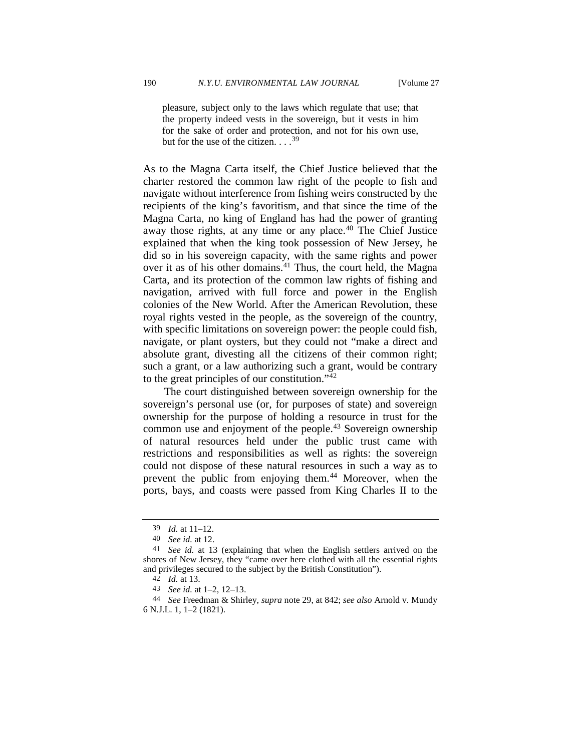pleasure, subject only to the laws which regulate that use; that the property indeed vests in the sovereign, but it vests in him for the sake of order and protection, and not for his own use, but for the use of the citizen.  $\ldots$ <sup>[39](#page-7-0)</sup>

As to the Magna Carta itself, the Chief Justice believed that the charter restored the common law right of the people to fish and navigate without interference from fishing weirs constructed by the recipients of the king's favoritism, and that since the time of the Magna Carta, no king of England has had the power of granting away those rights, at any time or any place.<sup>[40](#page-7-1)</sup> The Chief Justice explained that when the king took possession of New Jersey, he did so in his sovereign capacity, with the same rights and power over it as of his other domains. $41$  Thus, the court held, the Magna Carta, and its protection of the common law rights of fishing and navigation, arrived with full force and power in the English colonies of the New World. After the American Revolution, these royal rights vested in the people, as the sovereign of the country, with specific limitations on sovereign power: the people could fish, navigate, or plant oysters, but they could not "make a direct and absolute grant, divesting all the citizens of their common right; such a grant, or a law authorizing such a grant, would be contrary to the great principles of our constitution."[42](#page-7-3)

The court distinguished between sovereign ownership for the sovereign's personal use (or, for purposes of state) and sovereign ownership for the purpose of holding a resource in trust for the common use and enjoyment of the people.<sup>43</sup> Sovereign ownership of natural resources held under the public trust came with restrictions and responsibilities as well as rights: the sovereign could not dispose of these natural resources in such a way as to prevent the public from enjoying them.<sup>[44](#page-7-5)</sup> Moreover, when the ports, bays, and coasts were passed from King Charles II to the

<sup>39</sup> *Id.* at 11–12.

<sup>40</sup> *See id.* at 12.

<span id="page-7-2"></span><span id="page-7-1"></span><span id="page-7-0"></span><sup>41</sup> *See id.* at 13 (explaining that when the English settlers arrived on the shores of New Jersey, they "came over here clothed with all the essential rights and privileges secured to the subject by the British Constitution").

<sup>42</sup> *Id.* at 13.

<sup>43</sup> *See id.* at 1–2, 12–13.

<span id="page-7-5"></span><span id="page-7-4"></span><span id="page-7-3"></span><sup>44</sup> *See* Freedman & Shirley, *supra* not[e 29,](#page-5-7) at 842; *see also* Arnold v. Mundy 6 N.J.L. 1, 1–2 (1821).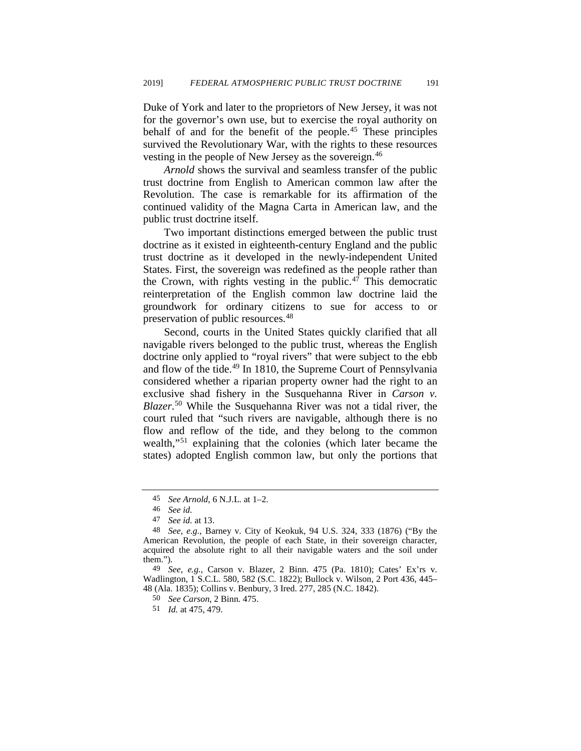Duke of York and later to the proprietors of New Jersey, it was not for the governor's own use, but to exercise the royal authority on behalf of and for the benefit of the people.[45](#page-8-0) These principles survived the Revolutionary War, with the rights to these resources vesting in the people of New Jersey as the sovereign.<sup>[46](#page-8-1)</sup>

*Arnold* shows the survival and seamless transfer of the public trust doctrine from English to American common law after the Revolution. The case is remarkable for its affirmation of the continued validity of the Magna Carta in American law, and the public trust doctrine itself.

Two important distinctions emerged between the public trust doctrine as it existed in eighteenth-century England and the public trust doctrine as it developed in the newly-independent United States. First, the sovereign was redefined as the people rather than the Crown, with rights vesting in the public.<sup>[47](#page-8-2)</sup> This democratic reinterpretation of the English common law doctrine laid the groundwork for ordinary citizens to sue for access to or preservation of public resources.[48](#page-8-3)

Second, courts in the United States quickly clarified that all navigable rivers belonged to the public trust, whereas the English doctrine only applied to "royal rivers" that were subject to the ebb and flow of the tide.<sup>[49](#page-8-4)</sup> In 1810, the Supreme Court of Pennsylvania considered whether a riparian property owner had the right to an exclusive shad fishery in the Susquehanna River in *Carson v. Blazer*. [50](#page-8-5) While the Susquehanna River was not a tidal river, the court ruled that "such rivers are navigable, although there is no flow and reflow of the tide, and they belong to the common wealth,"[51](#page-8-6) explaining that the colonies (which later became the states) adopted English common law, but only the portions that

<span id="page-8-6"></span><span id="page-8-5"></span><span id="page-8-4"></span>49 *See, e.g.*, Carson v. Blazer, 2 Binn. 475 (Pa. 1810); Cates' Ex'rs v. Wadlington, 1 S.C.L. 580, 582 (S.C. 1822); Bullock v. Wilson, 2 Port 436, 445– 48 (Ala. 1835); Collins v. Benbury, 3 Ired. 277, 285 (N.C. 1842).

50 *See Carson*, 2 Binn. 475.

51 *Id.* at 475, 479.

<sup>45</sup> *See Arnold*, 6 N.J.L. at 1–2.

<sup>46</sup> *See id.*

<sup>47</sup> *See id.* at 13.

<span id="page-8-3"></span><span id="page-8-2"></span><span id="page-8-1"></span><span id="page-8-0"></span><sup>48</sup> *See, e.g.*, Barney v. City of Keokuk*,* 94 U.S. 324, 333 (1876) ("By the American Revolution, the people of each State, in their sovereign character, acquired the absolute right to all their navigable waters and the soil under them.").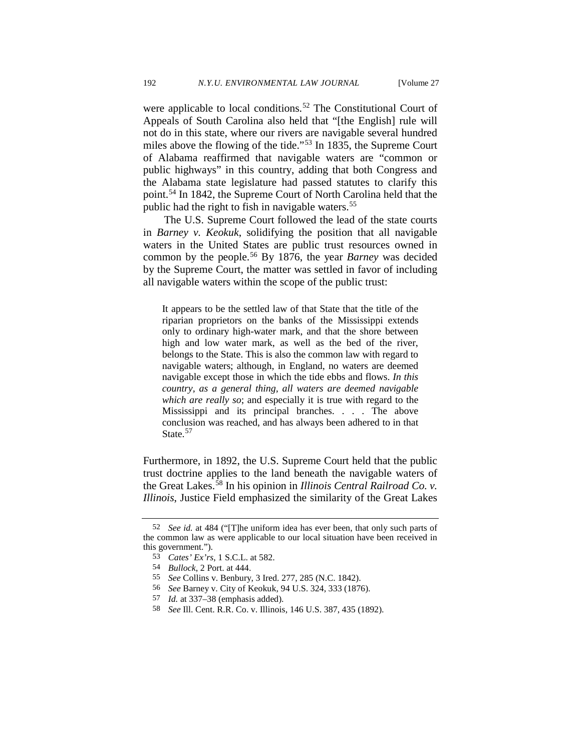were applicable to local conditions.<sup>[52](#page-9-0)</sup> The Constitutional Court of Appeals of South Carolina also held that "[the English] rule will not do in this state, where our rivers are navigable several hundred miles above the flowing of the tide."[53](#page-9-1) In 1835, the Supreme Court of Alabama reaffirmed that navigable waters are "common or public highways" in this country, adding that both Congress and the Alabama state legislature had passed statutes to clarify this point.[54](#page-9-2) In 1842, the Supreme Court of North Carolina held that the public had the right to fish in navigable waters.<sup>[55](#page-9-3)</sup>

The U.S. Supreme Court followed the lead of the state courts in *Barney v. Keokuk*, solidifying the position that all navigable waters in the United States are public trust resources owned in common by the people.[56](#page-9-4) By 1876, the year *Barney* was decided by the Supreme Court, the matter was settled in favor of including all navigable waters within the scope of the public trust:

It appears to be the settled law of that State that the title of the riparian proprietors on the banks of the Mississippi extends only to ordinary high-water mark, and that the shore between high and low water mark, as well as the bed of the river, belongs to the State. This is also the common law with regard to navigable waters; although, in England, no waters are deemed navigable except those in which the tide ebbs and flows. *In this country, as a general thing, all waters are deemed navigable which are really so*; and especially it is true with regard to the Mississippi and its principal branches. . . . The above conclusion was reached, and has always been adhered to in that State.<sup>[57](#page-9-5)</sup>

Furthermore, in 1892, the U.S. Supreme Court held that the public trust doctrine applies to the land beneath the navigable waters of the Great Lakes.[58](#page-9-6) In his opinion in *Illinois Central Railroad Co. v. Illinois*, Justice Field emphasized the similarity of the Great Lakes

<span id="page-9-3"></span><span id="page-9-2"></span><span id="page-9-1"></span><span id="page-9-0"></span><sup>52</sup> *See id.* at 484 ("[T]he uniform idea has ever been, that only such parts of the common law as were applicable to our local situation have been received in this government.").

<sup>53</sup> *Cates' Ex'rs*, 1 S.C.L. at 582.

<sup>54</sup> *Bullock*, 2 Port. at 444.

<sup>55</sup> *See* Collins v. Benbury, 3 Ired. 277, 285 (N.C. 1842).

<span id="page-9-4"></span><sup>56</sup> *See* Barney v. City of Keokuk*,* 94 U.S. 324, 333 (1876).

<span id="page-9-5"></span><sup>57</sup> *Id.* at 337–38 (emphasis added).

<span id="page-9-6"></span><sup>58</sup> *See* Ill. Cent. R.R. Co. v. Illinois*,* 146 U.S. 387, 435 (1892).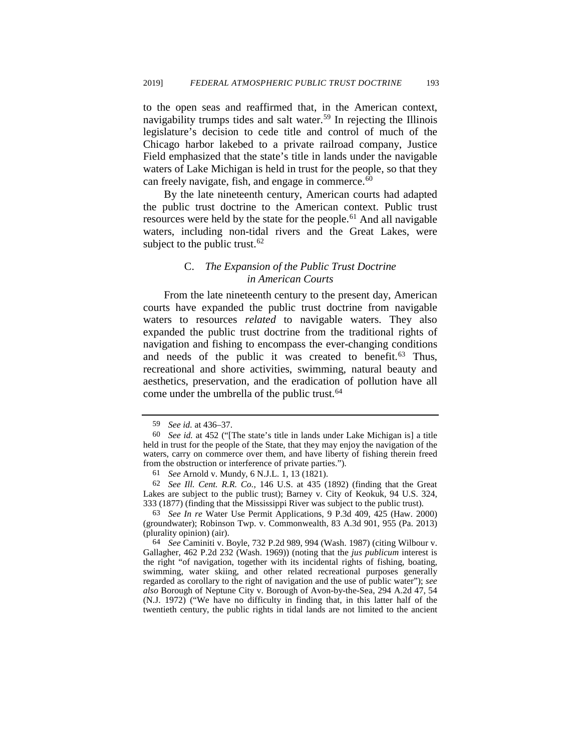to the open seas and reaffirmed that, in the American context, navigability trumps tides and salt water.<sup>[59](#page-10-0)</sup> In rejecting the Illinois legislature's decision to cede title and control of much of the Chicago harbor lakebed to a private railroad company, Justice Field emphasized that the state's title in lands under the navigable waters of Lake Michigan is held in trust for the people, so that they can freely navigate, fish, and engage in commerce.<sup>[60](#page-10-1)</sup>

By the late nineteenth century, American courts had adapted the public trust doctrine to the American context. Public trust resources were held by the state for the people.<sup>[61](#page-10-2)</sup> And all navigable waters, including non-tidal rivers and the Great Lakes, were subject to the public trust.<sup>[62](#page-10-3)</sup>

### C. *The Expansion of the Public Trust Doctrine in American Courts*

From the late nineteenth century to the present day, American courts have expanded the public trust doctrine from navigable waters to resources *related* to navigable waters. They also expanded the public trust doctrine from the traditional rights of navigation and fishing to encompass the ever-changing conditions and needs of the public it was created to benefit.<sup>[63](#page-10-4)</sup> Thus, recreational and shore activities, swimming, natural beauty and aesthetics, preservation, and the eradication of pollution have all come under the umbrella of the public trust.<sup>[64](#page-10-5)</sup>

<sup>59</sup> *See id.* at 436–37.

<span id="page-10-1"></span><span id="page-10-0"></span><sup>60</sup> *See id.* at 452 ("[The state's title in lands under Lake Michigan is] a title held in trust for the people of the State, that they may enjoy the navigation of the waters, carry on commerce over them, and have liberty of fishing therein freed from the obstruction or interference of private parties.").

<sup>61</sup> *See* Arnold v. Mundy, 6 N.J.L. 1, 13 (1821).

<span id="page-10-3"></span><span id="page-10-2"></span><sup>62</sup> *See Ill. Cent. R.R. Co.,* 146 U.S. at 435 (1892) (finding that the Great Lakes are subject to the public trust); Barney v. City of Keokuk*,* 94 U.S. 324, 333 (1877) (finding that the Mississippi River was subject to the public trust).

<span id="page-10-4"></span><sup>63</sup> *See In re* Water Use Permit Applications, 9 P.3d 409, 425 (Haw. 2000) (groundwater); Robinson Twp. v. Commonwealth, 83 A.3d 901, 955 (Pa. 2013) (plurality opinion) (air).

<span id="page-10-5"></span><sup>64</sup> *See* Caminiti v. Boyle, 732 P.2d 989, 994 (Wash. 1987) (citing Wilbour v. Gallagher, 462 P.2d 232 (Wash. 1969)) (noting that the *jus publicum* interest is the right "of navigation, together with its incidental rights of fishing, boating, swimming, water skiing, and other related recreational purposes generally regarded as corollary to the right of navigation and the use of public water"); *see also* Borough of Neptune City v. Borough of Avon-by-the-Sea, 294 A.2d 47, 54 (N.J. 1972) ("We have no difficulty in finding that, in this latter half of the twentieth century, the public rights in tidal lands are not limited to the ancient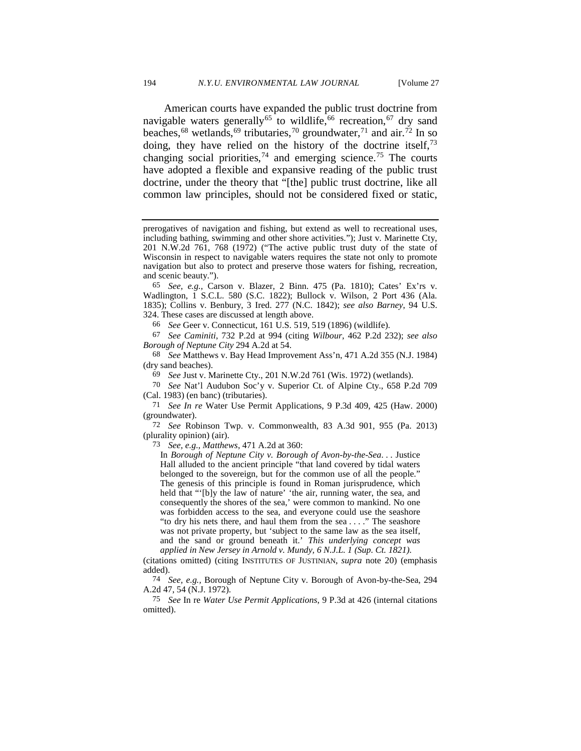<span id="page-11-11"></span>American courts have expanded the public trust doctrine from navigable waters generally<sup>[65](#page-11-0)</sup> to wildlife,<sup>66</sup> recreation,<sup>[67](#page-11-2)</sup> dry sand beaches,<sup>[68](#page-11-3)</sup> wetlands,<sup>69</sup> tributaries,<sup>[70](#page-11-5)</sup> groundwater,<sup>[71](#page-11-6)</sup> and air.<sup>[72](#page-11-7)</sup> In so doing, they have relied on the history of the doctrine itself,  $73$ changing social priorities,<sup>[74](#page-11-9)</sup> and emerging science.<sup>[75](#page-11-10)</sup> The courts have adopted a flexible and expansive reading of the public trust doctrine, under the theory that "[the] public trust doctrine, like all common law principles, should not be considered fixed or static,

66 *See* Geer v. Connecticut, 161 U.S. 519, 519 (1896) (wildlife).

<span id="page-11-2"></span><span id="page-11-1"></span>67 *See Caminiti*, 732 P.2d at 994 (citing *Wilbour*, 462 P.2d 232); *see also Borough of Neptune City* 294 A.2d at 54.

<span id="page-11-3"></span>68 *See* Matthews v. Bay Head Improvement Ass'n, 471 A.2d 355 (N.J. 1984) (dry sand beaches).

69 *See* Just v. Marinette Cty., 201 N.W.2d 761 (Wis. 1972) (wetlands).

<span id="page-11-5"></span><span id="page-11-4"></span>70 *See* Nat'l Audubon Soc'y v. Superior Ct. of Alpine Cty., 658 P.2d 709 (Cal. 1983) (en banc) (tributaries).

<span id="page-11-6"></span>71 *See In re* Water Use Permit Applications, 9 P.3d 409, 425 (Haw. 2000) (groundwater).

<span id="page-11-8"></span><span id="page-11-7"></span>72 *See* Robinson Twp. v. Commonwealth, 83 A.3d 901, 955 (Pa. 2013) (plurality opinion) (air).

73 *See, e.g., Matthews*, 471 A.2d at 360:

In *Borough of Neptune City v. Borough of Avon-by-the-Sea*. . . Justice Hall alluded to the ancient principle "that land covered by tidal waters belonged to the sovereign, but for the common use of all the people." The genesis of this principle is found in Roman jurisprudence, which held that "'[b]y the law of nature' 'the air, running water, the sea, and consequently the shores of the sea,' were common to mankind. No one was forbidden access to the sea, and everyone could use the seashore "to dry his nets there, and haul them from the sea . . . ." The seashore was not private property, but 'subject to the same law as the sea itself, and the sand or ground beneath it.' *This underlying concept was applied in New Jersey in Arnold v. Mundy, 6 N.J.L. 1 (Sup. Ct. 1821).*

(citations omitted) (citing INSTITUTES OF JUSTINIAN, *supra* note [20\)](#page-4-7) (emphasis added).

<span id="page-11-9"></span>74 *See, e.g.,* Borough of Neptune City v. Borough of Avon-by-the-Sea, 294 A.2d 47, 54 (N.J. 1972).

<span id="page-11-10"></span>75 *See* In re *Water Use Permit Applications*, 9 P.3d at 426 (internal citations omitted).

prerogatives of navigation and fishing, but extend as well to recreational uses, including bathing, swimming and other shore activities."); Just v. Marinette Cty, 201 N.W.2d 761, 768 (1972) ("The active public trust duty of the state of Wisconsin in respect to navigable waters requires the state not only to promote navigation but also to protect and preserve those waters for fishing, recreation, and scenic beauty.").

<span id="page-11-0"></span><sup>65</sup> *See, e.g.,* Carson v. Blazer, 2 Binn. 475 (Pa. 1810); Cates' Ex'rs v. Wadlington, 1 S.C.L. 580 (S.C. 1822); Bullock v. Wilson, 2 Port 436 (Ala. 1835); Collins v. Benbury, 3 Ired. 277 (N.C. 1842); *see also Barney*, 94 U.S. 324. These cases are discussed at length above.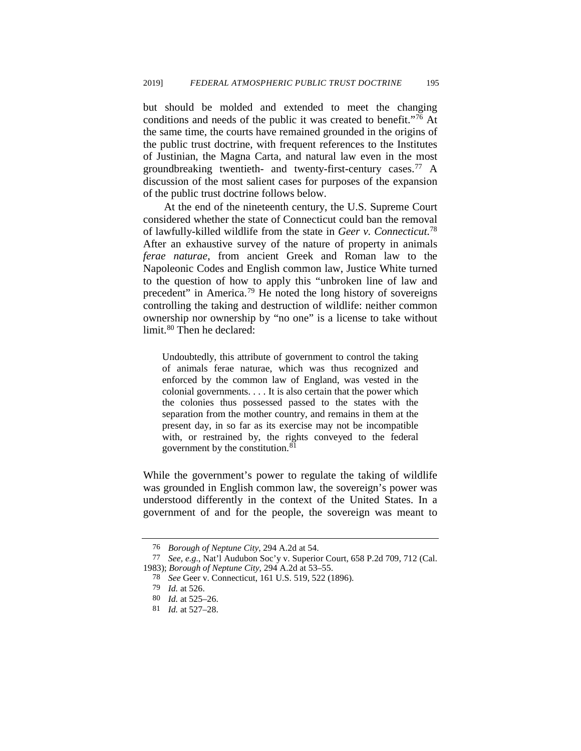but should be molded and extended to meet the changing conditions and needs of the public it was created to benefit."[76](#page-12-0) At the same time, the courts have remained grounded in the origins of the public trust doctrine, with frequent references to the Institutes of Justinian, the Magna Carta, and natural law even in the most groundbreaking twentieth- and twenty-first-century cases.[77](#page-12-1) A discussion of the most salient cases for purposes of the expansion of the public trust doctrine follows below.

At the end of the nineteenth century, the U.S. Supreme Court considered whether the state of Connecticut could ban the removal of lawfully-killed wildlife from the state in *Geer v. Connecticut*. [78](#page-12-2) After an exhaustive survey of the nature of property in animals *ferae naturae*, from ancient Greek and Roman law to the Napoleonic Codes and English common law, Justice White turned to the question of how to apply this "unbroken line of law and precedent" in America.<sup>[79](#page-12-3)</sup> He noted the long history of sovereigns controlling the taking and destruction of wildlife: neither common ownership nor ownership by "no one" is a license to take without limit.<sup>[80](#page-12-4)</sup> Then he declared:

Undoubtedly, this attribute of government to control the taking of animals ferae naturae, which was thus recognized and enforced by the common law of England, was vested in the colonial governments. . . . It is also certain that the power which the colonies thus possessed passed to the states with the separation from the mother country, and remains in them at the present day, in so far as its exercise may not be incompatible with, or restrained by, the rights conveyed to the federal government by the constitution.<sup>[81](#page-12-5)</sup>

While the government's power to regulate the taking of wildlife was grounded in English common law, the sovereign's power was understood differently in the context of the United States. In a government of and for the people, the sovereign was meant to

<sup>76</sup> *Borough of Neptune City*, 294 A.2d at 54.

<span id="page-12-4"></span><span id="page-12-3"></span><span id="page-12-2"></span><span id="page-12-1"></span><span id="page-12-0"></span><sup>77</sup> *See, e.g.*, Nat'l Audubon Soc'y v. Superior Court, 658 P.2d 709, 712 (Cal. 1983); *Borough of Neptune City*, 294 A.2d at 53–55.

<sup>78</sup> *See* Geer v. Connecticut, 161 U.S. 519, 522 (1896).

<sup>79</sup> *Id.* at 526.

<sup>80</sup> *Id.* at 525–26.

<span id="page-12-5"></span><sup>81</sup> *Id.* at 527–28.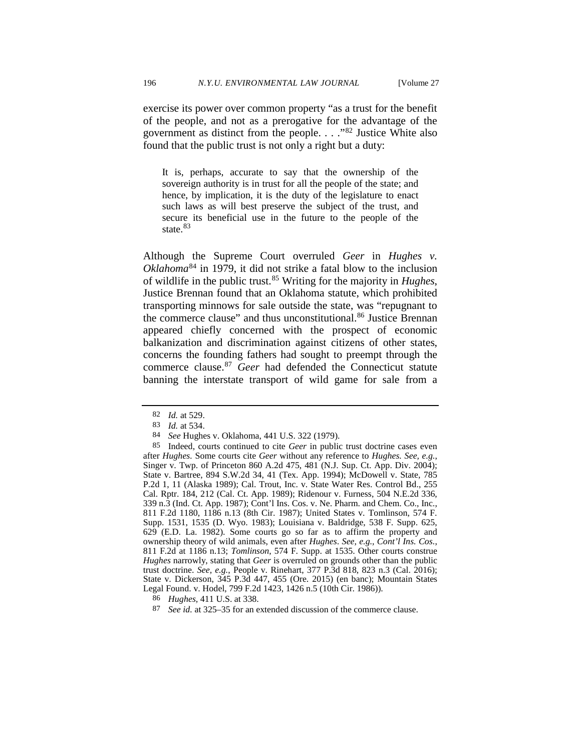exercise its power over common property "as a trust for the benefit of the people, and not as a prerogative for the advantage of the government as distinct from the people. . . ."[82](#page-13-0) Justice White also found that the public trust is not only a right but a duty:

It is, perhaps, accurate to say that the ownership of the sovereign authority is in trust for all the people of the state; and hence, by implication, it is the duty of the legislature to enact such laws as will best preserve the subject of the trust, and secure its beneficial use in the future to the people of the state.<sup>[83](#page-13-1)</sup>

Although the Supreme Court overruled *Geer* in *Hughes v. Oklahoma*[84](#page-13-2) in 1979, it did not strike a fatal blow to the inclusion of wildlife in the public trust.[85](#page-13-3) Writing for the majority in *Hughes*, Justice Brennan found that an Oklahoma statute, which prohibited transporting minnows for sale outside the state, was "repugnant to the commerce clause" and thus unconstitutional.<sup>[86](#page-13-4)</sup> Justice Brennan appeared chiefly concerned with the prospect of economic balkanization and discrimination against citizens of other states, concerns the founding fathers had sought to preempt through the commerce clause.[87](#page-13-5) *Geer* had defended the Connecticut statute banning the interstate transport of wild game for sale from a

<span id="page-13-5"></span>87 *See id.* at 325–35 for an extended discussion of the commerce clause.

<sup>82</sup> *Id.* at 529.

<sup>83</sup> *Id.* at 534.

<sup>84</sup> *See* Hughes v. Oklahoma, 441 U.S. 322 (1979).

<span id="page-13-3"></span><span id="page-13-2"></span><span id="page-13-1"></span><span id="page-13-0"></span><sup>85</sup> Indeed, courts continued to cite *Geer* in public trust doctrine cases even after *Hughes.* Some courts cite *Geer* without any reference to *Hughes. See, e.g.*, Singer v. Twp. of Princeton 860 A.2d 475, 481 (N.J. Sup. Ct. App. Div. 2004); State v. Bartree, 894 S.W.2d 34, 41 (Tex. App. 1994); McDowell v. State, 785 P.2d 1, 11 (Alaska 1989); Cal. Trout, Inc. v. State Water Res. Control Bd., 255 Cal. Rptr. 184, 212 (Cal. Ct. App. 1989); Ridenour v. Furness, 504 N.E.2d 336, 339 n.3 (Ind. Ct. App. 1987); Cont'l Ins. Cos. v. Ne. Pharm. and Chem. Co., Inc., 811 F.2d 1180, 1186 n.13 (8th Cir. 1987); United States v. Tomlinson, 574 F. Supp. 1531, 1535 (D. Wyo. 1983); Louisiana v. Baldridge, 538 F. Supp. 625, 629 (E.D. La. 1982). Some courts go so far as to affirm the property and ownership theory of wild animals, even after *Hughes*. *See, e.g., Cont'l Ins. Cos.*, 811 F.2d at 1186 n.13; *Tomlinson*, 574 F. Supp. at 1535. Other courts construe *Hughes* narrowly, stating that *Geer* is overruled on grounds other than the public trust doctrine. *See, e.g.*, People v. Rinehart, 377 P.3d 818, 823 n.3 (Cal. 2016); State v. Dickerson, 345 P.3d 447, 455 (Ore. 2015) (en banc); Mountain States Legal Found. v. Hodel, 799 F.2d 1423, 1426 n.5 (10th Cir. 1986)).

<span id="page-13-4"></span><sup>86</sup> *Hughes,* 411 U.S. at 338.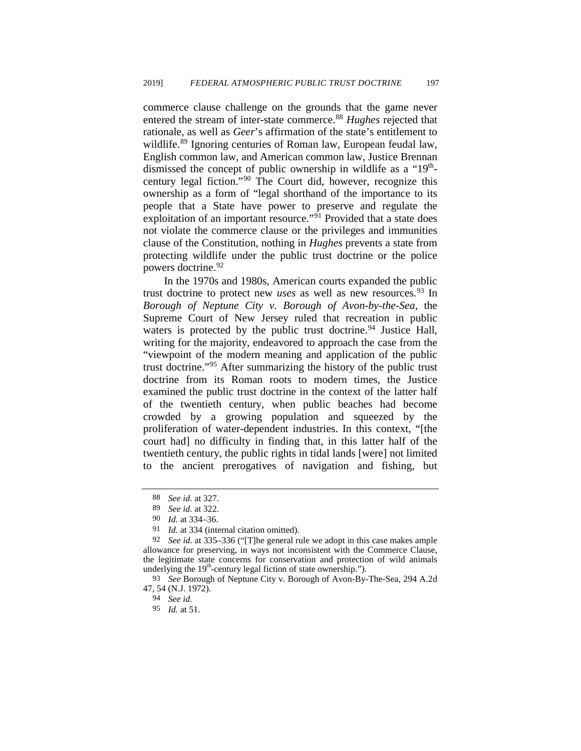commerce clause challenge on the grounds that the game never entered the stream of inter-state commerce.<sup>[88](#page-14-0)</sup> *Hughes* rejected that rationale, as well as *Geer*'s affirmation of the state's entitlement to wildlife.<sup>[89](#page-14-1)</sup> Ignoring centuries of Roman law, European feudal law, English common law, and American common law, Justice Brennan dismissed the concept of public ownership in wildlife as a " $19<sup>th</sup>$ century legal fiction."[90](#page-14-2) The Court did, however, recognize this ownership as a form of "legal shorthand of the importance to its people that a State have power to preserve and regulate the exploitation of an important resource."<sup>[91](#page-14-3)</sup> Provided that a state does not violate the commerce clause or the privileges and immunities clause of the Constitution, nothing in *Hughes* prevents a state from protecting wildlife under the public trust doctrine or the police powers doctrine.<sup>[92](#page-14-4)</sup>

In the 1970s and 1980s, American courts expanded the public trust doctrine to protect new *uses* as well as new resources.<sup>[93](#page-14-5)</sup> In *Borough of Neptune City v. Borough of Avon-by-the-Sea*, the Supreme Court of New Jersey ruled that recreation in public waters is protected by the public trust doctrine.<sup>[94](#page-14-6)</sup> Justice Hall, writing for the majority, endeavored to approach the case from the "viewpoint of the modern meaning and application of the public trust doctrine."[95](#page-14-7) After summarizing the history of the public trust doctrine from its Roman roots to modern times, the Justice examined the public trust doctrine in the context of the latter half of the twentieth century, when public beaches had become crowded by a growing population and squeezed by the proliferation of water-dependent industries. In this context, "[the court had] no difficulty in finding that, in this latter half of the twentieth century, the public rights in tidal lands [were] not limited to the ancient prerogatives of navigation and fishing, but

<sup>88</sup> *See id.* at 327.

<sup>89</sup> *See id.* at 322.

<sup>90</sup> *Id.* at 334–36.

<sup>91</sup> *Id.* at 334 (internal citation omitted).

<span id="page-14-4"></span><span id="page-14-3"></span><span id="page-14-2"></span><span id="page-14-1"></span><span id="page-14-0"></span><sup>92</sup> *See id.* at 335–336 ("[T]he general rule we adopt in this case makes ample allowance for preserving, in ways not inconsistent with the Commerce Clause, the legitimate state concerns for conservation and protection of wild animals underlying the  $19<sup>th</sup>$ -century legal fiction of state ownership.").

<span id="page-14-7"></span><span id="page-14-6"></span><span id="page-14-5"></span><sup>93</sup> *See* Borough of Neptune City v. Borough of Avon-By-The-Sea, 294 A.2d 47, 54 (N.J. 1972).

<sup>94</sup> *See id.*

<sup>95</sup> *Id.* at 51.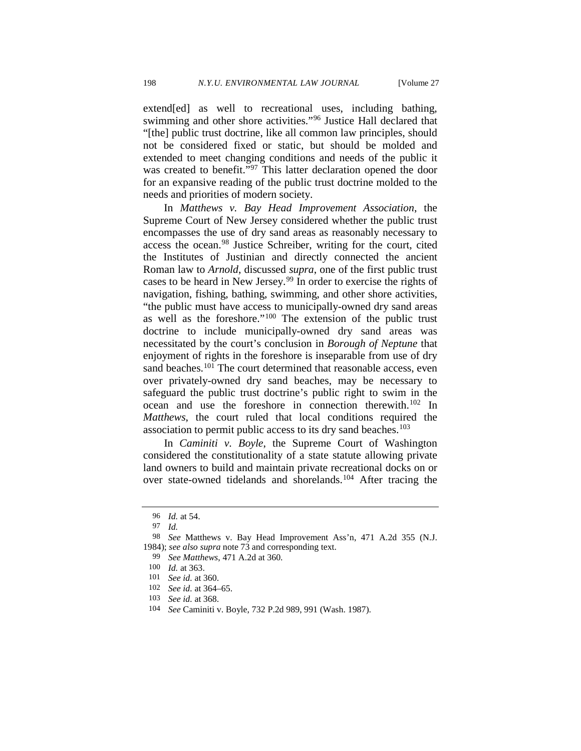extend[ed] as well to recreational uses, including bathing, swimming and other shore activities.["96](#page-15-0) Justice Hall declared that "[the] public trust doctrine, like all common law principles, should not be considered fixed or static, but should be molded and extended to meet changing conditions and needs of the public it was created to benefit."<sup>[97](#page-15-1)</sup> This latter declaration opened the door for an expansive reading of the public trust doctrine molded to the needs and priorities of modern society.

In *Matthews v. Bay Head Improvement Association*, the Supreme Court of New Jersey considered whether the public trust encompasses the use of dry sand areas as reasonably necessary to access the ocean.[98](#page-15-2) Justice Schreiber, writing for the court, cited the Institutes of Justinian and directly connected the ancient Roman law to *Arnold*, discussed *supra*, one of the first public trust cases to be heard in New Jersey.<sup>[99](#page-15-3)</sup> In order to exercise the rights of navigation, fishing, bathing, swimming, and other shore activities, "the public must have access to municipally-owned dry sand areas as well as the foreshore."[100](#page-15-4) The extension of the public trust doctrine to include municipally-owned dry sand areas was necessitated by the court's conclusion in *Borough of Neptune* that enjoyment of rights in the foreshore is inseparable from use of dry sand beaches.<sup>[101](#page-15-5)</sup> The court determined that reasonable access, even over privately-owned dry sand beaches, may be necessary to safeguard the public trust doctrine's public right to swim in the ocean and use the foreshore in connection therewith.[102](#page-15-6) In *Matthews*, the court ruled that local conditions required the association to permit public access to its dry sand beaches.<sup>[103](#page-15-7)</sup>

In *Caminiti v. Boyle*, the Supreme Court of Washington considered the constitutionality of a state statute allowing private land owners to build and maintain private recreational docks on or over state-owned tidelands and shorelands.<sup>[104](#page-15-8)</sup> After tracing the

<sup>96</sup> *Id.* at 54.

<sup>97</sup> *Id.*

<span id="page-15-4"></span><span id="page-15-3"></span><span id="page-15-2"></span><span id="page-15-1"></span><span id="page-15-0"></span><sup>98</sup> *See* Matthews v. Bay Head Improvement Ass'n, 471 A.2d 355 (N.J. 1984); *see also supra* note 73 and corresponding text. 99 *See Matthews*, 471 A.2d at 360.

<span id="page-15-5"></span>

<sup>100</sup> *Id.* at 363.

<sup>101</sup> *See id.* at 360.

<span id="page-15-6"></span><sup>102</sup> *See id.* at 364–65.

<span id="page-15-7"></span><sup>103</sup> *See id.* at 368.

<span id="page-15-8"></span><sup>104</sup> *See* Caminiti v. Boyle, 732 P.2d 989, 991 (Wash. 1987).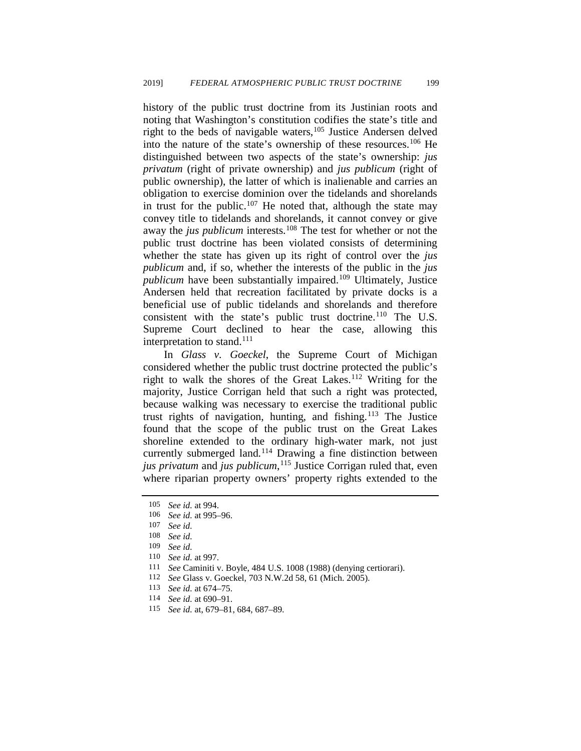history of the public trust doctrine from its Justinian roots and noting that Washington's constitution codifies the state's title and right to the beds of navigable waters,<sup>[105](#page-16-0)</sup> Justice Andersen delved into the nature of the state's ownership of these resources.[106](#page-16-1) He distinguished between two aspects of the state's ownership: *jus privatum* (right of private ownership) and *jus publicum* (right of public ownership), the latter of which is inalienable and carries an obligation to exercise dominion over the tidelands and shorelands in trust for the public.<sup>[107](#page-16-2)</sup> He noted that, although the state may convey title to tidelands and shorelands, it cannot convey or give away the *jus publicum* interests.<sup>[108](#page-16-3)</sup> The test for whether or not the public trust doctrine has been violated consists of determining whether the state has given up its right of control over the *jus publicum* and, if so, whether the interests of the public in the *jus publicum* have been substantially impaired.<sup>109</sup> Ultimately, Justice Andersen held that recreation facilitated by private docks is a beneficial use of public tidelands and shorelands and therefore consistent with the state's public trust doctrine.<sup>[110](#page-16-5)</sup> The U.S. Supreme Court declined to hear the case, allowing this interpretation to stand.<sup>[111](#page-16-6)</sup>

In *Glass v. Goeckel*, the Supreme Court of Michigan considered whether the public trust doctrine protected the public's right to walk the shores of the Great Lakes.<sup>[112](#page-16-7)</sup> Writing for the majority, Justice Corrigan held that such a right was protected, because walking was necessary to exercise the traditional public trust rights of navigation, hunting, and fishing.<sup>[113](#page-16-8)</sup> The Justice found that the scope of the public trust on the Great Lakes shoreline extended to the ordinary high-water mark, not just currently submerged land.[114](#page-16-9) Drawing a fine distinction between *jus privatum* and *jus publicum*, [115](#page-16-10) Justice Corrigan ruled that, even where riparian property owners' property rights extended to the

<span id="page-16-0"></span><sup>105</sup> *See id.* at 994.

<span id="page-16-1"></span><sup>106</sup> *See id.* at 995–96.

See *id.* 

<span id="page-16-3"></span><span id="page-16-2"></span><sup>108</sup> *See id.*

<span id="page-16-4"></span><sup>109</sup> *See id.*

<span id="page-16-5"></span><sup>110</sup> *See id.* at 997.

<span id="page-16-6"></span><sup>111</sup> *See* Caminiti v. Boyle, 484 U.S. 1008 (1988) (denying certiorari).

<span id="page-16-7"></span><sup>112</sup> *See* Glass v. Goeckel, 703 N.W.2d 58, 61 (Mich. 2005).

<sup>113</sup> *See id.* at 674–75.

<span id="page-16-10"></span><span id="page-16-9"></span><span id="page-16-8"></span><sup>114</sup> *See id.* at 690–91.

<sup>115</sup> *See id.* at, 679–81, 684, 687–89.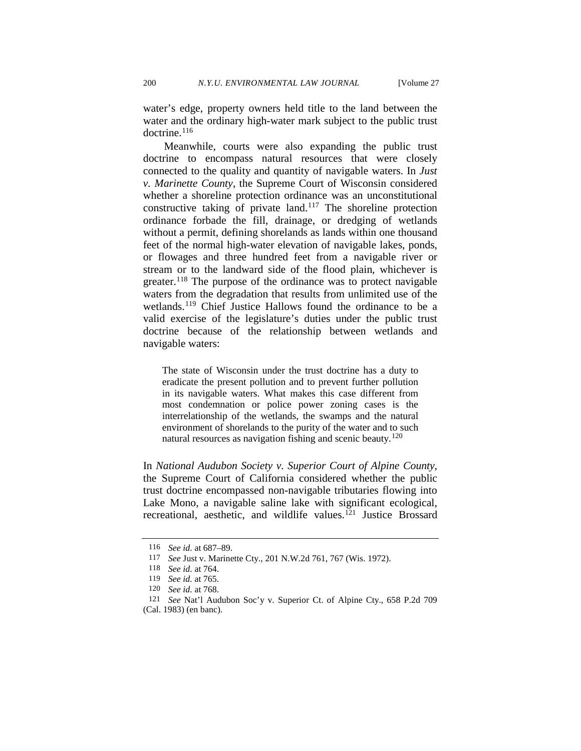water's edge, property owners held title to the land between the water and the ordinary high-water mark subject to the public trust doctrine.[116](#page-17-0)

Meanwhile, courts were also expanding the public trust doctrine to encompass natural resources that were closely connected to the quality and quantity of navigable waters. In *Just v. Marinette County*, the Supreme Court of Wisconsin considered whether a shoreline protection ordinance was an unconstitutional constructive taking of private land.[117](#page-17-1) The shoreline protection ordinance forbade the fill, drainage, or dredging of wetlands without a permit, defining shorelands as lands within one thousand feet of the normal high-water elevation of navigable lakes, ponds, or flowages and three hundred feet from a navigable river or stream or to the landward side of the flood plain, whichever is greater.<sup>[118](#page-17-2)</sup> The purpose of the ordinance was to protect navigable waters from the degradation that results from unlimited use of the wetlands.<sup>[119](#page-17-3)</sup> Chief Justice Hallows found the ordinance to be a valid exercise of the legislature's duties under the public trust doctrine because of the relationship between wetlands and navigable waters:

The state of Wisconsin under the trust doctrine has a duty to eradicate the present pollution and to prevent further pollution in its navigable waters. What makes this case different from most condemnation or police power zoning cases is the interrelationship of the wetlands, the swamps and the natural environment of shorelands to the purity of the water and to such natural resources as navigation fishing and scenic beauty.<sup>[120](#page-17-4)</sup>

In *National Audubon Society v. Superior Court of Alpine County*, the Supreme Court of California considered whether the public trust doctrine encompassed non-navigable tributaries flowing into Lake Mono, a navigable saline lake with significant ecological, recreational, aesthetic, and wildlife values.<sup>[121](#page-17-5)</sup> Justice Brossard

<sup>116</sup> *See id.* at 687–89.

<span id="page-17-1"></span><span id="page-17-0"></span><sup>117</sup> *See* Just v. Marinette Cty., 201 N.W.2d 761, 767 (Wis. 1972).

<sup>118</sup> *See id.* at 764.

<sup>119</sup> *See id.* at 765.

<sup>120</sup> *See id.* at 768.

<span id="page-17-5"></span><span id="page-17-4"></span><span id="page-17-3"></span><span id="page-17-2"></span><sup>121</sup> *See* Nat'l Audubon Soc'y v. Superior Ct. of Alpine Cty., 658 P.2d 709 (Cal. 1983) (en banc).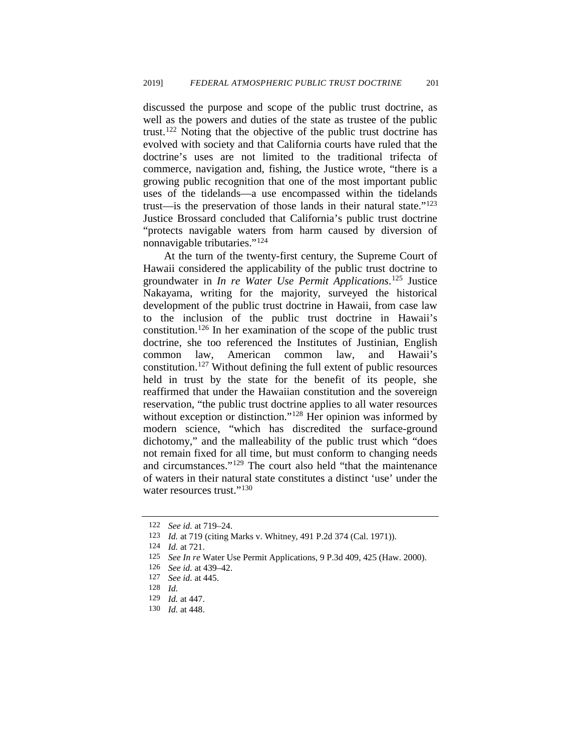discussed the purpose and scope of the public trust doctrine, as well as the powers and duties of the state as trustee of the public trust.[122](#page-18-0) Noting that the objective of the public trust doctrine has evolved with society and that California courts have ruled that the doctrine's uses are not limited to the traditional trifecta of commerce, navigation and, fishing, the Justice wrote, "there is a growing public recognition that one of the most important public uses of the tidelands—a use encompassed within the tidelands trust—is the preservation of those lands in their natural state.["123](#page-18-1) Justice Brossard concluded that California's public trust doctrine "protects navigable waters from harm caused by diversion of nonnavigable tributaries."[124](#page-18-2)

At the turn of the twenty-first century, the Supreme Court of Hawaii considered the applicability of the public trust doctrine to groundwater in *In re Water Use Permit Applications*. [125](#page-18-3) Justice Nakayama, writing for the majority, surveyed the historical development of the public trust doctrine in Hawaii, from case law to the inclusion of the public trust doctrine in Hawaii's constitution.[126](#page-18-4) In her examination of the scope of the public trust doctrine, she too referenced the Institutes of Justinian, English common law, American common law, and Hawaii's constitution.<sup>[127](#page-18-5)</sup> Without defining the full extent of public resources held in trust by the state for the benefit of its people, she reaffirmed that under the Hawaiian constitution and the sovereign reservation, "the public trust doctrine applies to all water resources without exception or distinction."<sup>[128](#page-18-6)</sup> Her opinion was informed by modern science, "which has discredited the surface-ground dichotomy," and the malleability of the public trust which "does not remain fixed for all time, but must conform to changing needs and circumstances."[129](#page-18-7) The court also held "that the maintenance of waters in their natural state constitutes a distinct 'use' under the water resources trust."<sup>[130](#page-18-8)</sup>

<span id="page-18-0"></span><sup>122</sup> *See id.* at 719–24.

<sup>123</sup> *Id.* at 719 (citing Marks v. Whitney, 491 P.2d 374 (Cal. 1971)).

<span id="page-18-1"></span><sup>124</sup> *Id.* at 721.

<span id="page-18-4"></span><span id="page-18-3"></span><span id="page-18-2"></span>See In re Water Use Permit Applications, 9 P.3d 409, 425 (Haw. 2000).

<sup>126</sup> *See id.* at 439–42.

See id. at 445.

<span id="page-18-6"></span><span id="page-18-5"></span><sup>128</sup> *Id.*

<sup>129</sup> *Id.* at 447.

<span id="page-18-8"></span><span id="page-18-7"></span><sup>130</sup> *Id.* at 448.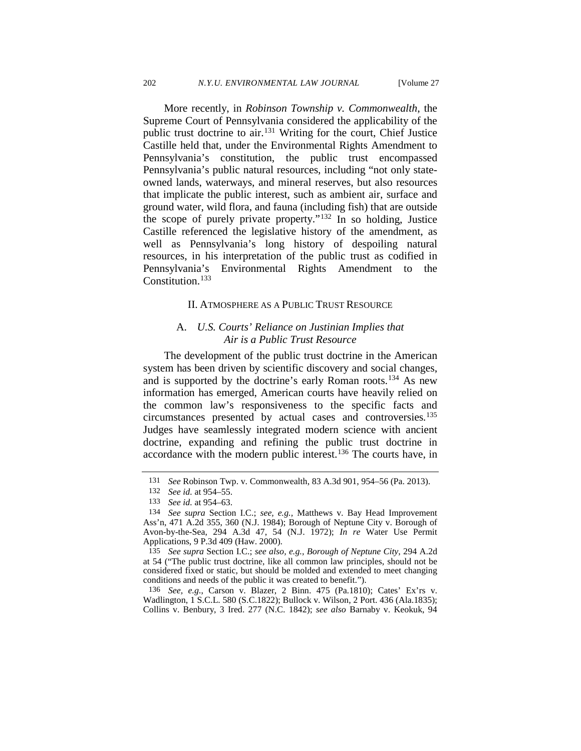More recently, in *Robinson Township v. Commonwealth*, the Supreme Court of Pennsylvania considered the applicability of the public trust doctrine to air.<sup>[131](#page-19-0)</sup> Writing for the court, Chief Justice Castille held that, under the Environmental Rights Amendment to Pennsylvania's constitution, the public trust encompassed Pennsylvania's public natural resources, including "not only stateowned lands, waterways, and mineral reserves, but also resources that implicate the public interest, such as ambient air, surface and ground water, wild flora, and fauna (including fish) that are outside the scope of purely private property."[132](#page-19-1) In so holding, Justice Castille referenced the legislative history of the amendment, as well as Pennsylvania's long history of despoiling natural resources, in his interpretation of the public trust as codified in Pennsylvania's Environmental Rights Amendment to the Constitution.<sup>[133](#page-19-2)</sup>

#### II. ATMOSPHERE AS A PUBLIC TRUST RESOURCE

# A. *U.S. Courts' Reliance on Justinian Implies that Air is a Public Trust Resource*

The development of the public trust doctrine in the American system has been driven by scientific discovery and social changes, and is supported by the doctrine's early Roman roots.<sup>[134](#page-19-3)</sup> As new information has emerged, American courts have heavily relied on the common law's responsiveness to the specific facts and circumstances presented by actual cases and controversies[.135](#page-19-4) Judges have seamlessly integrated modern science with ancient doctrine, expanding and refining the public trust doctrine in accordance with the modern public interest.<sup>[136](#page-19-5)</sup> The courts have, in

<span id="page-19-5"></span>136 *See, e.g.*, Carson v. Blazer, 2 Binn. 475 (Pa.1810); Cates' Ex'rs v. Wadlington, 1 S.C.L. 580 (S.C.1822); Bullock v. Wilson, 2 Port. 436 (Ala.1835); Collins v. Benbury, 3 Ired. 277 (N.C. 1842); *see also* Barnaby v. Keokuk, 94

<span id="page-19-6"></span><sup>131</sup> *See* Robinson Twp. v. Commonwealth, 83 A.3d 901, 954–56 (Pa. 2013).

<sup>132</sup> *See id.* at 954–55.

<sup>133</sup> *See id.* at 954–63.

<span id="page-19-3"></span><span id="page-19-2"></span><span id="page-19-1"></span><span id="page-19-0"></span><sup>134</sup> *See supra* Section I.C.; *see, e.g.,* Matthews v. Bay Head Improvement Ass'n, 471 A.2d 355, 360 (N.J. 1984); Borough of Neptune City v. Borough of Avon-by-the-Sea, 294 A.3d 47, 54 (N.J. 1972); *In re* Water Use Permit Applications, 9 P.3d 409 (Haw. 2000).

<span id="page-19-4"></span><sup>135</sup> *See supra* Section I.C.; *see also, e.g., Borough of Neptune City*, 294 A.2d at 54 ("The public trust doctrine, like all common law principles, should not be considered fixed or static, but should be molded and extended to meet changing conditions and needs of the public it was created to benefit.").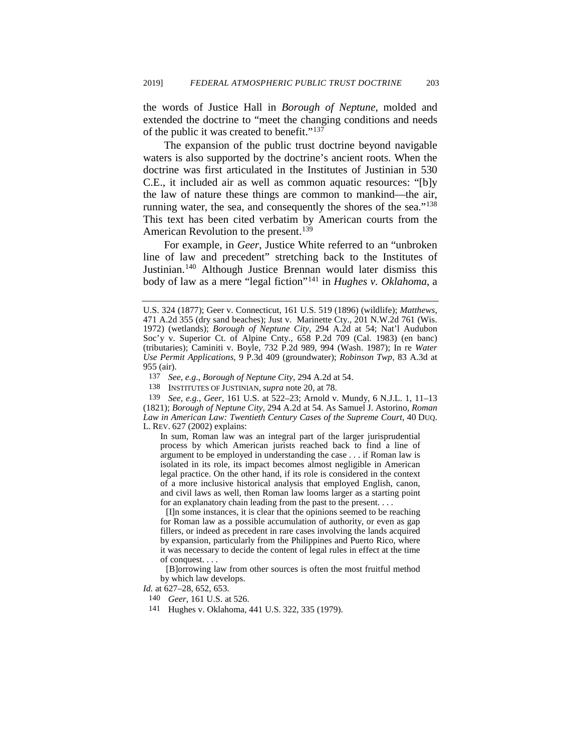the words of Justice Hall in *Borough of Neptune*, molded and extended the doctrine to "meet the changing conditions and needs of the public it was created to benefit."[137](#page-20-0)

The expansion of the public trust doctrine beyond navigable waters is also supported by the doctrine's ancient roots. When the doctrine was first articulated in the Institutes of Justinian in 530 C.E., it included air as well as common aquatic resources: "[b]y the law of nature these things are common to mankind—the air, running water, the sea, and consequently the shores of the sea."<sup>[138](#page-20-1)</sup> This text has been cited verbatim by American courts from the American Revolution to the present.<sup>139</sup>

<span id="page-20-5"></span>For example, in *Geer*, Justice White referred to an "unbroken line of law and precedent" stretching back to the Institutes of Justinian.<sup>[140](#page-20-3)</sup> Although Justice Brennan would later dismiss this body of law as a mere "legal fiction"[141](#page-20-4) in *Hughes v. Oklahoma*, a

In sum, Roman law was an integral part of the larger jurisprudential process by which American jurists reached back to find a line of argument to be employed in understanding the case . . . if Roman law is isolated in its role, its impact becomes almost negligible in American legal practice. On the other hand, if its role is considered in the context of a more inclusive historical analysis that employed English, canon, and civil laws as well, then Roman law looms larger as a starting point for an explanatory chain leading from the past to the present. . . .

[I]n some instances, it is clear that the opinions seemed to be reaching for Roman law as a possible accumulation of authority, or even as gap fillers, or indeed as precedent in rare cases involving the lands acquired by expansion, particularly from the Philippines and Puerto Rico, where it was necessary to decide the content of legal rules in effect at the time of conquest. . . .

[B]orrowing law from other sources is often the most fruitful method by which law develops.

- 140 *Geer*, 161 U.S. at 526.
- 141 Hughes v. Oklahoma, 441 U.S. 322, 335 (1979).

U.S. 324 (1877); Geer v. Connecticut, 161 U.S. 519 (1896) (wildlife); *Matthews*, 471 A.2d 355 (dry sand beaches); Just v. Marinette Cty., 201 N.W.2d 761 (Wis. 1972) (wetlands); *Borough of Neptune City*, 294 A.2d at 54; Nat'l Audubon Soc'y v. Superior Ct. of Alpine Cnty., 658 P.2d 709 (Cal. 1983) (en banc) (tributaries); Caminiti v. Boyle, 732 P.2d 989, 994 (Wash. 1987); In re *Water Use Permit Applications*, 9 P.3d 409 (groundwater); *Robinson Twp*, 83 A.3d at 955 (air).

<sup>137</sup> *See, e.g.*, *Borough of Neptune City*, 294 A.2d at 54.

<sup>138</sup> INSTITUTES OF JUSTINIAN, *supra* note [20,](#page-4-7) at 78.

<span id="page-20-2"></span><span id="page-20-1"></span><span id="page-20-0"></span><sup>139</sup> *See, e.g.*, *Geer*, 161 U.S. at 522–23; Arnold v. Mundy, 6 N.J.L. 1, 11–13 (1821); *Borough of Neptune City*, 294 A.2d at 54. As Samuel J. Astorino, *Roman Law in American Law: Twentieth Century Cases of the Supreme Court*, 40 DUQ. L. REV. 627 (2002) explains:

<span id="page-20-4"></span><span id="page-20-3"></span>*Id.* at 627–28, 652, 653.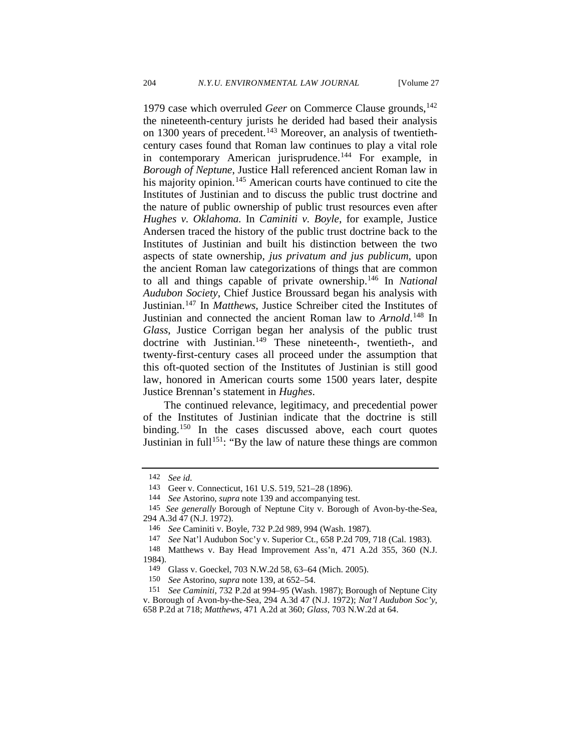1979 case which overruled *Geer* on Commerce Clause grounds,<sup>142</sup> the nineteenth-century jurists he derided had based their analysis on 1300 years of precedent.<sup>[143](#page-21-1)</sup> Moreover, an analysis of twentiethcentury cases found that Roman law continues to play a vital role in contemporary American jurisprudence.<sup>[144](#page-21-2)</sup> For example, in *Borough of Neptune*, Justice Hall referenced ancient Roman law in his majority opinion.<sup>[145](#page-21-3)</sup> American courts have continued to cite the Institutes of Justinian and to discuss the public trust doctrine and the nature of public ownership of public trust resources even after *Hughes v. Oklahoma.* In *Caminiti v. Boyle*, for example, Justice Andersen traced the history of the public trust doctrine back to the Institutes of Justinian and built his distinction between the two aspects of state ownership, *jus privatum and jus publicum*, upon the ancient Roman law categorizations of things that are common to all and things capable of private ownership[.146](#page-21-4) In *National Audubon Society*, Chief Justice Broussard began his analysis with Justinian.[147](#page-21-5) In *Matthews*, Justice Schreiber cited the Institutes of Justinian and connected the ancient Roman law to *Arnold*. [148](#page-21-6) In *Glass*, Justice Corrigan began her analysis of the public trust doctrine with Justinian.<sup>149</sup> These nineteenth-, twentieth-, and twenty-first-century cases all proceed under the assumption that this oft-quoted section of the Institutes of Justinian is still good law, honored in American courts some 1500 years later, despite Justice Brennan's statement in *Hughes*.

The continued relevance, legitimacy, and precedential power of the Institutes of Justinian indicate that the doctrine is still binding.<sup>150</sup> In the cases discussed above, each court quotes Justinian in full<sup>[151](#page-21-9)</sup>: "By the law of nature these things are common

<sup>142</sup> *See id.*

<sup>143</sup> Geer v. Connecticut, 161 U.S. 519, 521–28 (1896).

<sup>144</sup> *See* Astorino*, supra* not[e 139](#page-20-5) and accompanying test.

<span id="page-21-4"></span><span id="page-21-3"></span><span id="page-21-2"></span><span id="page-21-1"></span><span id="page-21-0"></span><sup>145</sup> *See generally* Borough of Neptune City v. Borough of Avon-by-the-Sea, 294 A.3d 47 (N.J. 1972).

<sup>146</sup> *See* Caminiti v. Boyle, 732 P.2d 989, 994 (Wash. 1987).

<sup>147</sup> *See* Nat'l Audubon Soc'y v. Superior Ct., 658 P.2d 709, 718 (Cal. 1983).

<span id="page-21-6"></span><span id="page-21-5"></span><sup>148</sup> Matthews v. Bay Head Improvement Ass'n, 471 A.2d 355, 360 (N.J. 1984).

<sup>149</sup> Glass v. Goeckel, 703 N.W.2d 58, 63–64 (Mich. 2005).

<sup>150</sup> *See* Astorino, *supra* not[e 139,](#page-20-5) at 652–54.

<span id="page-21-9"></span><span id="page-21-8"></span><span id="page-21-7"></span><sup>151</sup> *See Caminiti*, 732 P.2d at 994–95 (Wash. 1987); Borough of Neptune City v. Borough of Avon-by-the-Sea, 294 A.3d 47 (N.J. 1972); *Nat'l Audubon Soc'y*, 658 P.2d at 718; *Matthews*, 471 A.2d at 360; *Glass*, 703 N.W.2d at 64.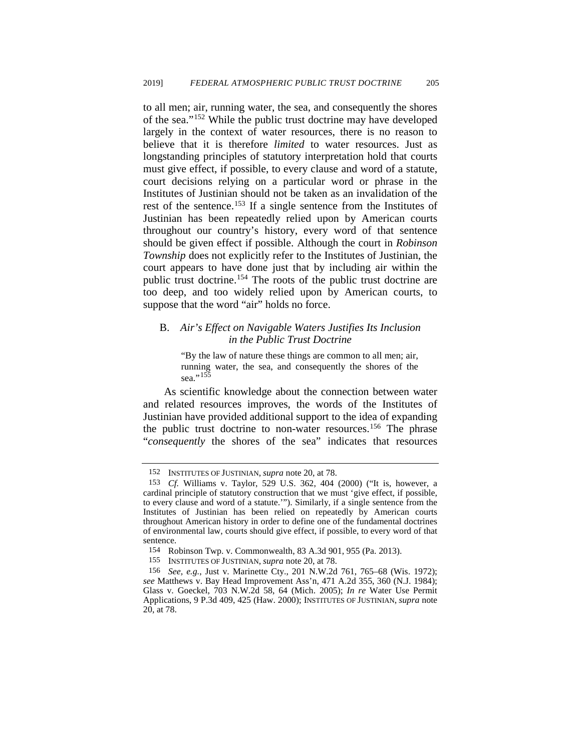to all men; air, running water, the sea, and consequently the shores of the sea."[152](#page-22-0) While the public trust doctrine may have developed largely in the context of water resources, there is no reason to believe that it is therefore *limited* to water resources. Just as longstanding principles of statutory interpretation hold that courts must give effect, if possible, to every clause and word of a statute, court decisions relying on a particular word or phrase in the Institutes of Justinian should not be taken as an invalidation of the rest of the sentence.[153](#page-22-1) If a single sentence from the Institutes of Justinian has been repeatedly relied upon by American courts throughout our country's history, every word of that sentence should be given effect if possible. Although the court in *Robinson Township* does not explicitly refer to the Institutes of Justinian, the court appears to have done just that by including air within the public trust doctrine.<sup>[154](#page-22-2)</sup> The roots of the public trust doctrine are too deep, and too widely relied upon by American courts, to suppose that the word "air" holds no force.

# B. *Air's Effect on Navigable Waters Justifies Its Inclusion in the Public Trust Doctrine*

"By the law of nature these things are common to all men; air, running water, the sea, and consequently the shores of the sea." $155$ 

As scientific knowledge about the connection between water and related resources improves, the words of the Institutes of Justinian have provided additional support to the idea of expanding the public trust doctrine to non-water resources.<sup>[156](#page-22-4)</sup> The phrase "*consequently* the shores of the sea" indicates that resources

<sup>152</sup> INSTITUTES OF JUSTINIAN, *supra* note [20,](#page-4-7) at 78.

<span id="page-22-1"></span><span id="page-22-0"></span><sup>153</sup> *Cf.* Williams v. Taylor, 529 U.S. 362, 404 (2000) ("It is, however, a cardinal principle of statutory construction that we must 'give effect, if possible, to every clause and word of a statute.'"). Similarly, if a single sentence from the Institutes of Justinian has been relied on repeatedly by American courts throughout American history in order to define one of the fundamental doctrines of environmental law, courts should give effect, if possible, to every word of that sentence.

<sup>154</sup> Robinson Twp. v. Commonwealth, 83 A.3d 901, 955 (Pa. 2013).

<sup>155</sup> INSTITUTES OF JUSTINIAN, *supra* note [20,](#page-4-7) at 78.

<span id="page-22-4"></span><span id="page-22-3"></span><span id="page-22-2"></span><sup>156</sup> *See, e.g.*, Just v. Marinette Cty., 201 N.W.2d 761, 765–68 (Wis. 1972); *see* Matthews v. Bay Head Improvement Ass'n, 471 A.2d 355, 360 (N.J. 1984); Glass v. Goeckel, 703 N.W.2d 58, 64 (Mich. 2005); *In re* Water Use Permit Applications, 9 P.3d 409, 425 (Haw. 2000); INSTITUTES OF JUSTINIAN, *supra* note [20,](#page-4-7) at 78.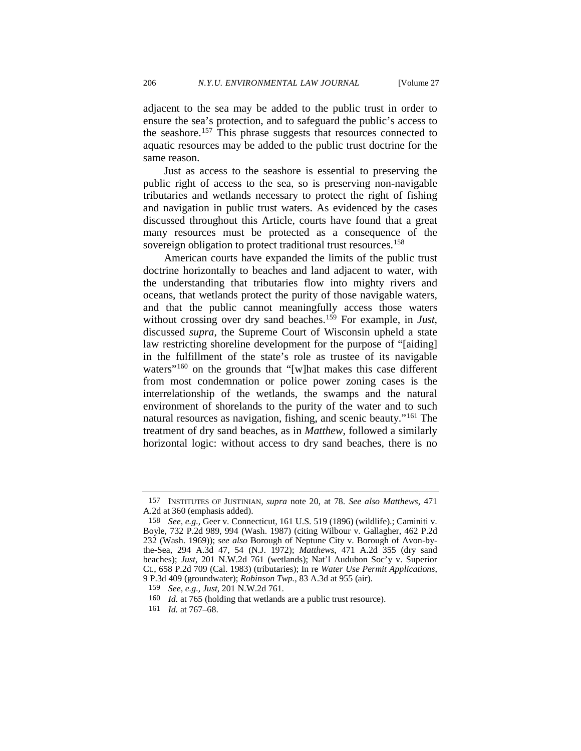adjacent to the sea may be added to the public trust in order to ensure the sea's protection, and to safeguard the public's access to the seashore.<sup>[157](#page-23-0)</sup> This phrase suggests that resources connected to aquatic resources may be added to the public trust doctrine for the same reason.

Just as access to the seashore is essential to preserving the public right of access to the sea, so is preserving non-navigable tributaries and wetlands necessary to protect the right of fishing and navigation in public trust waters. As evidenced by the cases discussed throughout this Article, courts have found that a great many resources must be protected as a consequence of the sovereign obligation to protect traditional trust resources.<sup>[158](#page-23-1)</sup>

American courts have expanded the limits of the public trust doctrine horizontally to beaches and land adjacent to water, with the understanding that tributaries flow into mighty rivers and oceans, that wetlands protect the purity of those navigable waters, and that the public cannot meaningfully access those waters without crossing over dry sand beaches.[159](#page-23-2) For example, in *Just*, discussed *supra*, the Supreme Court of Wisconsin upheld a state law restricting shoreline development for the purpose of "[aiding] in the fulfillment of the state's role as trustee of its navigable waters"<sup>[160](#page-23-3)</sup> on the grounds that "[w]hat makes this case different from most condemnation or police power zoning cases is the interrelationship of the wetlands, the swamps and the natural environment of shorelands to the purity of the water and to such natural resources as navigation, fishing, and scenic beauty."[161](#page-23-4) The treatment of dry sand beaches, as in *Matthew*, followed a similarly horizontal logic: without access to dry sand beaches, there is no

<span id="page-23-0"></span><sup>157</sup> INSTITUTES OF JUSTINIAN, *supra* note [20,](#page-4-7) at 78. *See also Matthews*, 471 A.2d at 360 (emphasis added).

<span id="page-23-1"></span><sup>158</sup> *See, e.g.,* Geer v. Connecticut, 161 U.S. 519 (1896) (wildlife).; Caminiti v. Boyle, 732 P.2d 989, 994 (Wash. 1987) (citing Wilbour v. Gallagher, 462 P.2d 232 (Wash. 1969)); *see also* Borough of Neptune City v. Borough of Avon-bythe-Sea, 294 A.3d 47, 54 (N.J. 1972); *Matthews*, 471 A.2d 355 (dry sand beaches); *Just*, 201 N.W.2d 761 (wetlands); Nat'l Audubon Soc'y v. Superior Ct., 658 P.2d 709 (Cal. 1983) (tributaries); In re *Water Use Permit Applications*, 9 P.3d 409 (groundwater); *Robinson Twp.*, 83 A.3d at 955 (air).

<span id="page-23-2"></span><sup>159</sup> *See, e.g., Just*, 201 N.W.2d 761.

<span id="page-23-3"></span><sup>160</sup> *Id.* at 765 (holding that wetlands are a public trust resource).

<span id="page-23-4"></span><sup>161</sup> *Id.* at 767–68.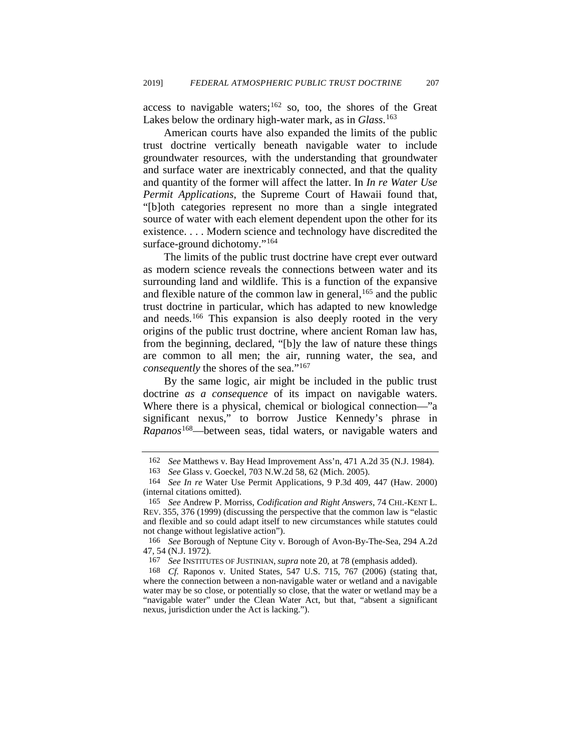access to navigable waters;<sup>[162](#page-24-0)</sup> so, too, the shores of the Great Lakes below the ordinary high-water mark, as in *Glass*. [163](#page-24-1)

American courts have also expanded the limits of the public trust doctrine vertically beneath navigable water to include groundwater resources, with the understanding that groundwater and surface water are inextricably connected, and that the quality and quantity of the former will affect the latter. In *In re Water Use Permit Applications*, the Supreme Court of Hawaii found that, "[b]oth categories represent no more than a single integrated source of water with each element dependent upon the other for its existence. . . . Modern science and technology have discredited the surface-ground dichotomy."<sup>[164](#page-24-2)</sup>

The limits of the public trust doctrine have crept ever outward as modern science reveals the connections between water and its surrounding land and wildlife. This is a function of the expansive and flexible nature of the common law in general, <sup>[165](#page-24-3)</sup> and the public trust doctrine in particular, which has adapted to new knowledge and needs.<sup>[166](#page-24-4)</sup> This expansion is also deeply rooted in the very origins of the public trust doctrine, where ancient Roman law has, from the beginning, declared, "[b]y the law of nature these things are common to all men; the air, running water, the sea, and *consequently* the shores of the sea."<sup>[167](#page-24-5)</sup>

By the same logic, air might be included in the public trust doctrine *as a consequence* of its impact on navigable waters. Where there is a physical, chemical or biological connection—"a significant nexus," to borrow Justice Kennedy's phrase in *Rapanos*[168](#page-24-6)—between seas, tidal waters, or navigable waters and

<sup>162</sup> *See* Matthews v. Bay Head Improvement Ass'n, 471 A.2d 35 (N.J. 1984).

<sup>163</sup> *See* Glass v. Goeckel, 703 N.W.2d 58, 62 (Mich. 2005).

<span id="page-24-2"></span><span id="page-24-1"></span><span id="page-24-0"></span><sup>164</sup> *See In re* Water Use Permit Applications, 9 P.3d 409, 447 (Haw. 2000) (internal citations omitted).

<span id="page-24-3"></span><sup>165</sup> *See* Andrew P. Morriss, *Codification and Right Answers*, 74 CHI.-KENT L. REV. 355, 376 (1999) (discussing the perspective that the common law is "elastic and flexible and so could adapt itself to new circumstances while statutes could not change without legislative action").

<span id="page-24-4"></span><sup>166</sup> *See* Borough of Neptune City v. Borough of Avon-By-The-Sea, 294 A.2d 47, 54 (N.J. 1972).

<sup>167</sup> *See* INSTITUTES OF JUSTINIAN, *supra* not[e 20,](#page-4-7) at 78 (emphasis added).

<span id="page-24-6"></span><span id="page-24-5"></span><sup>168</sup> *Cf.* Raponos v. United States, 547 U.S. 715, 767 (2006) (stating that, where the connection between a non-navigable water or wetland and a navigable water may be so close, or potentially so close, that the water or wetland may be a "navigable water" under the Clean Water Act, but that, "absent a significant nexus, jurisdiction under the Act is lacking.").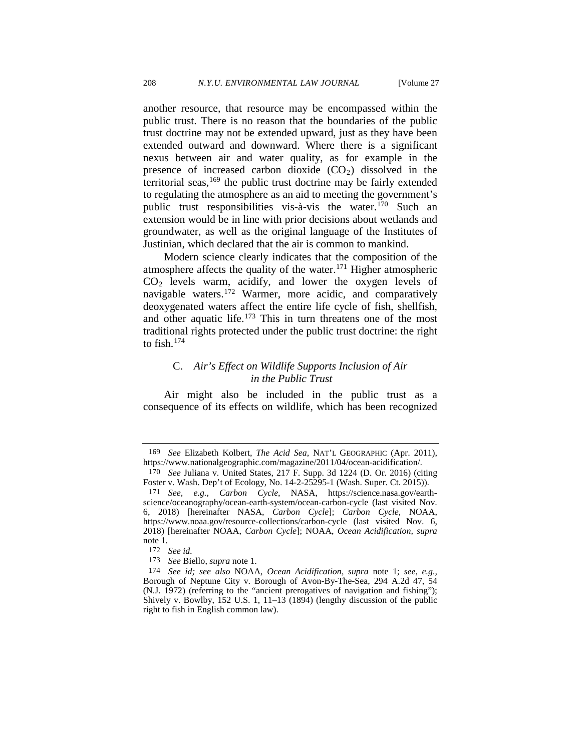<span id="page-25-7"></span>another resource, that resource may be encompassed within the public trust. There is no reason that the boundaries of the public trust doctrine may not be extended upward, just as they have been extended outward and downward. Where there is a significant nexus between air and water quality, as for example in the presence of increased carbon dioxide  $(CO_2)$  dissolved in the territorial seas,  $169$  the public trust doctrine may be fairly extended to regulating the atmosphere as an aid to meeting the government's public trust responsibilities vis-à-vis the water.[170](#page-25-1) Such an extension would be in line with prior decisions about wetlands and groundwater, as well as the original language of the Institutes of Justinian, which declared that the air is common to mankind.

Modern science clearly indicates that the composition of the atmosphere affects the quality of the water.<sup>171</sup> Higher atmospheric  $CO<sub>2</sub>$  levels warm, acidify, and lower the oxygen levels of navigable waters.[172](#page-25-3) Warmer, more acidic, and comparatively deoxygenated waters affect the entire life cycle of fish, shellfish, and other aquatic life.<sup>[173](#page-25-4)</sup> This in turn threatens one of the most traditional rights protected under the public trust doctrine: the right to fish. $174$ 

# <span id="page-25-6"></span>C. *Air's Effect on Wildlife Supports Inclusion of Air in the Public Trust*

Air might also be included in the public trust as a consequence of its effects on wildlife, which has been recognized

<span id="page-25-0"></span><sup>169</sup> *See* Elizabeth Kolbert, *The Acid Sea*, NAT'L GEOGRAPHIC (Apr. 2011), https://www.nationalgeographic.com/magazine/2011/04/ocean-acidification/.

<span id="page-25-1"></span><sup>170</sup> *See* Juliana v. United States, 217 F. Supp. 3d 1224 (D. Or. 2016) (citing Foster v. Wash. Dep't of Ecology, No. 14-2-25295-1 (Wash. Super. Ct. 2015)).

<span id="page-25-2"></span><sup>171</sup> *See, e.g.*, *Carbon Cycle*, NASA, https://science.nasa.gov/earthscience/oceanography/ocean-earth-system/ocean-carbon-cycle (last visited Nov. 6, 2018) [hereinafter NASA, *Carbon Cycle*]; *Carbon Cycle,* NOAA, https://www.noaa.gov/resource-collections/carbon-cycle (last visited Nov. 6, 2018) [hereinafter NOAA, *Carbon Cycle*]; NOAA, *Ocean Acidification, supra* not[e 1.](#page-1-4) 172 *See id.*

<sup>173</sup> *See* Biello, *supra* not[e 1.](#page-1-4) 

<span id="page-25-5"></span><span id="page-25-4"></span><span id="page-25-3"></span><sup>174</sup> *See id; see also* NOAA, *Ocean Acidification, supra* note [1;](#page-1-4) *see, e.g.,*  Borough of Neptune City v. Borough of Avon-By-The-Sea, 294 A.2d 47, 54 (N.J. 1972) (referring to the "ancient prerogatives of navigation and fishing"); Shively v. Bowlby, 152 U.S. 1, 11–13 (1894) (lengthy discussion of the public right to fish in English common law).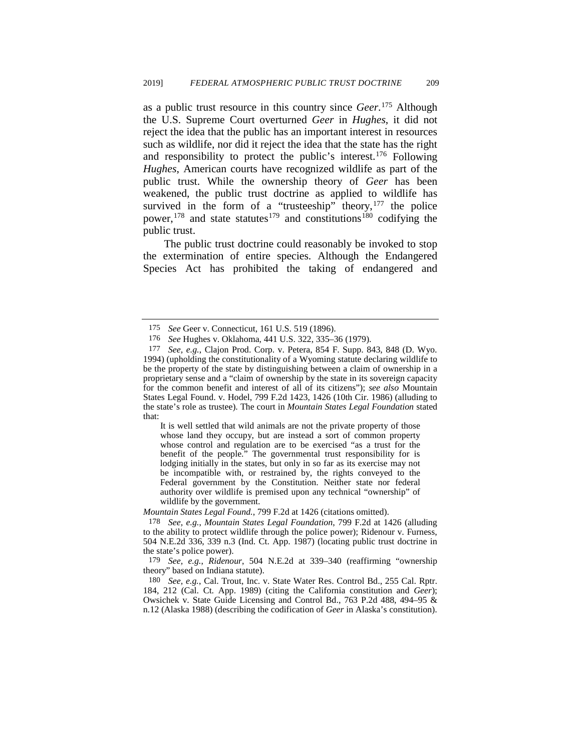as a public trust resource in this country since *Geer*. [175](#page-26-0) Although the U.S. Supreme Court overturned *Geer* in *Hughes*, it did not reject the idea that the public has an important interest in resources such as wildlife, nor did it reject the idea that the state has the right and responsibility to protect the public's interest.<sup>[176](#page-26-1)</sup> Following *Hughes*, American courts have recognized wildlife as part of the public trust. While the ownership theory of *Geer* has been weakened, the public trust doctrine as applied to wildlife has survived in the form of a "trusteeship" theory, $177$  the police power,<sup>178</sup> and state statutes<sup>179</sup> and constitutions<sup>180</sup> codifying the public trust.

The public trust doctrine could reasonably be invoked to stop the extermination of entire species. Although the Endangered Species Act has prohibited the taking of endangered and

It is well settled that wild animals are not the private property of those whose land they occupy, but are instead a sort of common property whose control and regulation are to be exercised "as a trust for the benefit of the people." The governmental trust responsibility for is lodging initially in the states, but only in so far as its exercise may not be incompatible with, or restrained by, the rights conveyed to the Federal government by the Constitution. Neither state nor federal authority over wildlife is premised upon any technical "ownership" of wildlife by the government.

<span id="page-26-3"></span>*Mountain States Legal Found.*, 799 F.2d at 1426 (citations omitted).

178 *See, e.g.*, *Mountain States Legal Foundation*, 799 F.2d at 1426 (alluding to the ability to protect wildlife through the police power); Ridenour v. Furness, 504 N.E.2d 336, 339 n.3 (Ind. Ct. App. 1987) (locating public trust doctrine in the state's police power).

<span id="page-26-4"></span>179 *See, e.g.*, *Ridenour*, 504 N.E.2d at 339–340 (reaffirming "ownership theory" based on Indiana statute).

<span id="page-26-5"></span>180 *See, e.g.*, Cal. Trout, Inc. v. State Water Res. Control Bd., 255 Cal. Rptr. 184, 212 (Cal. Ct. App. 1989) (citing the California constitution and *Geer*); Owsichek v. State Guide Licensing and Control Bd., 763 P.2d 488, 494–95 & n.12 (Alaska 1988) (describing the codification of *Geer* in Alaska's constitution).

<sup>175</sup> *See* Geer v. Connecticut, 161 U.S. 519 (1896).

<sup>176</sup> *See* Hughes v. Oklahoma*,* 441 U.S. 322, 335–36 (1979).

<span id="page-26-2"></span><span id="page-26-1"></span><span id="page-26-0"></span><sup>177</sup> *See, e.g.*, Clajon Prod. Corp. v. Petera, 854 F. Supp. 843, 848 (D. Wyo. 1994) (upholding the constitutionality of a Wyoming statute declaring wildlife to be the property of the state by distinguishing between a claim of ownership in a proprietary sense and a "claim of ownership by the state in its sovereign capacity for the common benefit and interest of all of its citizens"); *see also* Mountain States Legal Found. v. Hodel, 799 F.2d 1423, 1426 (10th Cir. 1986) (alluding to the state's role as trustee). The court in *Mountain States Legal Foundation* stated that: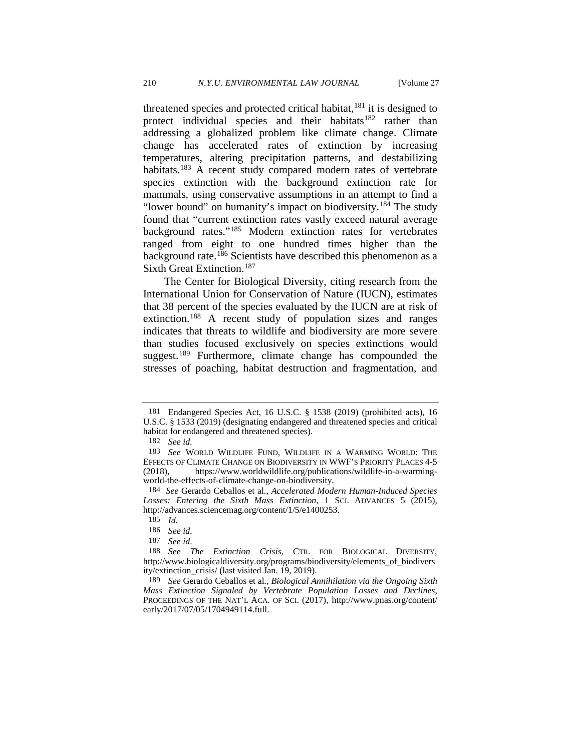threatened species and protected critical habitat,<sup>181</sup> it is designed to protect individual species and their habitats<sup>[182](#page-27-1)</sup> rather than addressing a globalized problem like climate change. Climate change has accelerated rates of extinction by increasing temperatures, altering precipitation patterns, and destabilizing habitats.<sup>[183](#page-27-2)</sup> A recent study compared modern rates of vertebrate species extinction with the background extinction rate for mammals, using conservative assumptions in an attempt to find a "lower bound" on humanity's impact on biodiversity.<sup>[184](#page-27-3)</sup> The study found that "current extinction rates vastly exceed natural average background rates."[185](#page-27-4) Modern extinction rates for vertebrates ranged from eight to one hundred times higher than the background rate.<sup>[186](#page-27-5)</sup> Scientists have described this phenomenon as a Sixth Great Extinction.<sup>[187](#page-27-6)</sup>

<span id="page-27-9"></span>The Center for Biological Diversity, citing research from the International Union for Conservation of Nature (IUCN), estimates that 38 percent of the species evaluated by the IUCN are at risk of extinction. [188](#page-27-7) A recent study of population sizes and ranges indicates that threats to wildlife and biodiversity are more severe than studies focused exclusively on species extinctions would suggest.<sup>[189](#page-27-8)</sup> Furthermore, climate change has compounded the stresses of poaching, habitat destruction and fragmentation, and

<span id="page-27-0"></span><sup>181</sup> Endangered Species Act, 16 U.S.C. § 1538 (2019) (prohibited acts), 16 U.S.C. § 1533 (2019) (designating endangered and threatened species and critical habitat for endangered and threatened species).

<sup>182</sup> *See id.*

<span id="page-27-2"></span><span id="page-27-1"></span><sup>183</sup> *See* WORLD WILDLIFE FUND, WILDLIFE IN A WARMING WORLD: THE EFFECTS OF CLIMATE CHANGE ON BIODIVERSITY IN WWF'S PRIORITY PLACES 4-5 (2018), https://www.worldwildlife.org/publications/wildlife-in-a-warmingworld-the-effects-of-climate-change-on-biodiversity.

<span id="page-27-4"></span><span id="page-27-3"></span><sup>184</sup> *See* Gerardo Ceballos et al*.*, *Accelerated Modern Human-Induced Species Losses: Entering the Sixth Mass Extinction*, 1 SCI. ADVANCES 5 (2015), http://advances.sciencemag.org/content/1/5/e1400253.

<sup>185</sup> *Id.*

<sup>186</sup> *See id.* 

<sup>187</sup> *See id.*

<span id="page-27-7"></span><span id="page-27-6"></span><span id="page-27-5"></span><sup>188</sup> *See The Extinction Crisis*, CTR. FOR BIOLOGICAL DIVERSITY, http://www.biologicaldiversity.org/programs/biodiversity/elements\_of\_biodivers ity/extinction\_crisis/ (last visited Jan. 19, 2019).

<span id="page-27-8"></span><sup>189</sup> *See* Gerardo Ceballos et al*.*, *Biological Annihilation via the Ongoing Sixth Mass Extinction Signaled by Vertebrate Population Losses and Declines*, PROCEEDINGS OF THE NAT'L ACA. OF SCI. (2017), http://www.pnas.org/content/ early/2017/07/05/1704949114.full.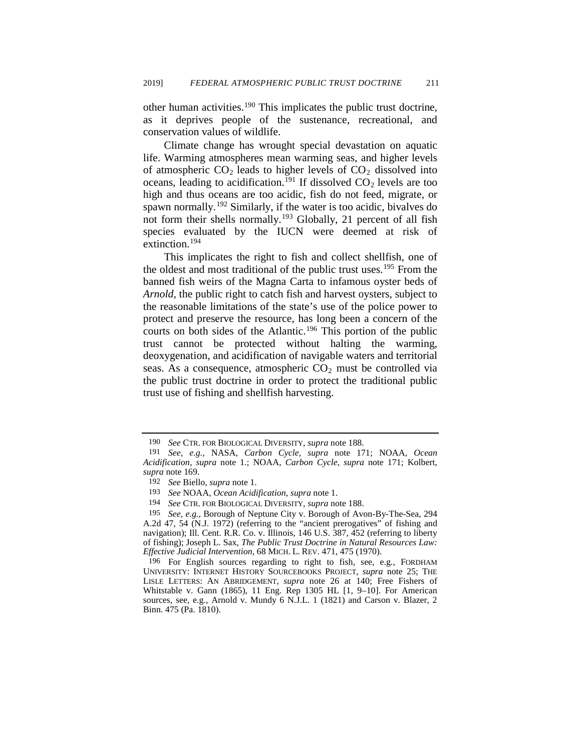other human activities.[190](#page-28-0) This implicates the public trust doctrine, as it deprives people of the sustenance, recreational, and conservation values of wildlife.

Climate change has wrought special devastation on aquatic life. Warming atmospheres mean warming seas, and higher levels of atmospheric  $CO_2$  leads to higher levels of  $CO_2$  dissolved into oceans, leading to acidification.<sup>[191](#page-28-1)</sup> If dissolved  $CO<sub>2</sub>$  levels are too high and thus oceans are too acidic, fish do not feed, migrate, or spawn normally.<sup>[192](#page-28-2)</sup> Similarly, if the water is too acidic, bivalves do not form their shells normally.<sup>[193](#page-28-3)</sup> Globally, 21 percent of all fish species evaluated by the IUCN were deemed at risk of extinction.<sup>[194](#page-28-4)</sup>

This implicates the right to fish and collect shellfish, one of the oldest and most traditional of the public trust uses.<sup>[195](#page-28-5)</sup> From the banned fish weirs of the Magna Carta to infamous oyster beds of *Arnold*, the public right to catch fish and harvest oysters, subject to the reasonable limitations of the state's use of the police power to protect and preserve the resource, has long been a concern of the courts on both sides of the Atlantic.<sup>[196](#page-28-6)</sup> This portion of the public trust cannot be protected without halting the warming, deoxygenation, and acidification of navigable waters and territorial seas. As a consequence, atmospheric  $CO<sub>2</sub>$  must be controlled via the public trust doctrine in order to protect the traditional public trust use of fishing and shellfish harvesting.

<span id="page-28-1"></span><span id="page-28-0"></span><sup>190</sup>*See* CTR. FOR BIOLOGICAL DIVERSITY, *supra* note [188.](#page-27-9) 191 *See, e.g.*, NASA, *Carbon Cycle, supra* note [171;](#page-25-6) NOAA, *Ocean Acidification*, *supra* note [1.](#page-1-4); NOAA, *Carbon Cycle*, *supra* note [171;](#page-25-6) Kolbert, *supra* note [169.](#page-25-7) 192 *See* Biello, *supra* not[e 1.](#page-1-4)

<sup>193</sup> *See* NOAA, *Ocean Acidification*, *supra* note [1.](#page-1-4)

<sup>194</sup> *See* CTR. FOR BIOLOGICAL DIVERSITY*, supra* note [188.](#page-27-9) 

<span id="page-28-5"></span><span id="page-28-4"></span><span id="page-28-3"></span><span id="page-28-2"></span><sup>195</sup> *See, e.g.,* Borough of Neptune City v. Borough of Avon-By-The-Sea, 294 A.2d 47, 54 (N.J. 1972) (referring to the "ancient prerogatives" of fishing and navigation); Ill. Cent. R.R. Co. v. Illinois, 146 U.S. 387, 452 (referring to liberty of fishing); Joseph L. Sax, *The Public Trust Doctrine in Natural Resources Law: Effective Judicial Intervention,* 68 MICH. L. REV. 471, 475 (1970).

<span id="page-28-6"></span><sup>196</sup> For English sources regarding to right to fish, see, e.g*.*, FORDHAM UNIVERSITY: INTERNET HISTORY SOURCEBOOKS PROJECT, *supra* note [25;](#page-4-6) THE LISLE LETTERS: AN ABRIDGEMENT, *supra* note [26](#page-5-8) at 140; Free Fishers of Whitstable v. Gann (1865), 11 Eng. Rep 1305 HL [1, 9–10]. For American sources, see, e.g., Arnold v. Mundy 6 N.J.L. 1 (1821) and Carson v. Blazer, 2 Binn. 475 (Pa. 1810).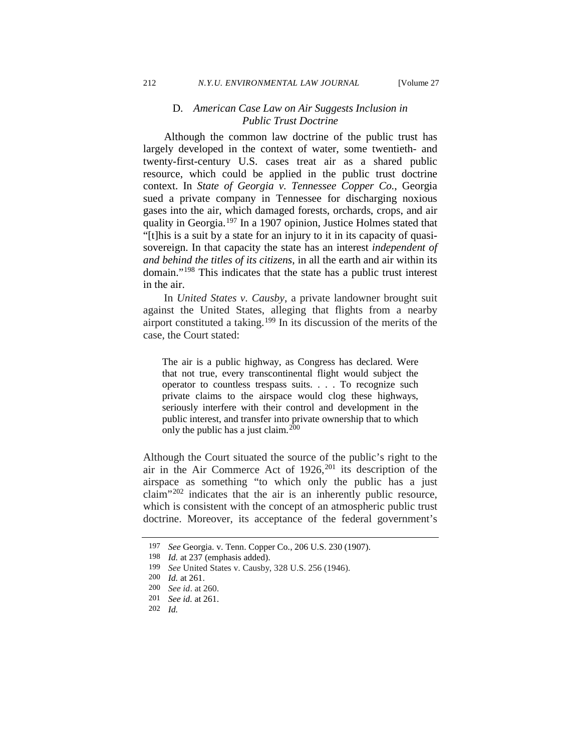### D. *American Case Law on Air Suggests Inclusion in Public Trust Doctrine*

Although the common law doctrine of the public trust has largely developed in the context of water, some twentieth- and twenty-first-century U.S. cases treat air as a shared public resource, which could be applied in the public trust doctrine context. In *State of Georgia v. Tennessee Copper Co.*, Georgia sued a private company in Tennessee for discharging noxious gases into the air, which damaged forests, orchards, crops, and air quality in Georgia.<sup>[197](#page-29-0)</sup> In a 1907 opinion, Justice Holmes stated that "[t]his is a suit by a state for an injury to it in its capacity of quasisovereign. In that capacity the state has an interest *independent of and behind the titles of its citizens*, in all the earth and air within its domain."[198](#page-29-1) This indicates that the state has a public trust interest in the air.

In *United States v. Causby*, a private landowner brought suit against the United States, alleging that flights from a nearby airport constituted a taking.[199](#page-29-2) In its discussion of the merits of the case, the Court stated:

The air is a public highway, as Congress has declared. Were that not true, every transcontinental flight would subject the operator to countless trespass suits. . . . To recognize such private claims to the airspace would clog these highways, seriously interfere with their control and development in the public interest, and transfer into private ownership that to which only the public has a just claim.  $^{200}$  $^{200}$  $^{200}$ 

Although the Court situated the source of the public's right to the air in the Air Commerce Act of  $1926$ ,<sup>[201](#page-29-4)</sup> its description of the airspace as something "to which only the public has a just claim" $202$  indicates that the air is an inherently public resource, which is consistent with the concept of an atmospheric public trust doctrine. Moreover, its acceptance of the federal government's

<sup>197</sup> *See* Georgia. v. Tenn. Copper Co*.*, 206 U.S. 230 (1907).

<span id="page-29-1"></span><span id="page-29-0"></span><sup>198</sup> *Id.* at 237 (emphasis added).

<sup>199</sup> *See* United States v. Causby, 328 U.S. 256 (1946).

<span id="page-29-3"></span><span id="page-29-2"></span><sup>200</sup> *Id.* at 261.

<sup>200</sup> *See id*. at 260.

<span id="page-29-4"></span><sup>201</sup> *See id.* at 261.

<span id="page-29-5"></span><sup>202</sup> *Id.*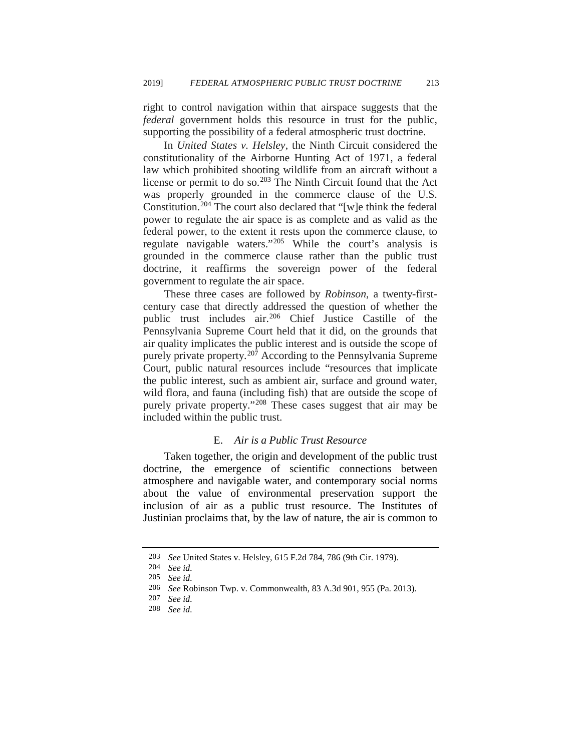right to control navigation within that airspace suggests that the *federal* government holds this resource in trust for the public, supporting the possibility of a federal atmospheric trust doctrine.

In *United States v. Helsley*, the Ninth Circuit considered the constitutionality of the Airborne Hunting Act of 1971, a federal law which prohibited shooting wildlife from an aircraft without a license or permit to do so.<sup>[203](#page-30-0)</sup> The Ninth Circuit found that the Act was properly grounded in the commerce clause of the U.S. Constitution.[204](#page-30-1) The court also declared that "[w]e think the federal power to regulate the air space is as complete and as valid as the federal power, to the extent it rests upon the commerce clause, to regulate navigable waters."[205](#page-30-2) While the court's analysis is grounded in the commerce clause rather than the public trust doctrine, it reaffirms the sovereign power of the federal government to regulate the air space.

These three cases are followed by *Robinson*, a twenty-firstcentury case that directly addressed the question of whether the public trust includes air.[206](#page-30-3) Chief Justice Castille of the Pennsylvania Supreme Court held that it did, on the grounds that air quality implicates the public interest and is outside the scope of purely private property.<sup>[207](#page-30-4)</sup> According to the Pennsylvania Supreme Court, public natural resources include "resources that implicate the public interest, such as ambient air, surface and ground water, wild flora, and fauna (including fish) that are outside the scope of purely private property."[208](#page-30-5) These cases suggest that air may be included within the public trust.

#### E. *Air is a Public Trust Resource*

Taken together, the origin and development of the public trust doctrine, the emergence of scientific connections between atmosphere and navigable water, and contemporary social norms about the value of environmental preservation support the inclusion of air as a public trust resource. The Institutes of Justinian proclaims that, by the law of nature, the air is common to

<sup>203</sup> *See* United States v. Helsley, 615 F.2d 784, 786 (9th Cir. 1979).

<span id="page-30-2"></span><span id="page-30-1"></span><span id="page-30-0"></span><sup>204</sup> *See id.*

<sup>205</sup> *See id.*

<span id="page-30-3"></span><sup>206</sup> *See* Robinson Twp. v. Commonwealth, 83 A.3d 901, 955 (Pa. 2013).

<span id="page-30-5"></span><span id="page-30-4"></span><sup>207</sup> *See id.*

<sup>208</sup> *See id.*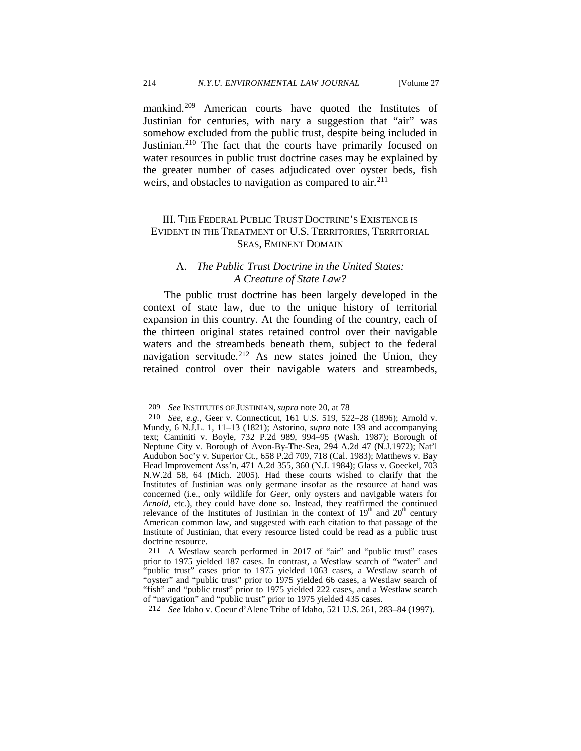mankind.[209](#page-31-0) American courts have quoted the Institutes of Justinian for centuries, with nary a suggestion that "air" was somehow excluded from the public trust, despite being included in Justinian.<sup>[210](#page-31-1)</sup> The fact that the courts have primarily focused on water resources in public trust doctrine cases may be explained by the greater number of cases adjudicated over oyster beds, fish weirs, and obstacles to navigation as compared to  $air.^{211}$  $air.^{211}$  $air.^{211}$ 

# III. THE FEDERAL PUBLIC TRUST DOCTRINE'S EXISTENCE IS EVIDENT IN THE TREATMENT OF U.S. TERRITORIES, TERRITORIAL SEAS, EMINENT DOMAIN

### A. *The Public Trust Doctrine in the United States: A Creature of State Law?*

The public trust doctrine has been largely developed in the context of state law, due to the unique history of territorial expansion in this country. At the founding of the country, each of the thirteen original states retained control over their navigable waters and the streambeds beneath them, subject to the federal navigation servitude.<sup>[212](#page-31-3)</sup> As new states joined the Union, they retained control over their navigable waters and streambeds,

<span id="page-31-3"></span>212 *See* Idaho v. Coeur d'Alene Tribe of Idaho, 521 U.S. 261, 283–84 (1997).

<sup>209</sup> *See* INSTITUTES OF JUSTINIAN, *supra* not[e 20,](#page-4-7) at 78

<span id="page-31-1"></span><span id="page-31-0"></span><sup>210</sup> *See, e.g.,* Geer v. Connecticut, 161 U.S. 519, 522–28 (1896); Arnold v. Mundy, 6 N.J.L. 1, 11–13 (1821); Astorino, *supra* note [139](#page-20-5) and accompanying text; Caminiti v. Boyle, 732 P.2d 989, 994–95 (Wash. 1987); Borough of Neptune City v. Borough of Avon-By-The-Sea, 294 A.2d 47 (N.J.1972); Nat'l Audubon Soc'y v. Superior Ct., 658 P.2d 709, 718 (Cal. 1983); Matthews v. Bay Head Improvement Ass'n, 471 A.2d 355, 360 (N.J. 1984); Glass v. Goeckel, 703 N.W.2d 58, 64 (Mich. 2005). Had these courts wished to clarify that the Institutes of Justinian was only germane insofar as the resource at hand was concerned (i.e., only wildlife for *Geer*, only oysters and navigable waters for *Arnold*, etc.), they could have done so. Instead, they reaffirmed the continued relevance of the Institutes of Justinian in the context of  $19<sup>th</sup>$  and  $20<sup>th</sup>$  century American common law, and suggested with each citation to that passage of the Institute of Justinian, that every resource listed could be read as a public trust doctrine resource.

<span id="page-31-2"></span><sup>211</sup> A Westlaw search performed in 2017 of "air" and "public trust" cases prior to 1975 yielded 187 cases. In contrast, a Westlaw search of "water" and "public trust" cases prior to 1975 yielded 1063 cases, a Westlaw search of "oyster" and "public trust" prior to 1975 yielded 66 cases, a Westlaw search of "fish" and "public trust" prior to 1975 yielded 222 cases, and a Westlaw search of "navigation" and "public trust" prior to 1975 yielded 435 cases.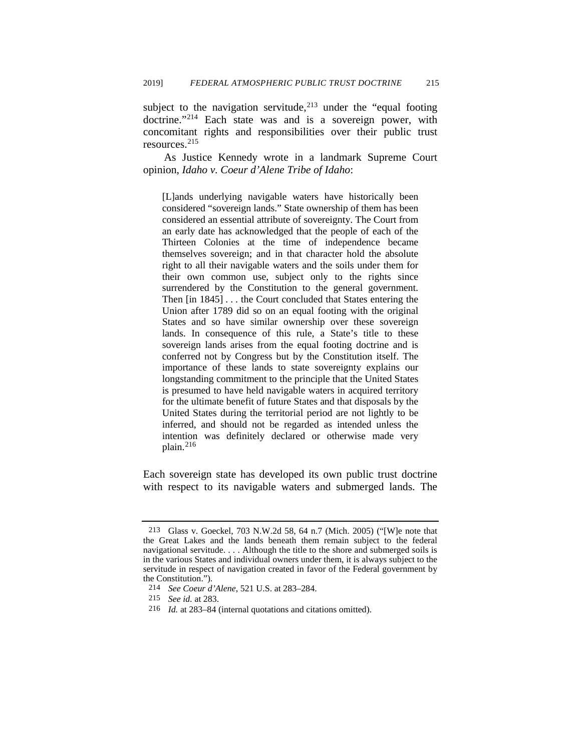subject to the navigation servitude,  $2^{13}$  under the "equal footing" doctrine."<sup>[214](#page-32-1)</sup> Each state was and is a sovereign power, with concomitant rights and responsibilities over their public trust resources.[215](#page-32-2)

As Justice Kennedy wrote in a landmark Supreme Court opinion, *Idaho v. Coeur d'Alene Tribe of Idaho*:

[L]ands underlying navigable waters have historically been considered "sovereign lands." State ownership of them has been considered an essential attribute of sovereignty. The Court from an early date has acknowledged that the people of each of the Thirteen Colonies at the time of independence became themselves sovereign; and in that character hold the absolute right to all their navigable waters and the soils under them for their own common use, subject only to the rights since surrendered by the Constitution to the general government. Then [in 1845] . . . the Court concluded that States entering the Union after 1789 did so on an equal footing with the original States and so have similar ownership over these sovereign lands. In consequence of this rule, a State's title to these sovereign lands arises from the equal footing doctrine and is conferred not by Congress but by the Constitution itself. The importance of these lands to state sovereignty explains our longstanding commitment to the principle that the United States is presumed to have held navigable waters in acquired territory for the ultimate benefit of future States and that disposals by the United States during the territorial period are not lightly to be inferred, and should not be regarded as intended unless the intention was definitely declared or otherwise made very plain.[216](#page-32-3)

Each sovereign state has developed its own public trust doctrine with respect to its navigable waters and submerged lands. The

<span id="page-32-0"></span><sup>213</sup> Glass v. Goeckel, 703 N.W.2d 58, 64 n.7 (Mich. 2005) ("[W]e note that the Great Lakes and the lands beneath them remain subject to the federal navigational servitude. . . . Although the title to the shore and submerged soils is in the various States and individual owners under them, it is always subject to the servitude in respect of navigation created in favor of the Federal government by the Constitution.").

<span id="page-32-1"></span><sup>214</sup> *See Coeur d'Alene*, 521 U.S. at 283–284.

<span id="page-32-2"></span><sup>215</sup> *See id.* at 283.

<span id="page-32-3"></span><sup>216</sup> *Id.* at 283–84 (internal quotations and citations omitted).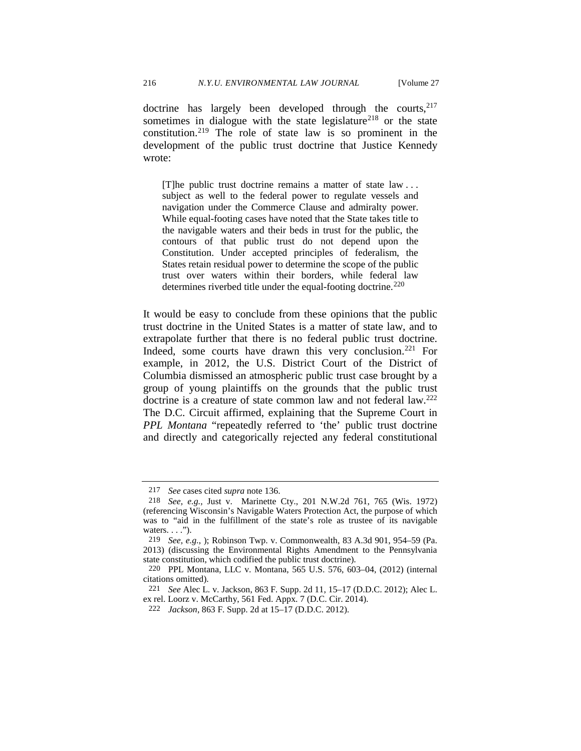doctrine has largely been developed through the courts, $2^{17}$ sometimes in dialogue with the state legislature<sup>[218](#page-33-1)</sup> or the state constitution.[219](#page-33-2) The role of state law is so prominent in the development of the public trust doctrine that Justice Kennedy wrote:

[T]he public trust doctrine remains a matter of state law . . . subject as well to the federal power to regulate vessels and navigation under the Commerce Clause and admiralty power. While equal-footing cases have noted that the State takes title to the navigable waters and their beds in trust for the public, the contours of that public trust do not depend upon the Constitution. Under accepted principles of federalism, the States retain residual power to determine the scope of the public trust over waters within their borders, while federal law determines riverbed title under the equal-footing doctrine.<sup>[220](#page-33-3)</sup>

<span id="page-33-6"></span>It would be easy to conclude from these opinions that the public trust doctrine in the United States is a matter of state law, and to extrapolate further that there is no federal public trust doctrine. Indeed, some courts have drawn this very conclusion.<sup>[221](#page-33-4)</sup> For example, in 2012, the U.S. District Court of the District of Columbia dismissed an atmospheric public trust case brought by a group of young plaintiffs on the grounds that the public trust doctrine is a creature of state common law and not federal law.<sup>222</sup> The D.C. Circuit affirmed, explaining that the Supreme Court in *PPL Montana* "repeatedly referred to 'the' public trust doctrine and directly and categorically rejected any federal constitutional

<span id="page-33-1"></span><span id="page-33-0"></span><sup>217</sup>*See* cases cited *supra* note [136.](#page-19-6) 218 *See, e.g.,* Just v. Marinette Cty., 201 N.W.2d 761, 765 (Wis. 1972) (referencing Wisconsin's Navigable Waters Protection Act, the purpose of which was to "aid in the fulfillment of the state's role as trustee of its navigable waters.  $\dots$ ").

<span id="page-33-2"></span><sup>219</sup> *See, e.g.*, ); Robinson Twp. v. Commonwealth, 83 A.3d 901, 954–59 (Pa. 2013) (discussing the Environmental Rights Amendment to the Pennsylvania state constitution, which codified the public trust doctrine).

<span id="page-33-3"></span><sup>220</sup> PPL Montana, LLC v. Montana, 565 U.S. 576, 603–04, (2012) (internal citations omitted).

<span id="page-33-5"></span><span id="page-33-4"></span><sup>221</sup> *See* Alec L. v. Jackson, 863 F. Supp. 2d 11, 15–17 (D.D.C. 2012); Alec L. ex rel. Loorz v. McCarthy, 561 Fed. Appx. 7 (D.C. Cir. 2014).

<sup>222</sup> *Jackson*, 863 F. Supp. 2d at 15–17 (D.D.C. 2012).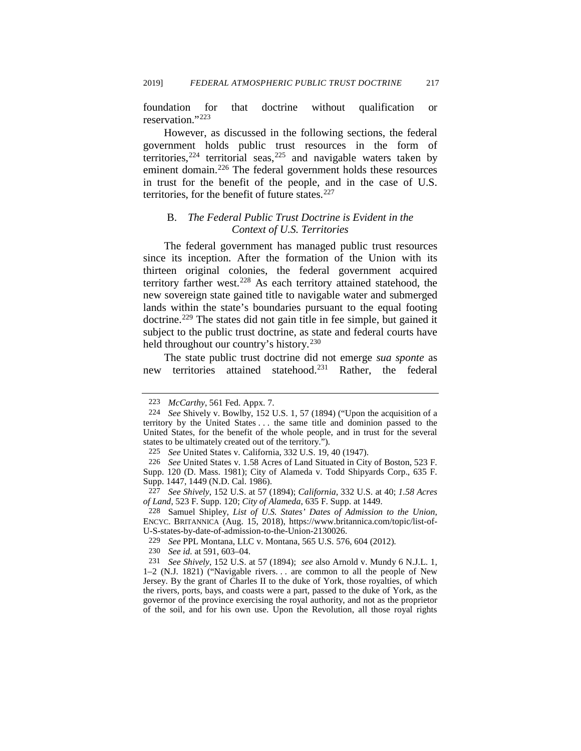foundation for that doctrine without qualification or reservation."[223](#page-34-0)

However, as discussed in the following sections, the federal government holds public trust resources in the form of territories,  $224$  territorial seas,  $225$  and navigable waters taken by eminent domain.<sup>[226](#page-34-3)</sup> The federal government holds these resources in trust for the benefit of the people, and in the case of U.S. territories, for the benefit of future states. $227$ 

# B. *The Federal Public Trust Doctrine is Evident in the Context of U.S. Territories*

The federal government has managed public trust resources since its inception. After the formation of the Union with its thirteen original colonies, the federal government acquired territory farther west.[228](#page-34-5) As each territory attained statehood, the new sovereign state gained title to navigable water and submerged lands within the state's boundaries pursuant to the equal footing doctrine.[229](#page-34-6) The states did not gain title in fee simple, but gained it subject to the public trust doctrine, as state and federal courts have held throughout our country's history.<sup>[230](#page-34-7)</sup>

The state public trust doctrine did not emerge *sua sponte* as new territories attained statehood[.231](#page-34-8) Rather, the federal

230 *See id.* at 591, 603–04.

<sup>223</sup> *McCarthy*, 561 Fed. Appx. 7.

<span id="page-34-1"></span><span id="page-34-0"></span><sup>224</sup> *See* Shively v. Bowlby, 152 U.S. 1, 57 (1894) ("Upon the acquisition of a territory by the United States . . . the same title and dominion passed to the United States, for the benefit of the whole people, and in trust for the several states to be ultimately created out of the territory.").

<sup>225</sup> *See* United States v. California, 332 U.S. 19, 40 (1947).

<span id="page-34-3"></span><span id="page-34-2"></span><sup>226</sup> *See* United States v. 1.58 Acres of Land Situated in City of Boston, 523 F. Supp. 120 (D. Mass. 1981); City of Alameda v. Todd Shipyards Corp., 635 F. Supp. 1447, 1449 (N.D. Cal. 1986).

<span id="page-34-4"></span><sup>227</sup> *See Shively*, 152 U.S. at 57 (1894); *California*, 332 U.S. at 40; *1.58 Acres of Land*, 523 F. Supp. 120; *City of Alameda*, 635 F. Supp. at 1449.

<span id="page-34-5"></span><sup>228</sup> Samuel Shipley*, List of U.S. States' Dates of Admission to the Union*, ENCYC. BRITANNICA (Aug. 15, 2018), https://www.britannica.com/topic/list-of-U-S-states-by-date-of-admission-to-the-Union-2130026.

<sup>229</sup> *See* PPL Montana, LLC v. Montana, 565 U.S. 576, 604 (2012).

<span id="page-34-8"></span><span id="page-34-7"></span><span id="page-34-6"></span><sup>231</sup> *See Shively*, 152 U.S. at 57 (1894); *see* also Arnold v. Mundy 6 N.J.L. 1, 1–2 (N.J. 1821) ("Navigable rivers. . . are common to all the people of New Jersey. By the grant of Charles II to the duke of York, those royalties, of which the rivers, ports, bays, and coasts were a part, passed to the duke of York, as the governor of the province exercising the royal authority, and not as the proprietor of the soil, and for his own use. Upon the Revolution, all those royal rights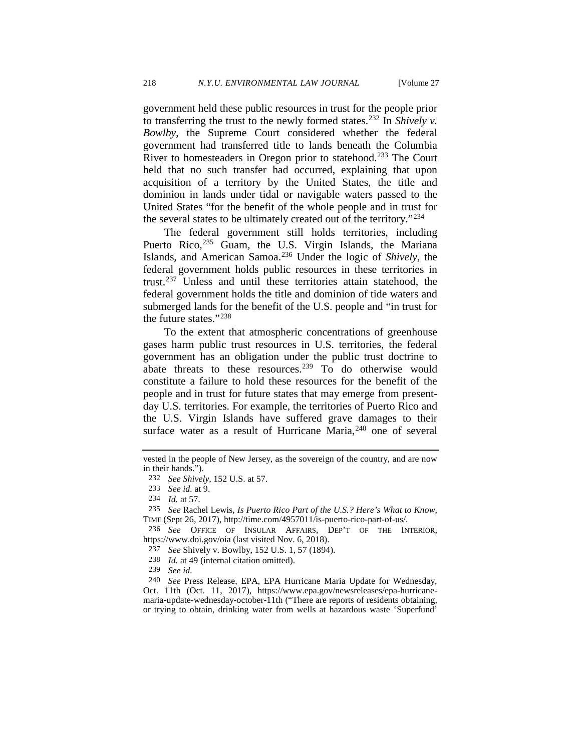government held these public resources in trust for the people prior to transferring the trust to the newly formed states.[232](#page-35-0) In *Shively v. Bowlby*, the Supreme Court considered whether the federal government had transferred title to lands beneath the Columbia River to homesteaders in Oregon prior to statehood.[233](#page-35-1) The Court held that no such transfer had occurred, explaining that upon acquisition of a territory by the United States, the title and dominion in lands under tidal or navigable waters passed to the United States "for the benefit of the whole people and in trust for the several states to be ultimately created out of the territory."[234](#page-35-2)

The federal government still holds territories, including Puerto Rico,<sup>[235](#page-35-3)</sup> Guam, the U.S. Virgin Islands, the Mariana Islands, and American Samoa.[236](#page-35-4) Under the logic of *Shively*, the federal government holds public resources in these territories in trust.[237](#page-35-5) Unless and until these territories attain statehood, the federal government holds the title and dominion of tide waters and submerged lands for the benefit of the U.S. people and "in trust for the future states."[238](#page-35-6)

To the extent that atmospheric concentrations of greenhouse gases harm public trust resources in U.S. territories, the federal government has an obligation under the public trust doctrine to abate threats to these resources.<sup>[239](#page-35-7)</sup> To do otherwise would constitute a failure to hold these resources for the benefit of the people and in trust for future states that may emerge from presentday U.S. territories. For example, the territories of Puerto Rico and the U.S. Virgin Islands have suffered grave damages to their surface water as a result of Hurricane Maria,<sup>[240](#page-35-8)</sup> one of several

<span id="page-35-0"></span>vested in the people of New Jersey, as the sovereign of the country, and are now in their hands.").

<span id="page-35-9"></span><sup>232</sup> *See Shively*, 152 U.S. at 57.

<sup>233</sup> *See id.* at 9.

<sup>234</sup> *Id.* at 57.

<span id="page-35-2"></span><span id="page-35-1"></span><sup>235</sup> *See* Rachel Lewis, *Is Puerto Rico Part of the U.S.? Here's What to Know*, TIME (Sept 26, 2017), http://time.com/4957011/is-puerto-rico-part-of-us/.

<span id="page-35-5"></span><span id="page-35-4"></span><span id="page-35-3"></span><sup>236</sup> *See* OFFICE OF INSULAR AFFAIRS, DEP'T OF THE INTERIOR, https://www.doi.gov/oia (last visited Nov. 6, 2018).

<sup>237</sup> *See* Shively v. Bowlby, 152 U.S. 1, 57 (1894).

<sup>238</sup> *Id.* at 49 (internal citation omitted).

<sup>239</sup> *See id.*

<span id="page-35-8"></span><span id="page-35-7"></span><span id="page-35-6"></span><sup>240</sup> *See* Press Release, EPA, EPA Hurricane Maria Update for Wednesday, Oct. 11th (Oct. 11, 2017), https://www.epa.gov/newsreleases/epa-hurricanemaria-update-wednesday-october-11th ("There are reports of residents obtaining, or trying to obtain, drinking water from wells at hazardous waste 'Superfund'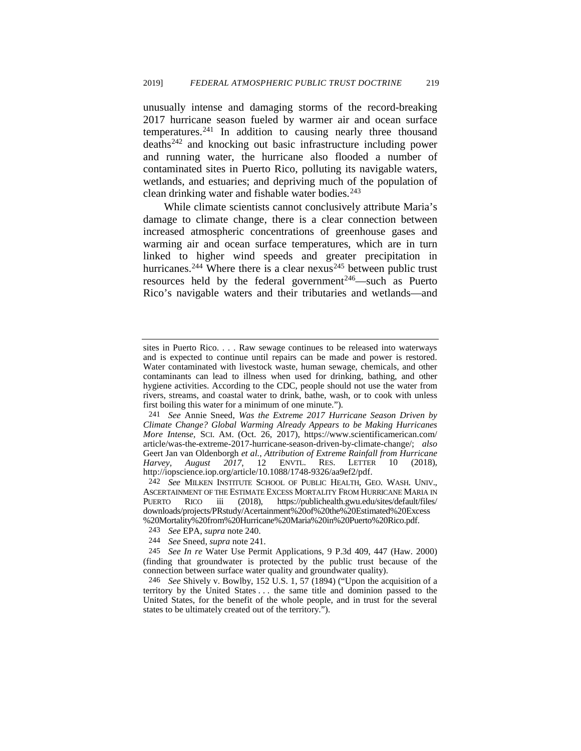<span id="page-36-0"></span>unusually intense and damaging storms of the record-breaking 2017 hurricane season fueled by warmer air and ocean surface temperatures.[241](#page-36-1) In addition to causing nearly three thousand deaths[242](#page-36-2) and knocking out basic infrastructure including power and running water, the hurricane also flooded a number of contaminated sites in Puerto Rico, polluting its navigable waters, wetlands, and estuaries; and depriving much of the population of clean drinking water and fishable water bodies. $243$ 

While climate scientists cannot conclusively attribute Maria's damage to climate change, there is a clear connection between increased atmospheric concentrations of greenhouse gases and warming air and ocean surface temperatures, which are in turn linked to higher wind speeds and greater precipitation in hurricanes.<sup>[244](#page-36-4)</sup> Where there is a clear nexus<sup>[245](#page-36-5)</sup> between public trust resources held by the federal government<sup>246</sup>—such as Puerto Rico's navigable waters and their tributaries and wetlands—and

sites in Puerto Rico. . . . Raw sewage continues to be released into waterways and is expected to continue until repairs can be made and power is restored. Water contaminated with livestock waste, human sewage, chemicals, and other contaminants can lead to illness when used for drinking, bathing, and other hygiene activities. According to the CDC, people should not use the water from rivers, streams, and coastal water to drink, bathe, wash, or to cook with unless first boiling this water for a minimum of one minute.").

<span id="page-36-1"></span><sup>241</sup> *See* Annie Sneed, *Was the Extreme 2017 Hurricane Season Driven by Climate Change? Global Warming Already Appears to be Making Hurricanes More Intense,* SCI. AM. (Oct. 26, 2017), https://www.scientificamerican.com/ article/was-the-extreme-2017-hurricane-season-driven-by-climate-change/; *also* Geert Jan van Oldenborgh *et al.*, *Attribution of Extreme Rainfall from Hurricane Harvey, August 2017*, 12 ENVTL. RES. LETTER 10 (2018), http://iopscience.iop.org/article/10.1088/1748-9326/aa9ef2/pdf.

<span id="page-36-2"></span><sup>242</sup> *See* MILKEN INSTITUTE SCHOOL OF PUBLIC HEALTH, GEO. WASH. UNIV., ASCERTAINMENT OF THE ESTIMATE EXCESS MORTALITY FROM HURRICANE MARIA IN<br>PUERTO RICO iii (2018), https://publichealth.gwu.edu/sites/default/files/ iii (2018), https://publichealth.gwu.edu/sites/default/files/ downloads/projects/PRstudy/Acertainment%20of%20the%20Estimated%20Excess

<span id="page-36-5"></span><span id="page-36-4"></span><span id="page-36-3"></span><sup>243</sup> See EPA, *supra* note 240.<br>244 See Sneed, *supra* note 241.<br>245 See In re Water Use Permit Applications, 9 P.3d 409, 447 (Haw. 2000) (finding that groundwater is protected by the public trust because of the connection between surface water quality and groundwater quality).

<span id="page-36-6"></span><sup>246</sup> *See* Shively v. Bowlby, 152 U.S. 1, 57 (1894) ("Upon the acquisition of a territory by the United States . . . the same title and dominion passed to the United States, for the benefit of the whole people, and in trust for the several states to be ultimately created out of the territory.").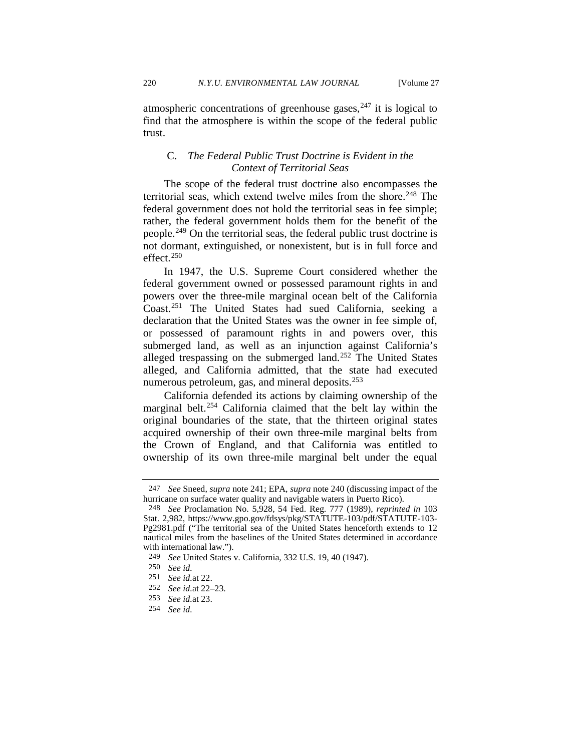atmospheric concentrations of greenhouse gases,  $247$  it is logical to find that the atmosphere is within the scope of the federal public trust.

# C. *The Federal Public Trust Doctrine is Evident in the Context of Territorial Seas*

The scope of the federal trust doctrine also encompasses the territorial seas, which extend twelve miles from the shore.<sup>[248](#page-37-1)</sup> The federal government does not hold the territorial seas in fee simple; rather, the federal government holds them for the benefit of the people.[249](#page-37-2) On the territorial seas, the federal public trust doctrine is not dormant, extinguished, or nonexistent, but is in full force and effect[.250](#page-37-3)

In 1947, the U.S. Supreme Court considered whether the federal government owned or possessed paramount rights in and powers over the three-mile marginal ocean belt of the California Coast.[251](#page-37-4) The United States had sued California, seeking a declaration that the United States was the owner in fee simple of, or possessed of paramount rights in and powers over, this submerged land, as well as an injunction against California's alleged trespassing on the submerged land.<sup>[252](#page-37-5)</sup> The United States alleged, and California admitted, that the state had executed numerous petroleum, gas, and mineral deposits.<sup>[253](#page-37-6)</sup>

California defended its actions by claiming ownership of the marginal belt.[254](#page-37-7) California claimed that the belt lay within the original boundaries of the state, that the thirteen original states acquired ownership of their own three-mile marginal belts from the Crown of England, and that California was entitled to ownership of its own three-mile marginal belt under the equal

<sup>247</sup> *See* Sneed, *supra* note [241;](#page-36-0) EPA, *supra* note [240](#page-35-9) (discussing impact of the hurricane on surface water quality and navigable waters in Puerto Rico).

<span id="page-37-1"></span><span id="page-37-0"></span><sup>248</sup> *See* Proclamation No. 5,928, 54 Fed. Reg. 777 (1989), *reprinted in* 103 Stat. 2,982, https://www.gpo.gov/fdsys/pkg/STATUTE-103/pdf/STATUTE-103- Pg2981.pdf ("The territorial sea of the United States henceforth extends to 12 nautical miles from the baselines of the United States determined in accordance with international law.").

<span id="page-37-2"></span><sup>249</sup> *See* United States v. California, 332 U.S. 19, 40 (1947).

<span id="page-37-3"></span><sup>250</sup> *See id.*

<span id="page-37-4"></span><sup>251</sup> *See id.*at 22.

<sup>252</sup> *See id.*at 22–23.

<span id="page-37-7"></span><span id="page-37-6"></span><span id="page-37-5"></span><sup>253</sup> *See id.*at 23.

<sup>254</sup> *See id.*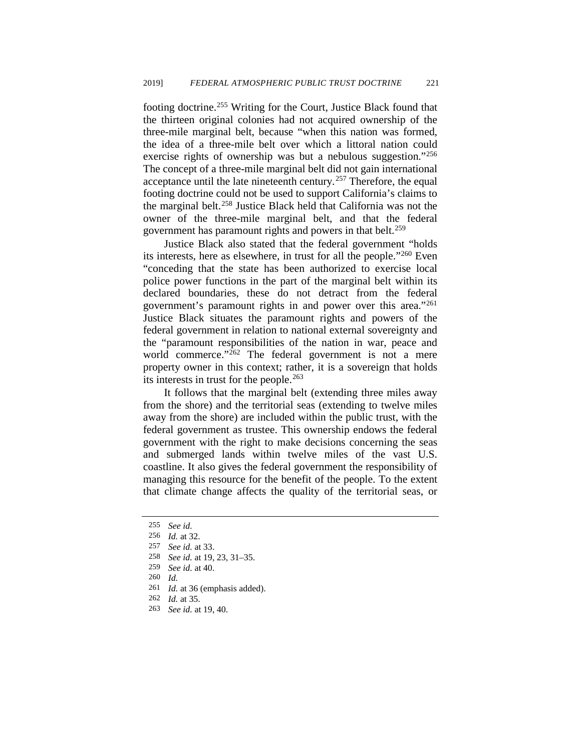footing doctrine.<sup>[255](#page-38-0)</sup> Writing for the Court, Justice Black found that the thirteen original colonies had not acquired ownership of the three-mile marginal belt, because "when this nation was formed, the idea of a three-mile belt over which a littoral nation could exercise rights of ownership was but a nebulous suggestion."<sup>[256](#page-38-1)</sup> The concept of a three-mile marginal belt did not gain international acceptance until the late nineteenth century.<sup>[257](#page-38-2)</sup> Therefore, the equal footing doctrine could not be used to support California's claims to the marginal belt.<sup>[258](#page-38-3)</sup> Justice Black held that California was not the owner of the three-mile marginal belt, and that the federal government has paramount rights and powers in that belt.<sup>[259](#page-38-4)</sup>

Justice Black also stated that the federal government "holds its interests, here as elsewhere, in trust for all the people."[260](#page-38-5) Even "conceding that the state has been authorized to exercise local police power functions in the part of the marginal belt within its declared boundaries, these do not detract from the federal government's paramount rights in and power over this area."[261](#page-38-6) Justice Black situates the paramount rights and powers of the federal government in relation to national external sovereignty and the "paramount responsibilities of the nation in war, peace and world commerce." $262$  The federal government is not a mere property owner in this context; rather, it is a sovereign that holds its interests in trust for the people.<sup>[263](#page-38-8)</sup>

It follows that the marginal belt (extending three miles away from the shore) and the territorial seas (extending to twelve miles away from the shore) are included within the public trust, with the federal government as trustee. This ownership endows the federal government with the right to make decisions concerning the seas and submerged lands within twelve miles of the vast U.S. coastline. It also gives the federal government the responsibility of managing this resource for the benefit of the people. To the extent that climate change affects the quality of the territorial seas, or

<span id="page-38-6"></span><span id="page-38-5"></span>260 *Id.*

- <span id="page-38-7"></span>262 *Id.* at 35.
- <span id="page-38-8"></span>263 *See id.* at 19, 40.

<sup>255</sup> *See id.*

<span id="page-38-1"></span><span id="page-38-0"></span><sup>256</sup> *Id.* at 32.

<span id="page-38-2"></span>See id. at 33.

<span id="page-38-4"></span><span id="page-38-3"></span><sup>258</sup> *See id.* at 19, 23, 31–35.

<sup>259</sup> *See id.* at 40.

<sup>261</sup> *Id.* at 36 (emphasis added).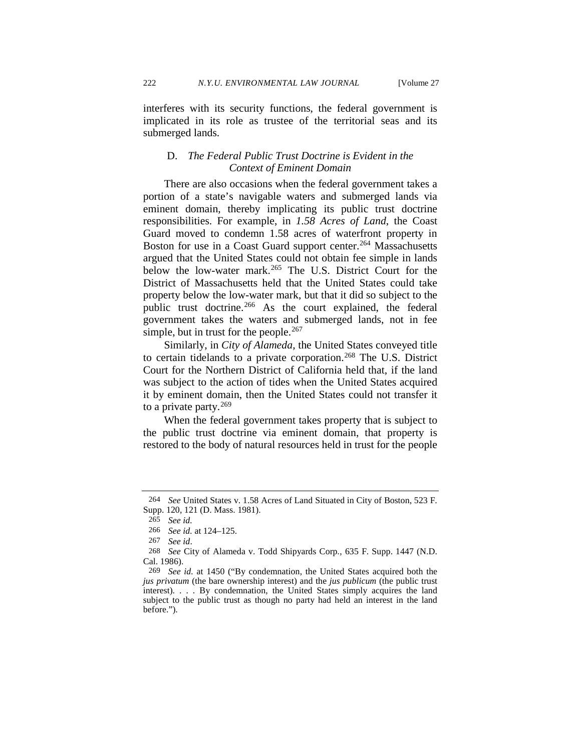interferes with its security functions, the federal government is implicated in its role as trustee of the territorial seas and its submerged lands.

### D. *The Federal Public Trust Doctrine is Evident in the Context of Eminent Domain*

There are also occasions when the federal government takes a portion of a state's navigable waters and submerged lands via eminent domain, thereby implicating its public trust doctrine responsibilities. For example, in *1.58 Acres of Land*, the Coast Guard moved to condemn 1.58 acres of waterfront property in Boston for use in a Coast Guard support center.<sup>[264](#page-39-0)</sup> Massachusetts argued that the United States could not obtain fee simple in lands below the low-water mark.<sup>[265](#page-39-1)</sup> The U.S. District Court for the District of Massachusetts held that the United States could take property below the low-water mark, but that it did so subject to the public trust doctrine.<sup>[266](#page-39-2)</sup> As the court explained, the federal government takes the waters and submerged lands, not in fee simple, but in trust for the people. $267$ 

Similarly, in *City of Alameda*, the United States conveyed title to certain tidelands to a private corporation.<sup>[268](#page-39-4)</sup> The U.S. District Court for the Northern District of California held that, if the land was subject to the action of tides when the United States acquired it by eminent domain, then the United States could not transfer it to a private party. $269$ 

When the federal government takes property that is subject to the public trust doctrine via eminent domain, that property is restored to the body of natural resources held in trust for the people

<span id="page-39-1"></span><span id="page-39-0"></span><sup>264</sup> *See* United States v. 1.58 Acres of Land Situated in City of Boston, 523 F. Supp. 120, 121 (D. Mass. 1981).

<sup>265</sup> *See id.*

<sup>266</sup> *See id.* at 124–125.

<span id="page-39-4"></span><span id="page-39-3"></span><span id="page-39-2"></span><sup>267</sup>*See id*. 268 *See* City of Alameda v. Todd Shipyards Corp*.*, 635 F. Supp. 1447 (N.D. Cal. 1986).

<span id="page-39-5"></span><sup>269</sup> *See id.* at 1450 ("By condemnation, the United States acquired both the *jus privatum* (the bare ownership interest) and the *jus publicum* (the public trust interest). . . . By condemnation, the United States simply acquires the land subject to the public trust as though no party had held an interest in the land before.").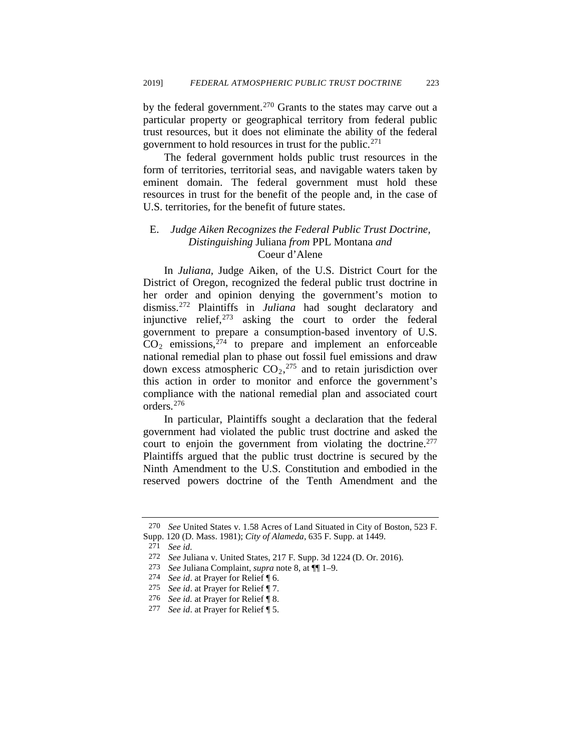by the federal government.<sup>[270](#page-40-0)</sup> Grants to the states may carve out a particular property or geographical territory from federal public trust resources, but it does not eliminate the ability of the federal government to hold resources in trust for the public.<sup>[271](#page-40-1)</sup>

The federal government holds public trust resources in the form of territories, territorial seas, and navigable waters taken by eminent domain. The federal government must hold these resources in trust for the benefit of the people and, in the case of U.S. territories, for the benefit of future states.

### E. *Judge Aiken Recognizes the Federal Public Trust Doctrine, Distinguishing* Juliana *from* PPL Montana *and*  Coeur d'Alene

In *Juliana,* Judge Aiken, of the U.S. District Court for the District of Oregon, recognized the federal public trust doctrine in her order and opinion denying the government's motion to dismiss.[272](#page-40-2) Plaintiffs in *Juliana* had sought declaratory and injunctive relief, $273$  asking the court to order the federal government to prepare a consumption-based inventory of U.S.  $CO<sub>2</sub>$  emissions,  $274$  to prepare and implement an enforceable national remedial plan to phase out fossil fuel emissions and draw down excess atmospheric  $CO<sub>2</sub>$ ,  $^{275}$  $^{275}$  $^{275}$  and to retain jurisdiction over this action in order to monitor and enforce the government's compliance with the national remedial plan and associated court orders.[276](#page-40-6)

In particular, Plaintiffs sought a declaration that the federal government had violated the public trust doctrine and asked the court to enjoin the government from violating the doctrine.<sup>277</sup> Plaintiffs argued that the public trust doctrine is secured by the Ninth Amendment to the U.S. Constitution and embodied in the reserved powers doctrine of the Tenth Amendment and the

<span id="page-40-2"></span><span id="page-40-1"></span><span id="page-40-0"></span><sup>270</sup> *See* United States v. 1.58 Acres of Land Situated in City of Boston, 523 F. Supp. 120 (D. Mass. 1981); *City of Alameda*, 635 F. Supp. at 1449.

<sup>271</sup> *See id.*

<span id="page-40-3"></span><sup>272</sup> *See* Juliana v. United States, 217 F. Supp. 3d 1224 (D. Or. 2016).

<sup>273</sup> *See* Juliana Complaint, *supra* note [8,](#page-2-8) at ¶¶ 1–9.

<span id="page-40-4"></span><sup>274</sup> *See id*. at Prayer for Relief ¶ 6.

<span id="page-40-5"></span><sup>275</sup> *See id*. at Prayer for Relief ¶ 7.

<span id="page-40-6"></span><sup>276</sup> *See id.* at Prayer for Relief ¶ 8.

<span id="page-40-7"></span><sup>277</sup> *See id*. at Prayer for Relief ¶ 5.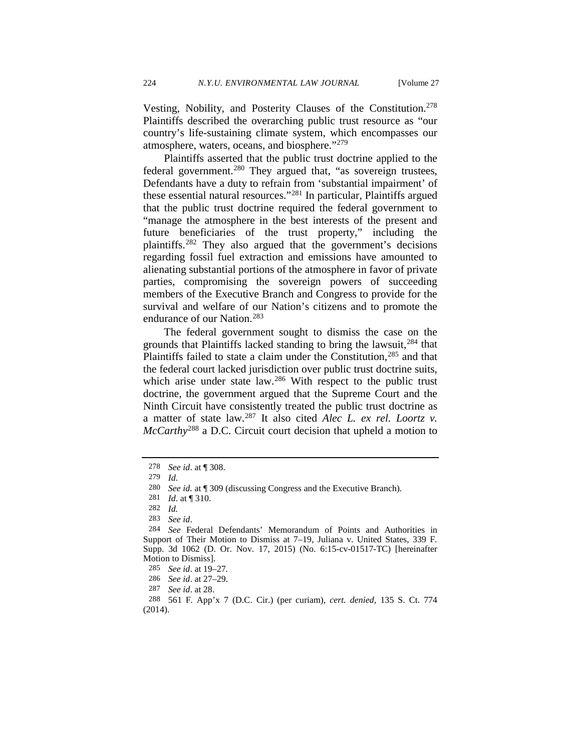Vesting, Nobility, and Posterity Clauses of the Constitution[.278](#page-41-0)  Plaintiffs described the overarching public trust resource as "our country's life-sustaining climate system, which encompasses our atmosphere, waters, oceans, and biosphere."[279](#page-41-1)

Plaintiffs asserted that the public trust doctrine applied to the federal government.<sup>[280](#page-41-2)</sup> They argued that, "as sovereign trustees, Defendants have a duty to refrain from 'substantial impairment' of these essential natural resources."[281](#page-41-3) In particular, Plaintiffs argued that the public trust doctrine required the federal government to "manage the atmosphere in the best interests of the present and future beneficiaries of the trust property," including the plaintiffs.[282](#page-41-4) They also argued that the government's decisions regarding fossil fuel extraction and emissions have amounted to alienating substantial portions of the atmosphere in favor of private parties, compromising the sovereign powers of succeeding members of the Executive Branch and Congress to provide for the survival and welfare of our Nation's citizens and to promote the endurance of our Nation[.283](#page-41-5)

<span id="page-41-11"></span>The federal government sought to dismiss the case on the grounds that Plaintiffs lacked standing to bring the lawsuit, $284$  that Plaintiffs failed to state a claim under the Constitution,<sup>[285](#page-41-7)</sup> and that the federal court lacked jurisdiction over public trust doctrine suits, which arise under state law.<sup>[286](#page-41-8)</sup> With respect to the public trust doctrine, the government argued that the Supreme Court and the Ninth Circuit have consistently treated the public trust doctrine as a matter of state law.[287](#page-41-9) It also cited *Alec L. ex rel. Loortz v. McCarthy*[288](#page-41-10) a D.C. Circuit court decision that upheld a motion to

<span id="page-41-0"></span><sup>278</sup> *See id*. at ¶ 308.

<span id="page-41-1"></span><sup>279</sup> *Id.*

<span id="page-41-2"></span><sup>280</sup> *See id.* at ¶ 309 (discussing Congress and the Executive Branch)*.* 

<sup>281</sup> *Id*. at ¶ 310.

<sup>282</sup> *Id.* 

<span id="page-41-6"></span><span id="page-41-5"></span><span id="page-41-4"></span><span id="page-41-3"></span><sup>283</sup>*See id*. 284 *See* Federal Defendants' Memorandum of Points and Authorities in Support of Their Motion to Dismiss at 7–19, Juliana v. United States, 339 F. Supp. 3d 1062 (D. Or. Nov. 17, 2015) (No. 6:15-cv-01517-TC) [hereinafter Motion to Dismiss].

<sup>285</sup> *See id*. at 19–27*.* 

<sup>286</sup> *See id*. at 27–29.

<sup>287</sup> *See id*. at 28.

<span id="page-41-10"></span><span id="page-41-9"></span><span id="page-41-8"></span><span id="page-41-7"></span><sup>288 561</sup> F. App'x 7 (D.C. Cir.) (per curiam), *cert. denied*, 135 S. Ct. 774 (2014).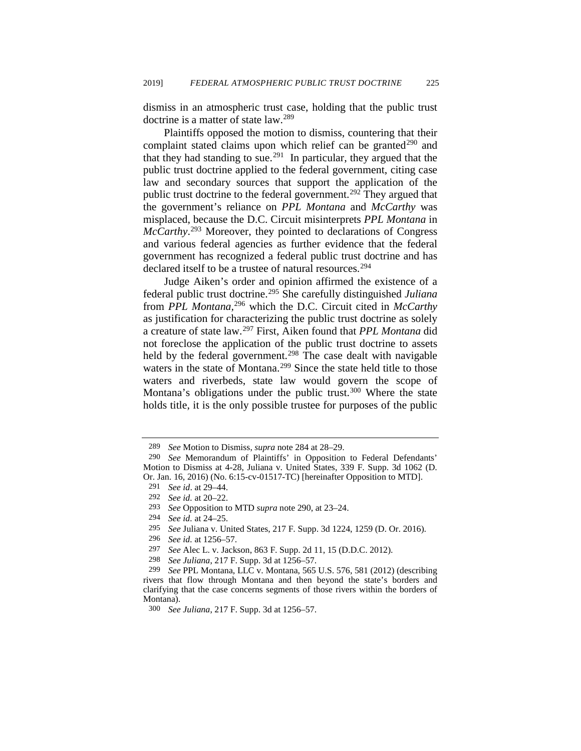dismiss in an atmospheric trust case, holding that the public trust doctrine is a matter of state law.[289](#page-42-1)

<span id="page-42-0"></span>Plaintiffs opposed the motion to dismiss, countering that their complaint stated claims upon which relief can be granted<sup>[290](#page-42-2)</sup> and that they had standing to sue.<sup>[291](#page-42-3)</sup> In particular, they argued that the public trust doctrine applied to the federal government, citing case law and secondary sources that support the application of the public trust doctrine to the federal government.<sup>[292](#page-42-4)</sup> They argued that the government's reliance on *PPL Montana* and *McCarthy* was misplaced, because the D.C. Circuit misinterprets *PPL Montana* in *McCarthy*. [293](#page-42-5) Moreover, they pointed to declarations of Congress and various federal agencies as further evidence that the federal government has recognized a federal public trust doctrine and has declared itself to be a trustee of natural resources.<sup>[294](#page-42-6)</sup>

Judge Aiken's order and opinion affirmed the existence of a federal public trust doctrine.[295](#page-42-7) She carefully distinguished *Juliana*  from *PPL Montana,*[296](#page-42-8) which the D.C. Circuit cited in *McCarthy* as justification for characterizing the public trust doctrine as solely a creature of state law.[297](#page-42-9) First, Aiken found that *PPL Montana* did not foreclose the application of the public trust doctrine to assets held by the federal government.<sup>298</sup> The case dealt with navigable waters in the state of Montana.<sup>[299](#page-42-11)</sup> Since the state held title to those waters and riverbeds, state law would govern the scope of Montana's obligations under the public trust.<sup>[300](#page-42-12)</sup> Where the state holds title, it is the only possible trustee for purposes of the public

- 294 *See id.* at 24–25.
- <span id="page-42-7"></span>295 *See* Juliana v. United States, 217 F. Supp. 3d 1224, 1259 (D. Or. 2016).
- 296 *See id.* at 1256–57.
- 297 *See* Alec L. v. Jackson, 863 F. Supp. 2d 11, 15 (D.D.C. 2012).
- 298 *See Juliana*, 217 F. Supp. 3d at 1256–57.

<sup>289</sup> *See* Motion to Dismiss, *supra* note [284](#page-41-11) at 28–29.

<span id="page-42-4"></span><span id="page-42-3"></span><span id="page-42-2"></span><span id="page-42-1"></span><sup>290</sup> *See* Memorandum of Plaintiffs' in Opposition to Federal Defendants' Motion to Dismiss at 4-28, Juliana v. United States, 339 F. Supp. 3d 1062 (D. Or. Jan. 16, 2016) (No. 6:15-cv-01517-TC) [hereinafter Opposition to MTD].

<sup>291</sup> *See id*. at 29–44.

<sup>292</sup> *See id.* at 20–22.

<span id="page-42-6"></span><span id="page-42-5"></span><sup>293</sup> *See* Opposition to MTD *supra* not[e 290,](#page-42-0) at 23–24.

<span id="page-42-11"></span><span id="page-42-10"></span><span id="page-42-9"></span><span id="page-42-8"></span><sup>299</sup> *See* PPL Montana, LLC v. Montana, 565 U.S. 576, 581 (2012) (describing rivers that flow through Montana and then beyond the state's borders and clarifying that the case concerns segments of those rivers within the borders of Montana).

<span id="page-42-12"></span><sup>300</sup> *See Juliana*, 217 F. Supp. 3d at 1256–57.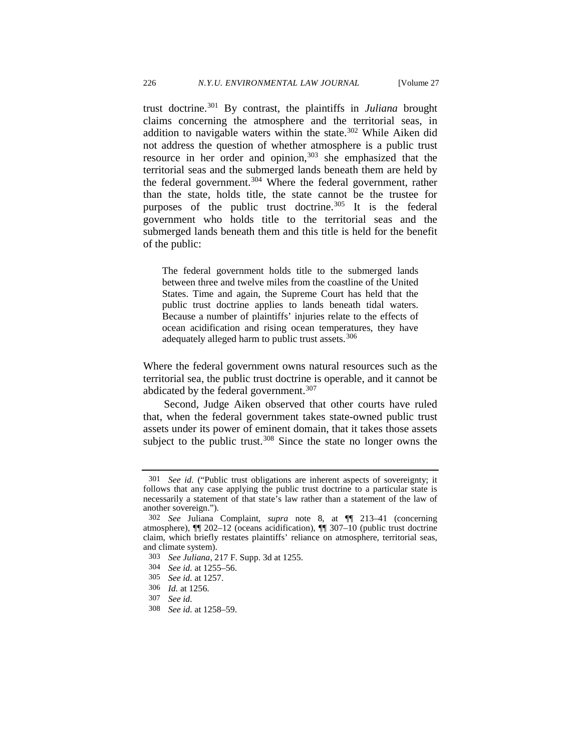trust doctrine.[301](#page-43-0) By contrast, the plaintiffs in *Juliana* brought claims concerning the atmosphere and the territorial seas, in addition to navigable waters within the state.<sup>[302](#page-43-1)</sup> While Aiken did not address the question of whether atmosphere is a public trust resource in her order and opinion,<sup>[303](#page-43-2)</sup> she emphasized that the territorial seas and the submerged lands beneath them are held by the federal government.<sup>[304](#page-43-3)</sup> Where the federal government, rather than the state, holds title, the state cannot be the trustee for purposes of the public trust doctrine.<sup>[305](#page-43-4)</sup> It is the federal government who holds title to the territorial seas and the submerged lands beneath them and this title is held for the benefit of the public:

The federal government holds title to the submerged lands between three and twelve miles from the coastline of the United States. Time and again, the Supreme Court has held that the public trust doctrine applies to lands beneath tidal waters. Because a number of plaintiffs' injuries relate to the effects of ocean acidification and rising ocean temperatures, they have adequately alleged harm to public trust assets.<sup>[306](#page-43-5)</sup>

Where the federal government owns natural resources such as the territorial sea, the public trust doctrine is operable, and it cannot be abdicated by the federal government.<sup>[307](#page-43-6)</sup>

Second, Judge Aiken observed that other courts have ruled that, when the federal government takes state-owned public trust assets under its power of eminent domain, that it takes those assets subject to the public trust.<sup>[308](#page-43-7)</sup> Since the state no longer owns the

<span id="page-43-0"></span><sup>301</sup> *See id.* ("Public trust obligations are inherent aspects of sovereignty; it follows that any case applying the public trust doctrine to a particular state is necessarily a statement of that state's law rather than a statement of the law of another sovereign.").

<span id="page-43-1"></span><sup>302</sup> *See* Juliana Complaint*, supra* note [8,](#page-2-8) at ¶¶ 213–41 (concerning atmosphere), ¶¶ 202–12 (oceans acidification), ¶¶ 307–10 (public trust doctrine claim, which briefly restates plaintiffs' reliance on atmosphere, territorial seas, and climate system).

<span id="page-43-3"></span><span id="page-43-2"></span><sup>303</sup> *See Juliana*, 217 F. Supp. 3d at 1255.

<sup>304</sup> *See id.* at 1255–56.

<sup>305</sup> *See id.* at 1257.

<span id="page-43-6"></span><span id="page-43-5"></span><span id="page-43-4"></span><sup>306</sup> *Id.* at 1256.

<sup>307</sup> *See id.*

<span id="page-43-7"></span><sup>308</sup> *See id.* at 1258–59.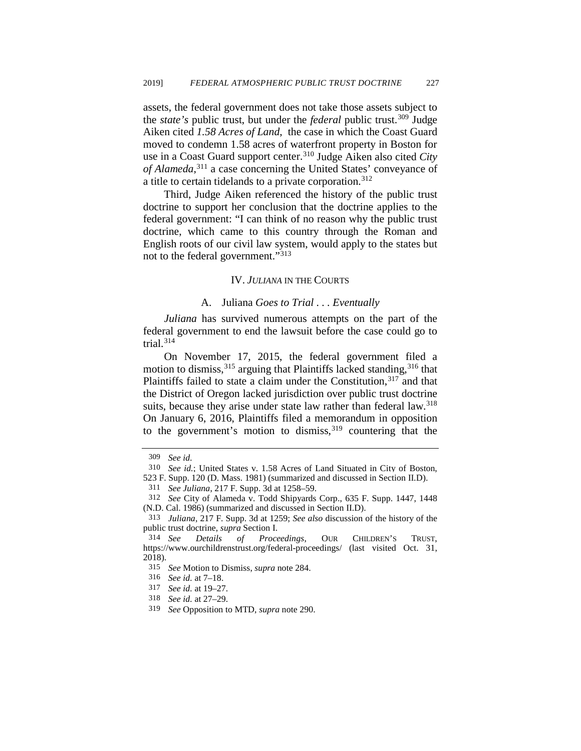assets, the federal government does not take those assets subject to the *state's* public trust, but under the *federal* public trust.[309](#page-44-0) Judge Aiken cited *1.58 Acres of Land,* the case in which the Coast Guard moved to condemn 1.58 acres of waterfront property in Boston for use in a Coast Guard support center.[310](#page-44-1) Judge Aiken also cited *City of Alameda,*[311](#page-44-2) a case concerning the United States' conveyance of a title to certain tidelands to a private corporation.<sup>[312](#page-44-3)</sup>

Third, Judge Aiken referenced the history of the public trust doctrine to support her conclusion that the doctrine applies to the federal government: "I can think of no reason why the public trust doctrine, which came to this country through the Roman and English roots of our civil law system, would apply to the states but not to the federal government."[313](#page-44-4)

### IV. *JULIANA* IN THE COURTS

### A. Juliana *Goes to Trial . . . Eventually*

*Juliana* has survived numerous attempts on the part of the federal government to end the lawsuit before the case could go to trial. $314$ 

On November 17, 2015, the federal government filed a motion to dismiss,  $315$  arguing that Plaintiffs lacked standing,  $316$  that Plaintiffs failed to state a claim under the Constitution,  $317$  and that the District of Oregon lacked jurisdiction over public trust doctrine suits, because they arise under state law rather than federal law.<sup>318</sup> On January 6, 2016, Plaintiffs filed a memorandum in opposition to the government's motion to dismiss,  $319$  countering that the

<sup>309</sup> *See id.*

<sup>310</sup> *See id.*; United States v. 1.58 Acres of Land Situated in City of Boston,

<span id="page-44-2"></span><span id="page-44-1"></span><span id="page-44-0"></span><sup>523</sup> F. Supp. 120 (D. Mass. 1981) (summarized and discussed in Section II.D).

<sup>311</sup> *See Juliana*, 217 F. Supp. 3d at 1258–59.

<span id="page-44-3"></span><sup>312</sup> *See* City of Alameda v. Todd Shipyards Corp., 635 F. Supp. 1447, 1448 (N.D. Cal. 1986) (summarized and discussed in Section II.D).

<span id="page-44-4"></span><sup>313</sup> *Juliana*, 217 F. Supp. 3d at 1259; *See also* discussion of the history of the public trust doctrine, *supra* Section I.

<span id="page-44-6"></span><span id="page-44-5"></span><sup>314</sup> *See Details of Proceedings*, OUR CHILDREN'S TRUST, https://www.ourchildrenstrust.org/federal-proceedings/ (last visited Oct. 31, 2018).

<sup>315</sup>*See* Motion to Dismiss, *supra* note [284.](#page-41-11) 316 *See id.* at 7–18.

<span id="page-44-7"></span>

<sup>317</sup> *See id.* at 19–27.

<span id="page-44-10"></span><span id="page-44-9"></span><span id="page-44-8"></span><sup>318</sup> *See id.* at 27–29.

<sup>319</sup> *See* Opposition to MTD, *supra* note [290.](#page-42-0)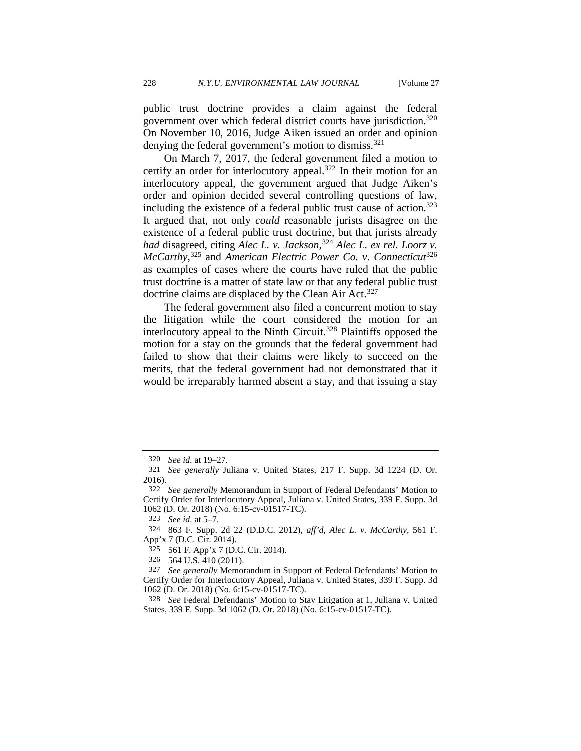public trust doctrine provides a claim against the federal government over which federal district courts have jurisdiction[.320](#page-45-0) On November 10, 2016, Judge Aiken issued an order and opinion denying the federal government's motion to dismiss.<sup>[321](#page-45-1)</sup>

On March 7, 2017, the federal government filed a motion to certify an order for interlocutory appeal.<sup>[322](#page-45-2)</sup> In their motion for an interlocutory appeal, the government argued that Judge Aiken's order and opinion decided several controlling questions of law, including the existence of a federal public trust cause of action.<sup>323</sup> It argued that, not only *could* reasonable jurists disagree on the existence of a federal public trust doctrine, but that jurists already *had* disagreed, citing *Alec L. v. Jackson*, [324](#page-45-4) *Alec L. ex rel. Loorz v. McCarthy*, [325](#page-45-5) and *American Electric Power Co. v. Connecticut*[326](#page-45-6) as examples of cases where the courts have ruled that the public trust doctrine is a matter of state law or that any federal public trust doctrine claims are displaced by the Clean Air Act.<sup>[327](#page-45-7)</sup>

The federal government also filed a concurrent motion to stay the litigation while the court considered the motion for an interlocutory appeal to the Ninth Circuit.<sup>[328](#page-45-8)</sup> Plaintiffs opposed the motion for a stay on the grounds that the federal government had failed to show that their claims were likely to succeed on the merits, that the federal government had not demonstrated that it would be irreparably harmed absent a stay, and that issuing a stay

<sup>320</sup> *See id.* at 19–27.

<span id="page-45-1"></span><span id="page-45-0"></span><sup>321</sup> *See generally* Juliana v. United States, 217 F. Supp. 3d 1224 (D. Or. 2016). 322 *See generally* Memorandum in Support of Federal Defendants' Motion to

<span id="page-45-2"></span>Certify Order for Interlocutory Appeal, Juliana v. United States, 339 F. Supp. 3d 1062 (D. Or. 2018) (No. 6:15-cv-01517-TC).

<sup>323</sup> *See id.* at 5–7.

<span id="page-45-5"></span><span id="page-45-4"></span><span id="page-45-3"></span><sup>324 863</sup> F. Supp. 2d 22 (D.D.C. 2012), *aff'd, Alec L. v. McCarthy,* 561 F. App'x 7 (D.C. Cir. 2014).

<sup>325 561</sup> F. App'x 7 (D.C. Cir. 2014).

<sup>326 564</sup> U.S. 410 (2011).

<span id="page-45-7"></span><span id="page-45-6"></span><sup>327</sup> *See generally* Memorandum in Support of Federal Defendants' Motion to Certify Order for Interlocutory Appeal, Juliana v. United States, 339 F. Supp. 3d 1062 (D. Or. 2018) (No. 6:15-cv-01517-TC).

<span id="page-45-8"></span><sup>328</sup> *See* Federal Defendants' Motion to Stay Litigation at 1, Juliana v. United States, 339 F. Supp. 3d 1062 (D. Or. 2018) (No. 6:15-cv-01517-TC).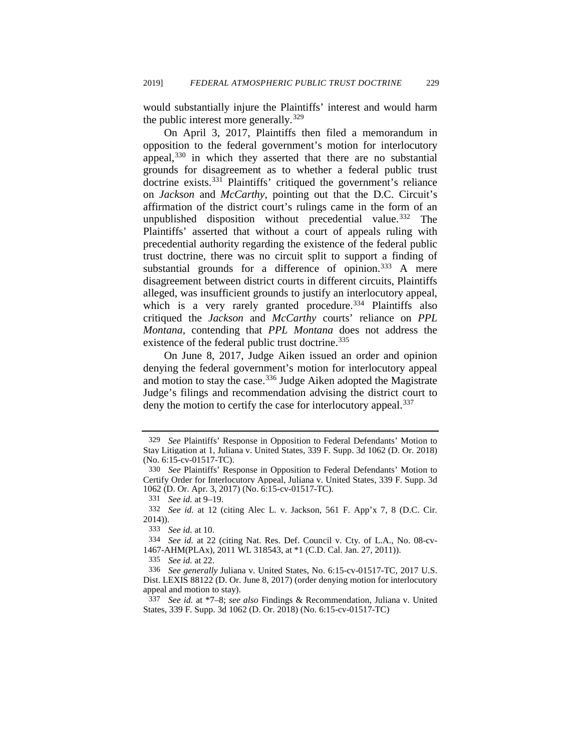would substantially injure the Plaintiffs' interest and would harm the public interest more generally.<sup>[329](#page-46-0)</sup>

On April 3, 2017, Plaintiffs then filed a memorandum in opposition to the federal government's motion for interlocutory appeal,<sup>[330](#page-46-1)</sup> in which they asserted that there are no substantial grounds for disagreement as to whether a federal public trust doctrine exists.[331](#page-46-2) Plaintiffs' critiqued the government's reliance on *Jackson* and *McCarthy*, pointing out that the D.C. Circuit's affirmation of the district court's rulings came in the form of an unpublished disposition without precedential value.<sup>[332](#page-46-3)</sup> The Plaintiffs' asserted that without a court of appeals ruling with precedential authority regarding the existence of the federal public trust doctrine, there was no circuit split to support a finding of substantial grounds for a difference of opinion.<sup>[333](#page-46-4)</sup> A mere disagreement between district courts in different circuits, Plaintiffs alleged, was insufficient grounds to justify an interlocutory appeal, which is a very rarely granted procedure.<sup>334</sup> Plaintiffs also critiqued the *Jackson* and *McCarthy* courts' reliance on *PPL Montana*, contending that *PPL Montana* does not address the existence of the federal public trust doctrine.<sup>[335](#page-46-6)</sup>

On June 8, 2017, Judge Aiken issued an order and opinion denying the federal government's motion for interlocutory appeal and motion to stay the case.<sup>[336](#page-46-7)</sup> Judge Aiken adopted the Magistrate Judge's filings and recommendation advising the district court to deny the motion to certify the case for interlocutory appeal.<sup>[337](#page-46-8)</sup>

<span id="page-46-0"></span><sup>329</sup> *See* Plaintiffs' Response in Opposition to Federal Defendants' Motion to Stay Litigation at 1, Juliana v. United States, 339 F. Supp. 3d 1062 (D. Or. 2018) (No. 6:15-cv-01517-TC).

<span id="page-46-1"></span><sup>330</sup> *See* Plaintiffs' Response in Opposition to Federal Defendants' Motion to Certify Order for Interlocutory Appeal, Juliana v. United States, 339 F. Supp. 3d 1062 (D. Or. Apr. 3, 2017) (No. 6:15-cv-01517-TC). 331 *See id.* at 9–19.

<span id="page-46-3"></span><span id="page-46-2"></span><sup>332</sup> *See id.* at 12 (citing Alec L. v. Jackson, 561 F. App'x 7, 8 (D.C. Cir. 2014)).

<sup>333</sup> *See id.* at 10.

<span id="page-46-5"></span><span id="page-46-4"></span><sup>334</sup> *See id.* at 22 (citing Nat. Res. Def. Council v. Cty. of L.A., No. 08-cv-1467-AHM(PLAx), 2011 WL 318543, at \*1 (C.D. Cal. Jan. 27, 2011)).

<sup>335</sup> *See id.* at 22.

<span id="page-46-7"></span><span id="page-46-6"></span><sup>336</sup> *See generally* Juliana v. United States, No. 6:15-cv-01517-TC, 2017 U.S. Dist. LEXIS 88122 (D. Or. June 8, 2017) (order denying motion for interlocutory appeal and motion to stay).

<span id="page-46-8"></span><sup>337</sup> *See id.* at \*7–8; *see also* Findings & Recommendation, Juliana v. United States, 339 F. Supp. 3d 1062 (D. Or. 2018) (No. 6:15-cv-01517-TC)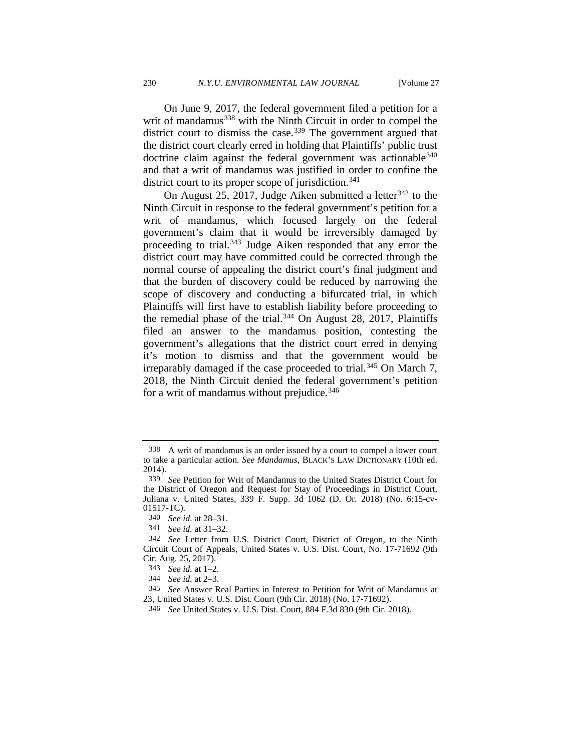On June 9, 2017, the federal government filed a petition for a writ of mandamus<sup>[338](#page-47-0)</sup> with the Ninth Circuit in order to compel the district court to dismiss the case.<sup>[339](#page-47-1)</sup> The government argued that the district court clearly erred in holding that Plaintiffs' public trust doctrine claim against the federal government was actionable<sup>340</sup> and that a writ of mandamus was justified in order to confine the district court to its proper scope of jurisdiction.<sup>[341](#page-47-3)</sup>

On August 25, 2017, Judge Aiken submitted a letter  $342$  to the Ninth Circuit in response to the federal government's petition for a writ of mandamus, which focused largely on the federal government's claim that it would be irreversibly damaged by proceeding to trial*.* [343](#page-47-5) Judge Aiken responded that any error the district court may have committed could be corrected through the normal course of appealing the district court's final judgment and that the burden of discovery could be reduced by narrowing the scope of discovery and conducting a bifurcated trial, in which Plaintiffs will first have to establish liability before proceeding to the remedial phase of the trial.<sup>344</sup> On August 28, 2017, Plaintiffs filed an answer to the mandamus position, contesting the government's allegations that the district court erred in denying it's motion to dismiss and that the government would be irreparably damaged if the case proceeded to trial.<sup>345</sup> On March 7, 2018, the Ninth Circuit denied the federal government's petition for a writ of mandamus without prejudice.<sup>[346](#page-47-8)</sup>

<span id="page-47-0"></span><sup>338</sup> A writ of mandamus is an order issued by a court to compel a lower court to take a particular action. *See Mandamus*, BLACK'S LAW DICTIONARY (10th ed. 2014).

<span id="page-47-1"></span><sup>339</sup> *See* Petition for Writ of Mandamus to the United States District Court for the District of Oregon and Request for Stay of Proceedings in District Court, Juliana v. United States, 339 F. Supp. 3d 1062 (D. Or. 2018) (No. 6:15-cv-01517-TC).

<sup>340</sup> *See id.* at 28–31.

<sup>341</sup> *See id.* at 31–32.

<span id="page-47-4"></span><span id="page-47-3"></span><span id="page-47-2"></span><sup>342</sup> *See* Letter from U.S. District Court, District of Oregon, to the Ninth Circuit Court of Appeals, United States v. U.S. Dist. Court, No. 17-71692 (9th Cir. Aug. 25, 2017).

<sup>343</sup> *See id.* at 1–2.

<sup>344</sup> *See id.* at 2–3.

<span id="page-47-8"></span><span id="page-47-7"></span><span id="page-47-6"></span><span id="page-47-5"></span><sup>345</sup> *See* Answer Real Parties in Interest to Petition for Writ of Mandamus at 23, United States v. U.S. Dist. Court (9th Cir. 2018) (No. 17-71692).

<sup>346</sup> *See* United States v. U.S. Dist. Court, 884 F.3d 830 (9th Cir. 2018).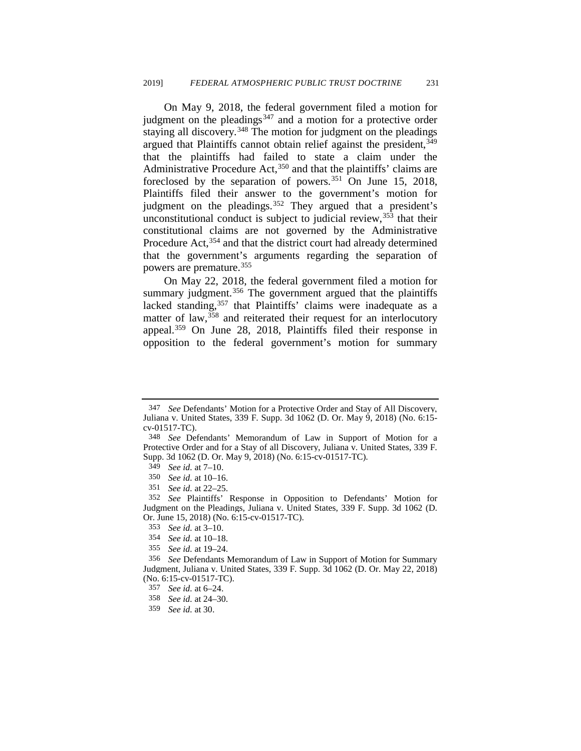On May 9, 2018, the federal government filed a motion for judgment on the pleadings $347$  and a motion for a protective order staying all discovery.<sup>[348](#page-48-1)</sup> The motion for judgment on the pleadings argued that Plaintiffs cannot obtain relief against the president,<sup>349</sup> that the plaintiffs had failed to state a claim under the Administrative Procedure Act,<sup>[350](#page-48-3)</sup> and that the plaintiffs' claims are foreclosed by the separation of powers.<sup>[351](#page-48-4)</sup> On June 15, 2018, Plaintiffs filed their answer to the government's motion for judgment on the pleadings.<sup>[352](#page-48-5)</sup> They argued that a president's unconstitutional conduct is subject to judicial review,  $353$  that their constitutional claims are not governed by the Administrative Procedure Act, <sup>[354](#page-48-7)</sup> and that the district court had already determined that the government's arguments regarding the separation of powers are premature.[355](#page-48-8)

On May 22, 2018, the federal government filed a motion for summary judgment.<sup>[356](#page-48-9)</sup> The government argued that the plaintiffs lacked standing,<sup>[357](#page-48-10)</sup> that Plaintiffs' claims were inadequate as a matter of law,<sup>[358](#page-48-11)</sup> and reiterated their request for an interlocutory appeal.[359](#page-48-12) On June 28, 2018, Plaintiffs filed their response in opposition to the federal government's motion for summary

<span id="page-48-0"></span><sup>347</sup> *See* Defendants' Motion for a Protective Order and Stay of All Discovery, Juliana v. United States, 339 F. Supp. 3d 1062 (D. Or. May 9, 2018) (No. 6:15 cv-01517-TC).

<span id="page-48-2"></span><span id="page-48-1"></span><sup>348</sup> *See* Defendants' Memorandum of Law in Support of Motion for a Protective Order and for a Stay of all Discovery, Juliana v. United States, 339 F. Supp. 3d 1062 (D. Or. May 9, 2018) (No. 6:15-cv-01517-TC). 349 *See id.* at 7–10.

<sup>350</sup> *See id.* at 10–16.

<sup>351</sup> *See id.* at 22–25.

<span id="page-48-5"></span><span id="page-48-4"></span><span id="page-48-3"></span><sup>352</sup> *See* Plaintiffs' Response in Opposition to Defendants' Motion for Judgment on the Pleadings, Juliana v. United States, 339 F. Supp. 3d 1062 (D. Or. June 15, 2018) (No. 6:15-cv-01517-TC).

<sup>353</sup> *See id.* at 3–10.

<sup>354</sup> *See id.* at 10–18.

<sup>355</sup> *See id.* at 19–24.

<span id="page-48-10"></span><span id="page-48-9"></span><span id="page-48-8"></span><span id="page-48-7"></span><span id="page-48-6"></span><sup>356</sup> *See* Defendants Memorandum of Law in Support of Motion for Summary Judgment, Juliana v. United States, 339 F. Supp. 3d 1062 (D. Or. May 22, 2018) (No. 6:15-cv-01517-TC).

<sup>357</sup> *See id.* at 6–24.

<span id="page-48-11"></span><sup>358</sup> *See id.* at 24–30.

<span id="page-48-12"></span><sup>359</sup> *See id.* at 30.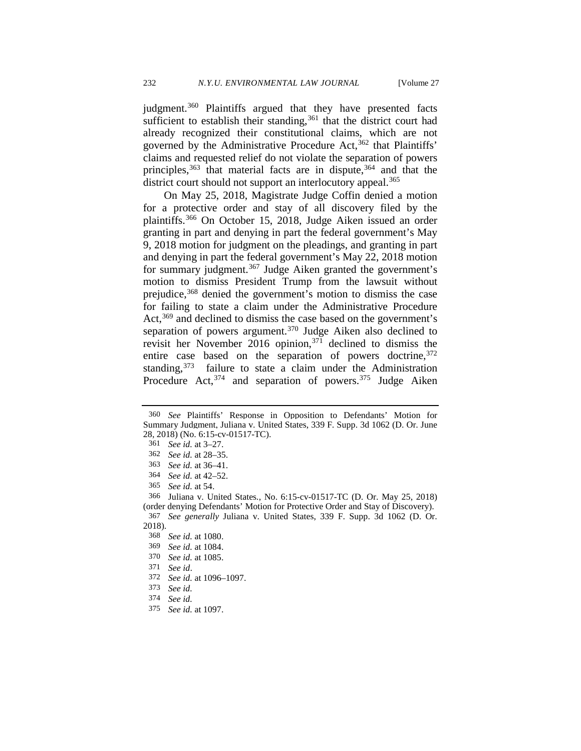judgment.<sup>[360](#page-49-0)</sup> Plaintiffs argued that they have presented facts sufficient to establish their standing,<sup>[361](#page-49-1)</sup> that the district court had already recognized their constitutional claims, which are not governed by the Administrative Procedure Act,<sup>362</sup> that Plaintiffs' claims and requested relief do not violate the separation of powers principles,  $363$  that material facts are in dispute,  $364$  and that the district court should not support an interlocutory appeal.<sup>[365](#page-49-5)</sup>

On May 25, 2018, Magistrate Judge Coffin denied a motion for a protective order and stay of all discovery filed by the plaintiffs.[366](#page-49-6) On October 15, 2018, Judge Aiken issued an order granting in part and denying in part the federal government's May 9, 2018 motion for judgment on the pleadings, and granting in part and denying in part the federal government's May 22, 2018 motion for summary judgment.<sup>[367](#page-49-7)</sup> Judge Aiken granted the government's motion to dismiss President Trump from the lawsuit without prejudice,<sup>[368](#page-49-8)</sup> denied the government's motion to dismiss the case for failing to state a claim under the Administrative Procedure Act,<sup>[369](#page-49-9)</sup> and declined to dismiss the case based on the government's separation of powers argument.<sup>[370](#page-49-10)</sup> Judge Aiken also declined to revisit her November 2016 opinion,<sup>[371](#page-49-11)</sup> declined to dismiss the entire case based on the separation of powers doctrine, 372 standing, [373](#page-49-13) failure to state a claim under the Administration Procedure  $Act,^{374}$  $Act,^{374}$  $Act,^{374}$  and separation of powers.<sup>[375](#page-49-15)</sup> Judge Aiken

<sup>371</sup>*See id*. 372 *See id.* at 1096–1097.

375 *See id.* at 1097.

<span id="page-49-1"></span><span id="page-49-0"></span><sup>360</sup> *See* Plaintiffs' Response in Opposition to Defendants' Motion for Summary Judgment, Juliana v. United States, 339 F. Supp. 3d 1062 (D. Or. June 28, 2018) (No. 6:15-cv-01517-TC). 361 *See id.* at 3–27.

<span id="page-49-2"></span><sup>362</sup> *See id.* at 28–35.

<sup>363</sup> *See id.* at 36–41.

<sup>364</sup> *See id.* at 42–52.

<sup>365</sup> *See id.* at 54.

<span id="page-49-6"></span><span id="page-49-5"></span><span id="page-49-4"></span><span id="page-49-3"></span><sup>366</sup> Juliana v. United States*.*, No. 6:15-cv-01517-TC (D. Or. May 25, 2018) (order denying Defendants' Motion for Protective Order and Stay of Discovery). 367 *See generally* Juliana v. United States, 339 F. Supp. 3d 1062 (D. Or.

<span id="page-49-10"></span><span id="page-49-9"></span><span id="page-49-8"></span><span id="page-49-7"></span><sup>2018).</sup>

<sup>368</sup> *See id.* at 1080.

<sup>369</sup> *See id.* at 1084.

<sup>370</sup> *See id.* at 1085.

<span id="page-49-15"></span><span id="page-49-14"></span><span id="page-49-13"></span><span id="page-49-12"></span><span id="page-49-11"></span><sup>373</sup> *See id.* 

<sup>374</sup> *See id.*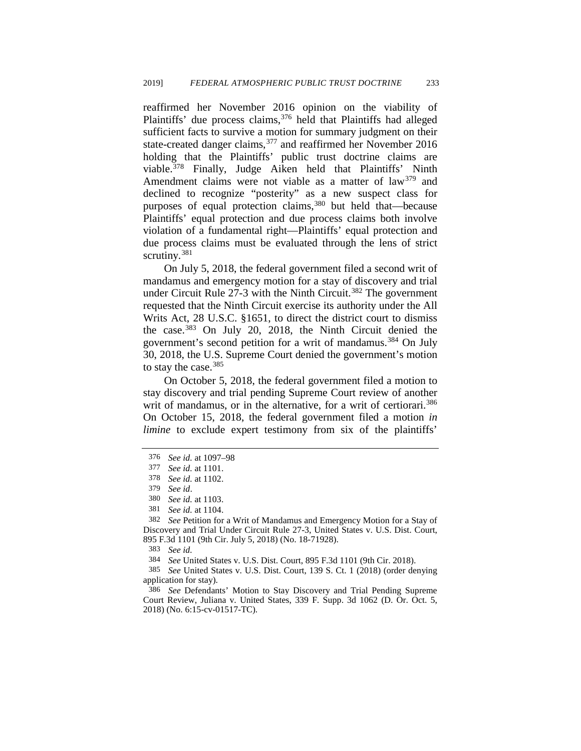reaffirmed her November 2016 opinion on the viability of Plaintiffs' due process claims, [376](#page-50-0) held that Plaintiffs had alleged sufficient facts to survive a motion for summary judgment on their state-created danger claims,[377](#page-50-1) and reaffirmed her November 2016 holding that the Plaintiffs' public trust doctrine claims are viable[.378](#page-50-2) Finally, Judge Aiken held that Plaintiffs' Ninth Amendment claims were not viable as a matter of law<sup>[379](#page-50-3)</sup> and declined to recognize "posterity" as a new suspect class for purposes of equal protection claims,<sup>[380](#page-50-4)</sup> but held that—because Plaintiffs' equal protection and due process claims both involve violation of a fundamental right—Plaintiffs' equal protection and due process claims must be evaluated through the lens of strict scrutiny.<sup>[381](#page-50-5)</sup>

On July 5, 2018, the federal government filed a second writ of mandamus and emergency motion for a stay of discovery and trial under Circuit Rule  $27-3$  with the Ninth Circuit.<sup>[382](#page-50-6)</sup> The government requested that the Ninth Circuit exercise its authority under the All Writs Act, 28 U.S.C. §1651, to direct the district court to dismiss the case.[383](#page-50-7) On July 20, 2018, the Ninth Circuit denied the government's second petition for a writ of mandamus.<sup>[384](#page-50-8)</sup> On July 30, 2018, the U.S. Supreme Court denied the government's motion to stay the case.<sup>[385](#page-50-9)</sup>

On October 5, 2018, the federal government filed a motion to stay discovery and trial pending Supreme Court review of another writ of mandamus, or in the alternative, for a writ of certiorari.<sup>386</sup> On October 15, 2018, the federal government filed a motion *in limine* to exclude expert testimony from six of the plaintiffs'

<span id="page-50-0"></span><sup>376</sup> *See id.* at 1097–98

<span id="page-50-1"></span><sup>377</sup> *See id.* at 1101.

<span id="page-50-2"></span><sup>378</sup> *See id.* at 1102.

<sup>379</sup>*See id*. 380 *See id.* at 1103.

<sup>381</sup> *See id.* at 1104.

<span id="page-50-6"></span><span id="page-50-5"></span><span id="page-50-4"></span><span id="page-50-3"></span><sup>382</sup> *See* Petition for a Writ of Mandamus and Emergency Motion for a Stay of Discovery and Trial Under Circuit Rule 27-3, United States v. U.S. Dist. Court, 895 F.3d 1101 (9th Cir. July 5, 2018) (No. 18-71928).

<sup>383</sup> *See id.*

<sup>384</sup> *See* United States v. U.S. Dist. Court, 895 F.3d 1101 (9th Cir. 2018).

<span id="page-50-9"></span><span id="page-50-8"></span><span id="page-50-7"></span><sup>385</sup> *See* United States v. U.S. Dist. Court, 139 S. Ct. 1 (2018) (order denying application for stay).

<span id="page-50-10"></span><sup>386</sup> *See* Defendants' Motion to Stay Discovery and Trial Pending Supreme Court Review, Juliana v. United States, 339 F. Supp. 3d 1062 (D. Or. Oct. 5, 2018) (No. 6:15-cv-01517-TC).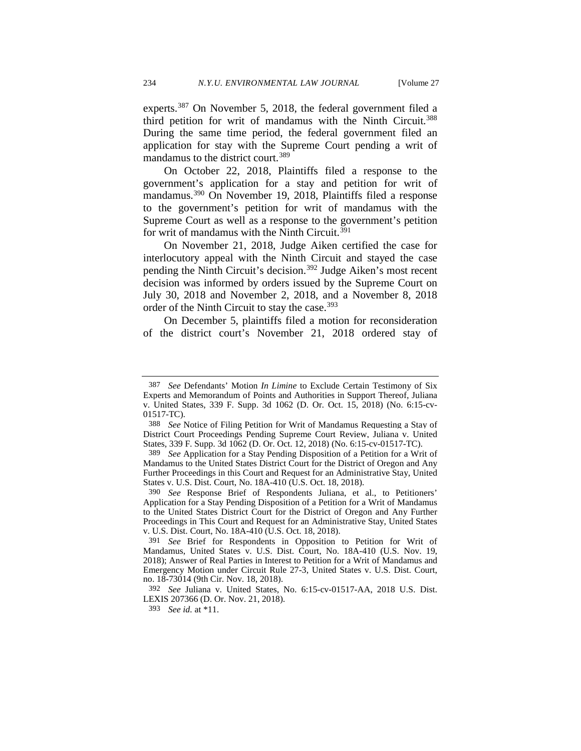experts.[387](#page-51-0) On November 5, 2018, the federal government filed a third petition for writ of mandamus with the Ninth Circuit.<sup>388</sup> During the same time period, the federal government filed an application for stay with the Supreme Court pending a writ of mandamus to the district court.[389](#page-51-2)

On October 22, 2018, Plaintiffs filed a response to the government's application for a stay and petition for writ of mandamus.[390](#page-51-3) On November 19, 2018, Plaintiffs filed a response to the government's petition for writ of mandamus with the Supreme Court as well as a response to the government's petition for writ of mandamus with the Ninth Circuit.<sup>[391](#page-51-4)</sup>

On November 21, 2018, Judge Aiken certified the case for interlocutory appeal with the Ninth Circuit and stayed the case pending the Ninth Circuit's decision.[392](#page-51-5) Judge Aiken's most recent decision was informed by orders issued by the Supreme Court on July 30, 2018 and November 2, 2018, and a November 8, 2018 order of the Ninth Circuit to stay the case.<sup>[393](#page-51-6)</sup>

On December 5, plaintiffs filed a motion for reconsideration of the district court's November 21, 2018 ordered stay of

<span id="page-51-0"></span><sup>387</sup> *See* Defendants' Motion *In Limine* to Exclude Certain Testimony of Six Experts and Memorandum of Points and Authorities in Support Thereof, Juliana v. United States, 339 F. Supp. 3d 1062 (D. Or. Oct. 15, 2018) (No. 6:15-cv-01517-TC).

<span id="page-51-1"></span><sup>388</sup> *See* Notice of Filing Petition for Writ of Mandamus Requesting a Stay of District Court Proceedings Pending Supreme Court Review, Juliana v. United States, 339 F. Supp. 3d 1062 (D. Or. Oct. 12, 2018) (No. 6:15-cv-01517-TC).

<span id="page-51-2"></span><sup>389</sup> See Application for a Stay Pending Disposition of a Petition for a Writ of Mandamus to the United States District Court for the District of Oregon and Any Further Proceedings in this Court and Request for an Administrative Stay, United States v. U.S. Dist. Court, No. 18A-410 (U.S. Oct. 18, 2018).

<span id="page-51-3"></span><sup>390</sup> *See* Response Brief of Respondents Juliana, et al., to Petitioners' Application for a Stay Pending Disposition of a Petition for a Writ of Mandamus to the United States District Court for the District of Oregon and Any Further Proceedings in This Court and Request for an Administrative Stay, United States v. U.S. Dist. Court, No. 18A-410 (U.S. Oct. 18, 2018).

<span id="page-51-4"></span><sup>391</sup> *See* Brief for Respondents in Opposition to Petition for Writ of Mandamus, United States v. U.S. Dist. Court, No. 18A-410 (U.S. Nov. 19, 2018); Answer of Real Parties in Interest to Petition for a Writ of Mandamus and Emergency Motion under Circuit Rule 27-3, United States v. U.S. Dist. Court, no. 18-73014 (9th Cir. Nov. 18, 2018).

<span id="page-51-6"></span><span id="page-51-5"></span><sup>392</sup> *See* Juliana v. United States, No. 6:15-cv-01517-AA, 2018 U.S. Dist. LEXIS 207366 (D. Or. Nov. 21, 2018).

<sup>393</sup> *See id.* at \*11.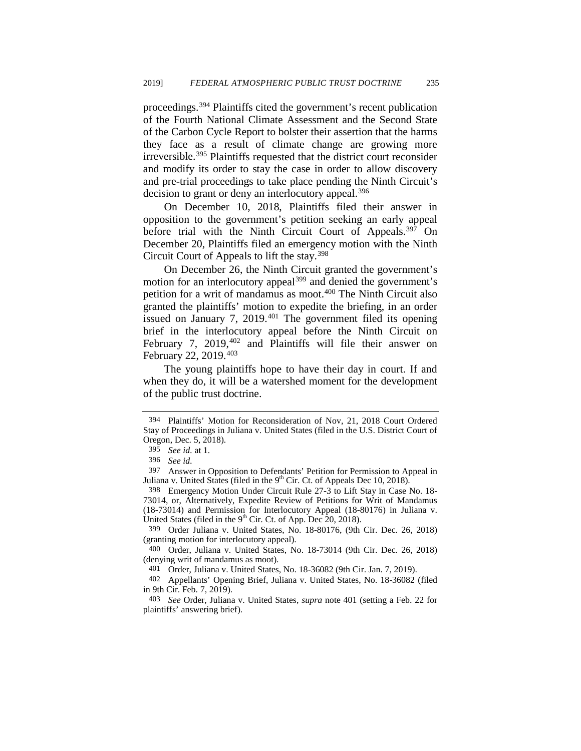proceedings.[394](#page-52-1) Plaintiffs cited the government's recent publication of the Fourth National Climate Assessment and the Second State of the Carbon Cycle Report to bolster their assertion that the harms they face as a result of climate change are growing more irreversible.[395](#page-52-2) Plaintiffs requested that the district court reconsider and modify its order to stay the case in order to allow discovery and pre-trial proceedings to take place pending the Ninth Circuit's decision to grant or deny an interlocutory appeal.<sup>[396](#page-52-3)</sup>

On December 10, 2018, Plaintiffs filed their answer in opposition to the government's petition seeking an early appeal before trial with the Ninth Circuit Court of Appeals.<sup>[397](#page-52-4)</sup> On December 20, Plaintiffs filed an emergency motion with the Ninth Circuit Court of Appeals to lift the stay.[398](#page-52-5)

<span id="page-52-0"></span>On December 26, the Ninth Circuit granted the government's motion for an interlocutory appeal<sup>[399](#page-52-6)</sup> and denied the government's petition for a writ of mandamus as moot.[400](#page-52-7) The Ninth Circuit also granted the plaintiffs' motion to expedite the briefing, in an order issued on January 7,  $2019<sup>401</sup>$  $2019<sup>401</sup>$  $2019<sup>401</sup>$  The government filed its opening brief in the interlocutory appeal before the Ninth Circuit on February 7,  $2019,402$  $2019,402$  and Plaintiffs will file their answer on February 22, 2019.[403](#page-52-10)

The young plaintiffs hope to have their day in court. If and when they do, it will be a watershed moment for the development of the public trust doctrine.

<span id="page-52-1"></span><sup>394</sup> Plaintiffs' Motion for Reconsideration of Nov, 21, 2018 Court Ordered Stay of Proceedings in Juliana v. United States (filed in the U.S. District Court of Oregon, Dec. 5, 2018).

<sup>395</sup> *See id.* at 1.

<sup>396</sup> *See id.* 

<span id="page-52-4"></span><span id="page-52-3"></span><span id="page-52-2"></span><sup>397</sup> Answer in Opposition to Defendants' Petition for Permission to Appeal in Juliana v. United States (filed in the  $9<sup>th</sup>$  Cir. Ct. of Appeals Dec 10, 2018).

<span id="page-52-5"></span><sup>398</sup> Emergency Motion Under Circuit Rule 27-3 to Lift Stay in Case No. 18- 73014, or, Alternatively, Expedite Review of Petitions for Writ of Mandamus (18-73014) and Permission for Interlocutory Appeal (18-80176) in Juliana v. United States (filed in the  $9<sup>th</sup>$  Cir. Ct. of App. Dec 20, 2018).

<span id="page-52-6"></span><sup>399</sup> Order Juliana v. United States, No. 18-80176, (9th Cir. Dec. 26, 2018) (granting motion for interlocutory appeal).

<span id="page-52-7"></span><sup>400</sup> Order, Juliana v. United States, No. 18-73014 (9th Cir. Dec. 26, 2018) (denying writ of mandamus as moot).

<sup>401</sup> Order, Juliana v. United States, No. 18-36082 (9th Cir. Jan. 7, 2019).

<span id="page-52-9"></span><span id="page-52-8"></span><sup>402</sup> Appellants' Opening Brief, Juliana v. United States, No. 18-36082 (filed in 9th Cir. Feb. 7, 2019).

<span id="page-52-10"></span><sup>403</sup> *See* Order, Juliana v. United States, *supra* note [401](#page-52-0) (setting a Feb. 22 for plaintiffs' answering brief).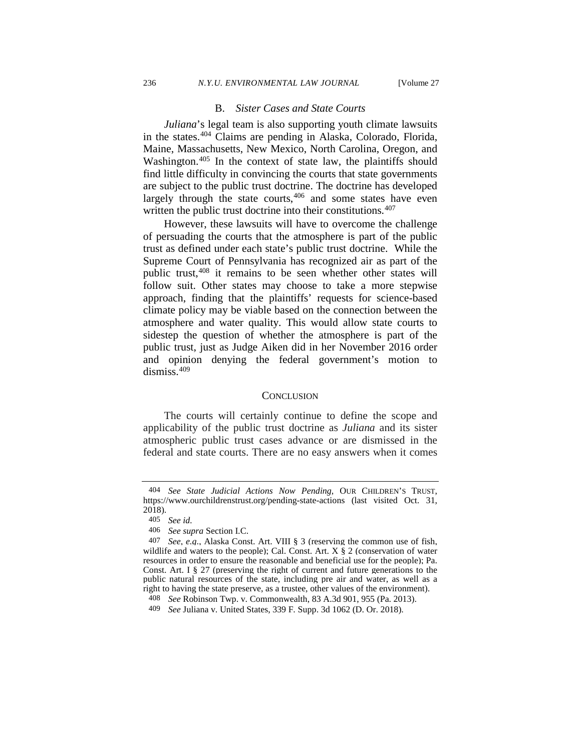#### B. *Sister Cases and State Courts*

*Juliana*'s legal team is also supporting youth climate lawsuits in the states.[404](#page-53-0) Claims are pending in Alaska, Colorado, Florida, Maine, Massachusetts, New Mexico, North Carolina, Oregon, and Washington.<sup>[405](#page-53-1)</sup> In the context of state law, the plaintiffs should find little difficulty in convincing the courts that state governments are subject to the public trust doctrine. The doctrine has developed largely through the state courts,  $406$  and some states have even written the public trust doctrine into their constitutions.<sup>[407](#page-53-3)</sup>

However, these lawsuits will have to overcome the challenge of persuading the courts that the atmosphere is part of the public trust as defined under each state's public trust doctrine. While the Supreme Court of Pennsylvania has recognized air as part of the public trust,<sup>408</sup> it remains to be seen whether other states will follow suit. Other states may choose to take a more stepwise approach, finding that the plaintiffs' requests for science-based climate policy may be viable based on the connection between the atmosphere and water quality. This would allow state courts to sidestep the question of whether the atmosphere is part of the public trust, just as Judge Aiken did in her November 2016 order and opinion denying the federal government's motion to dismiss.[409](#page-53-5)

#### **CONCLUSION**

The courts will certainly continue to define the scope and applicability of the public trust doctrine as *Juliana* and its sister atmospheric public trust cases advance or are dismissed in the federal and state courts. There are no easy answers when it comes

<span id="page-53-0"></span><sup>404</sup> *See State Judicial Actions Now Pending*, OUR CHILDREN'S TRUST, https://www.ourchildrenstrust.org/pending-state-actions (last visited Oct. 31, 2018).

<sup>405</sup> *See id.* 

<sup>406</sup> *See supra* Section I.C.

<span id="page-53-3"></span><span id="page-53-2"></span><span id="page-53-1"></span><sup>407</sup> *See, e.g*., Alaska Const. Art. VIII § 3 (reserving the common use of fish, wildlife and waters to the people); Cal. Const. Art.  $X \S 2$  (conservation of water resources in order to ensure the reasonable and beneficial use for the people); Pa. Const. Art. I § 27 (preserving the right of current and future generations to the public natural resources of the state, including pre air and water, as well as a right to having the state preserve, as a trustee, other values of the environment).

<span id="page-53-4"></span><sup>408</sup> *See* Robinson Twp. v. Commonwealth, 83 A.3d 901, 955 (Pa. 2013).

<span id="page-53-5"></span><sup>409</sup> *See* Juliana v. United States, 339 F. Supp. 3d 1062 (D. Or. 2018).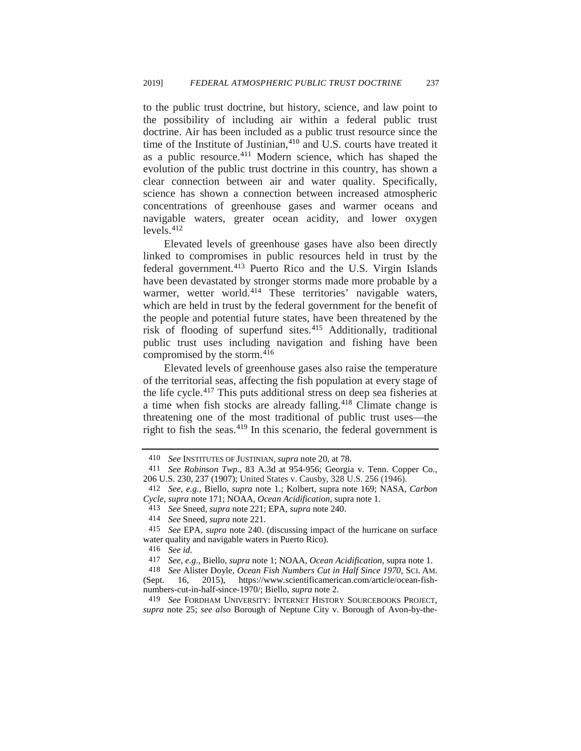to the public trust doctrine, but history, science, and law point to the possibility of including air within a federal public trust doctrine. Air has been included as a public trust resource since the time of the Institute of Justinian,<sup>[410](#page-54-0)</sup> and U.S. courts have treated it as a public resource.[411](#page-54-1) Modern science, which has shaped the evolution of the public trust doctrine in this country, has shown a clear connection between air and water quality. Specifically, science has shown a connection between increased atmospheric concentrations of greenhouse gases and warmer oceans and navigable waters, greater ocean acidity, and lower oxygen  $levels.<sup>412</sup>$  $levels.<sup>412</sup>$  $levels.<sup>412</sup>$ 

Elevated levels of greenhouse gases have also been directly linked to compromises in public resources held in trust by the federal government.[413](#page-54-3) Puerto Rico and the U.S. Virgin Islands have been devastated by stronger storms made more probable by a warmer, wetter world.<sup>[414](#page-54-4)</sup> These territories' navigable waters, which are held in trust by the federal government for the benefit of the people and potential future states, have been threatened by the risk of flooding of superfund sites.[415](#page-54-5) Additionally, traditional public trust uses including navigation and fishing have been compromised by the storm.<sup>[416](#page-54-6)</sup>

Elevated levels of greenhouse gases also raise the temperature of the territorial seas, affecting the fish population at every stage of the life cycle.[417](#page-54-7) This puts additional stress on deep sea fisheries at a time when fish stocks are already falling.[418](#page-54-8) Climate change is threatening one of the most traditional of public trust uses—the right to fish the seas.[419](#page-54-9) In this scenario, the federal government is

<sup>410</sup> *See* INSTITUTES OF JUSTINIAN, *supra* not[e 20,](#page-4-7) at 78.

<span id="page-54-1"></span><span id="page-54-0"></span><sup>411</sup> *See Robinson Twp*., 83 A.3d at 954-956; Georgia v. Tenn. Copper Co., 206 U.S. 230, 237 (1907); United States v. Causby, 328 U.S. 256 (1946).

<span id="page-54-2"></span><sup>412</sup> *See, e.g.,* Biello, *supra* note [1.](#page-1-4); Kolbert, supra note [169;](#page-25-7) NASA, *Carbon Cycle, supra* note [171;](#page-25-6) NOAA, *Ocean Acidification*, supra note [1.](#page-1-4)

<sup>413</sup> *See* Sneed, *supra* not[e 221;](#page-33-6) EPA, *supra* not[e 240.](#page-35-9)

<span id="page-54-5"></span><span id="page-54-4"></span><span id="page-54-3"></span><sup>414</sup>*See* Sneed, *supra* not[e 221.](#page-33-6) 415 *See* EPA, *supra* note 240. (discussing impact of the hurricane on surface water quality and navigable waters in Puerto Rico).

<sup>416</sup> *See id.*

<sup>417</sup> *See, e.g.,* Biello, *supra* not[e 1;](#page-1-4) NOAA, *Ocean Acidification*, supra note [1.](#page-1-4)

<span id="page-54-8"></span><span id="page-54-7"></span><span id="page-54-6"></span><sup>418</sup> *See* Alister Doyle, *Ocean Fish Numbers Cut in Half Since 1970*, SCI. AM. (Sept. 16, 2015), https://www.scientificamerican.com/article/ocean-fishnumbers-cut-in-half-since-1970/; Biello, *supra* note 2.

<span id="page-54-9"></span><sup>419</sup> *See* FORDHAM UNIVERSITY: INTERNET HISTORY SOURCEBOOKS PROJECT, *supra* note [25;](#page-4-6) *see also* Borough of Neptune City v. Borough of Avon-by-the-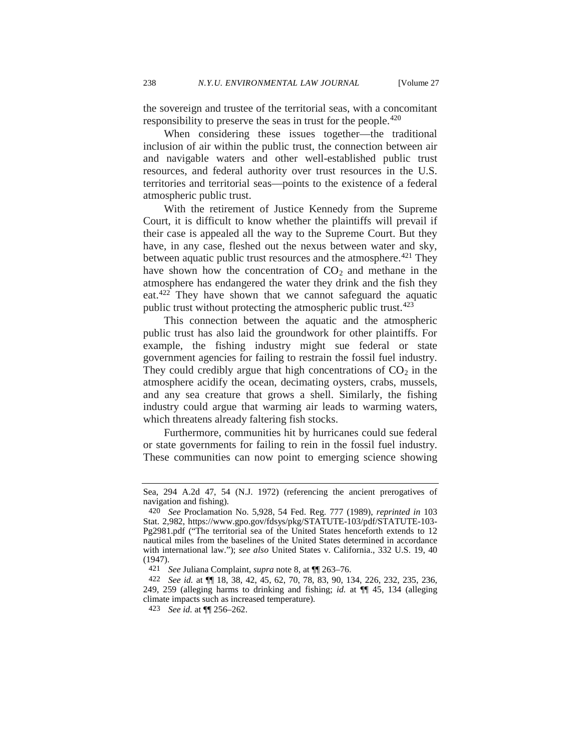the sovereign and trustee of the territorial seas, with a concomitant responsibility to preserve the seas in trust for the people.<sup>[420](#page-55-0)</sup>

When considering these issues together—the traditional inclusion of air within the public trust, the connection between air and navigable waters and other well-established public trust resources, and federal authority over trust resources in the U.S. territories and territorial seas—points to the existence of a federal atmospheric public trust.

With the retirement of Justice Kennedy from the Supreme Court, it is difficult to know whether the plaintiffs will prevail if their case is appealed all the way to the Supreme Court. But they have, in any case, fleshed out the nexus between water and sky, between aquatic public trust resources and the atmosphere.<sup>[421](#page-55-1)</sup> They have shown how the concentration of  $CO<sub>2</sub>$  and methane in the atmosphere has endangered the water they drink and the fish they eat.<sup>[422](#page-55-2)</sup> They have shown that we cannot safeguard the aquatic public trust without protecting the atmospheric public trust.<sup>[423](#page-55-3)</sup>

This connection between the aquatic and the atmospheric public trust has also laid the groundwork for other plaintiffs. For example, the fishing industry might sue federal or state government agencies for failing to restrain the fossil fuel industry. They could credibly argue that high concentrations of  $CO<sub>2</sub>$  in the atmosphere acidify the ocean, decimating oysters, crabs, mussels, and any sea creature that grows a shell. Similarly, the fishing industry could argue that warming air leads to warming waters, which threatens already faltering fish stocks.

Furthermore, communities hit by hurricanes could sue federal or state governments for failing to rein in the fossil fuel industry. These communities can now point to emerging science showing

Sea, 294 A.2d 47, 54 (N.J. 1972) (referencing the ancient prerogatives of navigation and fishing).

<span id="page-55-0"></span><sup>420</sup> *See* Proclamation No. 5,928, 54 Fed. Reg. 777 (1989), *reprinted in* 103 Stat. 2,982, https://www.gpo.gov/fdsys/pkg/STATUTE-103/pdf/STATUTE-103- Pg2981.pdf ("The territorial sea of the United States henceforth extends to 12 nautical miles from the baselines of the United States determined in accordance with international law."); *see also* United States v. California., 332 U.S. 19, 40 (1947).

<sup>421</sup> *See* Juliana Complaint, *supra* note [8,](#page-2-8) at ¶¶ 263–76.

<span id="page-55-3"></span><span id="page-55-2"></span><span id="page-55-1"></span><sup>422</sup> *See id.* at ¶¶ 18, 38, 42, 45, 62, 70, 78, 83, 90, 134, 226, 232, 235, 236, 249, 259 (alleging harms to drinking and fishing; *id.* at ¶¶ 45, 134 (alleging climate impacts such as increased temperature).

<sup>423</sup> *See id.* at ¶¶ 256–262.